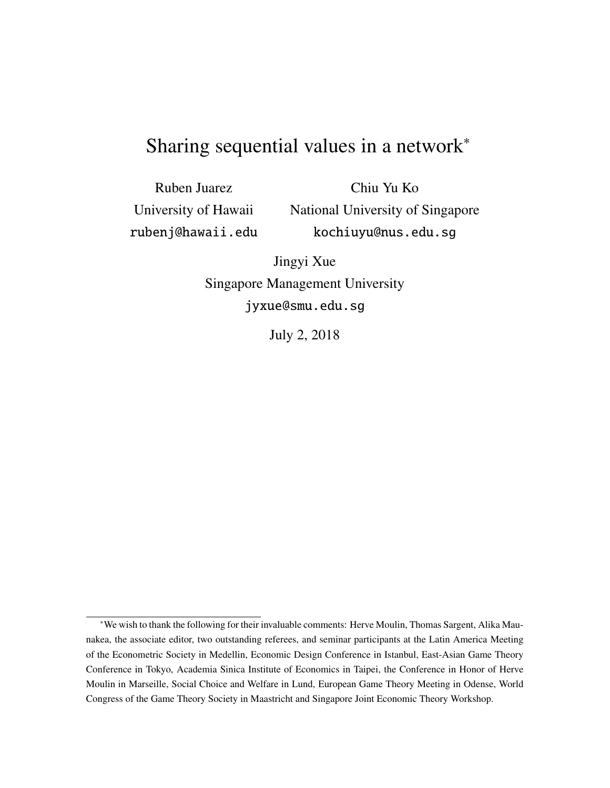# <span id="page-0-0"></span>Sharing sequential values in a network<sup>∗</sup>

Ruben Juarez University of Hawaii rubenj@hawaii.edu

Chiu Yu Ko National University of Singapore kochiuyu@nus.edu.sg

Jingyi Xue Singapore Management University jyxue@smu.edu.sg

July 2, 2018

<sup>∗</sup>We wish to thank the following for their invaluable comments: Herve Moulin, Thomas Sargent, Alika Maunakea, the associate editor, two outstanding referees, and seminar participants at the Latin America Meeting of the Econometric Society in Medellin, Economic Design Conference in Istanbul, East-Asian Game Theory Conference in Tokyo, Academia Sinica Institute of Economics in Taipei, the Conference in Honor of Herve Moulin in Marseille, Social Choice and Welfare in Lund, European Game Theory Meeting in Odense, World Congress of the Game Theory Society in Maastricht and Singapore Joint Economic Theory Workshop.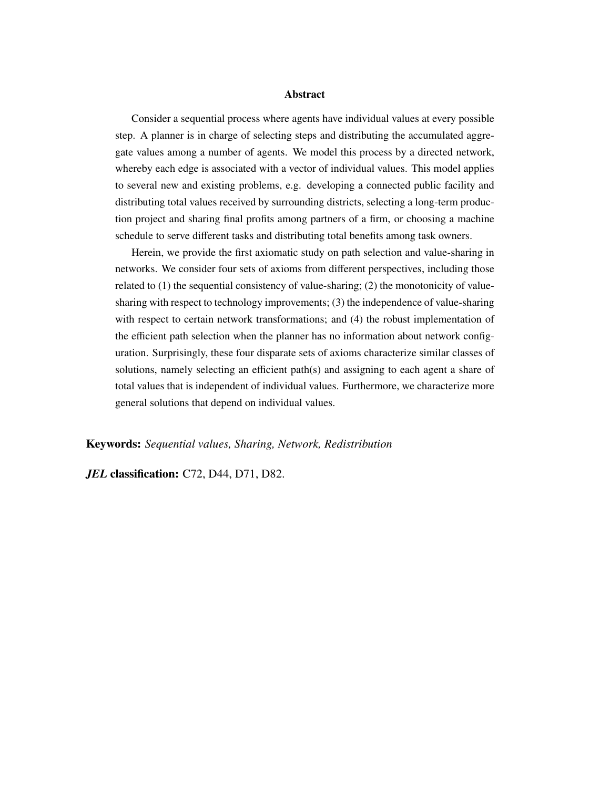#### Abstract

Consider a sequential process where agents have individual values at every possible step. A planner is in charge of selecting steps and distributing the accumulated aggregate values among a number of agents. We model this process by a directed network, whereby each edge is associated with a vector of individual values. This model applies to several new and existing problems, e.g. developing a connected public facility and distributing total values received by surrounding districts, selecting a long-term production project and sharing final profits among partners of a firm, or choosing a machine schedule to serve different tasks and distributing total benefits among task owners.

Herein, we provide the first axiomatic study on path selection and value-sharing in networks. We consider four sets of axioms from different perspectives, including those related to (1) the sequential consistency of value-sharing; (2) the monotonicity of valuesharing with respect to technology improvements; (3) the independence of value-sharing with respect to certain network transformations; and (4) the robust implementation of the efficient path selection when the planner has no information about network configuration. Surprisingly, these four disparate sets of axioms characterize similar classes of solutions, namely selecting an efficient path(s) and assigning to each agent a share of total values that is independent of individual values. Furthermore, we characterize more general solutions that depend on individual values.

Keywords: *Sequential values, Sharing, Network, Redistribution*

*JEL* classification: C72, D44, D71, D82.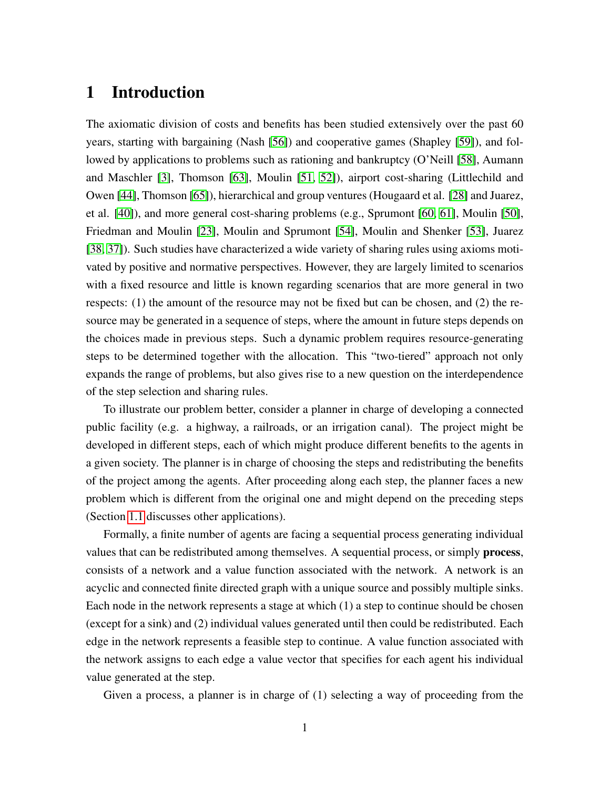## 1 Introduction

The axiomatic division of costs and benefits has been studied extensively over the past 60 years, starting with bargaining (Nash [\[56\]](#page-60-0)) and cooperative games (Shapley [\[59\]](#page-61-0)), and followed by applications to problems such as rationing and bankruptcy (O'Neill [\[58\]](#page-61-1), Aumann and Maschler [\[3\]](#page-56-0), Thomson [\[63\]](#page-61-2), Moulin [\[51,](#page-60-1) [52\]](#page-60-2)), airport cost-sharing (Littlechild and Owen [\[44\]](#page-60-3), Thomson [\[65\]](#page-61-3)), hierarchical and group ventures (Hougaard et al. [\[28\]](#page-58-0) and Juarez, et al. [\[40\]](#page-59-0)), and more general cost-sharing problems (e.g., Sprumont [\[60,](#page-61-4) [61\]](#page-61-5), Moulin [\[50\]](#page-60-4), Friedman and Moulin [\[23\]](#page-58-1), Moulin and Sprumont [\[54\]](#page-60-5), Moulin and Shenker [\[53\]](#page-60-6), Juarez [\[38,](#page-59-1) [37\]](#page-59-2)). Such studies have characterized a wide variety of sharing rules using axioms motivated by positive and normative perspectives. However, they are largely limited to scenarios with a fixed resource and little is known regarding scenarios that are more general in two respects: (1) the amount of the resource may not be fixed but can be chosen, and (2) the resource may be generated in a sequence of steps, where the amount in future steps depends on the choices made in previous steps. Such a dynamic problem requires resource-generating steps to be determined together with the allocation. This "two-tiered" approach not only expands the range of problems, but also gives rise to a new question on the interdependence of the step selection and sharing rules.

To illustrate our problem better, consider a planner in charge of developing a connected public facility (e.g. a highway, a railroads, or an irrigation canal). The project might be developed in different steps, each of which might produce different benefits to the agents in a given society. The planner is in charge of choosing the steps and redistributing the benefits of the project among the agents. After proceeding along each step, the planner faces a new problem which is different from the original one and might depend on the preceding steps (Section [1.1](#page-3-0) discusses other applications).

Formally, a finite number of agents are facing a sequential process generating individual values that can be redistributed among themselves. A sequential process, or simply process, consists of a network and a value function associated with the network. A network is an acyclic and connected finite directed graph with a unique source and possibly multiple sinks. Each node in the network represents a stage at which (1) a step to continue should be chosen (except for a sink) and (2) individual values generated until then could be redistributed. Each edge in the network represents a feasible step to continue. A value function associated with the network assigns to each edge a value vector that specifies for each agent his individual value generated at the step.

Given a process, a planner is in charge of (1) selecting a way of proceeding from the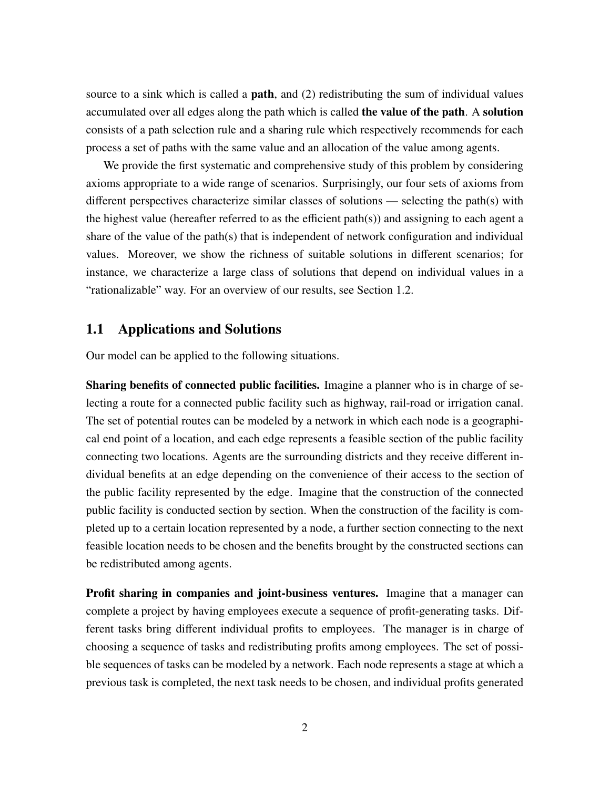source to a sink which is called a **path**, and  $(2)$  redistributing the sum of individual values accumulated over all edges along the path which is called the value of the path. A solution consists of a path selection rule and a sharing rule which respectively recommends for each process a set of paths with the same value and an allocation of the value among agents.

We provide the first systematic and comprehensive study of this problem by considering axioms appropriate to a wide range of scenarios. Surprisingly, our four sets of axioms from different perspectives characterize similar classes of solutions — selecting the path(s) with the highest value (hereafter referred to as the efficient path(s)) and assigning to each agent a share of the value of the path(s) that is independent of network configuration and individual values. Moreover, we show the richness of suitable solutions in different scenarios; for instance, we characterize a large class of solutions that depend on individual values in a "rationalizable" way. For an overview of our results, see Section 1.2.

### <span id="page-3-0"></span>1.1 Applications and Solutions

Our model can be applied to the following situations.

Sharing benefits of connected public facilities. Imagine a planner who is in charge of selecting a route for a connected public facility such as highway, rail-road or irrigation canal. The set of potential routes can be modeled by a network in which each node is a geographical end point of a location, and each edge represents a feasible section of the public facility connecting two locations. Agents are the surrounding districts and they receive different individual benefits at an edge depending on the convenience of their access to the section of the public facility represented by the edge. Imagine that the construction of the connected public facility is conducted section by section. When the construction of the facility is completed up to a certain location represented by a node, a further section connecting to the next feasible location needs to be chosen and the benefits brought by the constructed sections can be redistributed among agents.

Profit sharing in companies and joint-business ventures. Imagine that a manager can complete a project by having employees execute a sequence of profit-generating tasks. Different tasks bring different individual profits to employees. The manager is in charge of choosing a sequence of tasks and redistributing profits among employees. The set of possible sequences of tasks can be modeled by a network. Each node represents a stage at which a previous task is completed, the next task needs to be chosen, and individual profits generated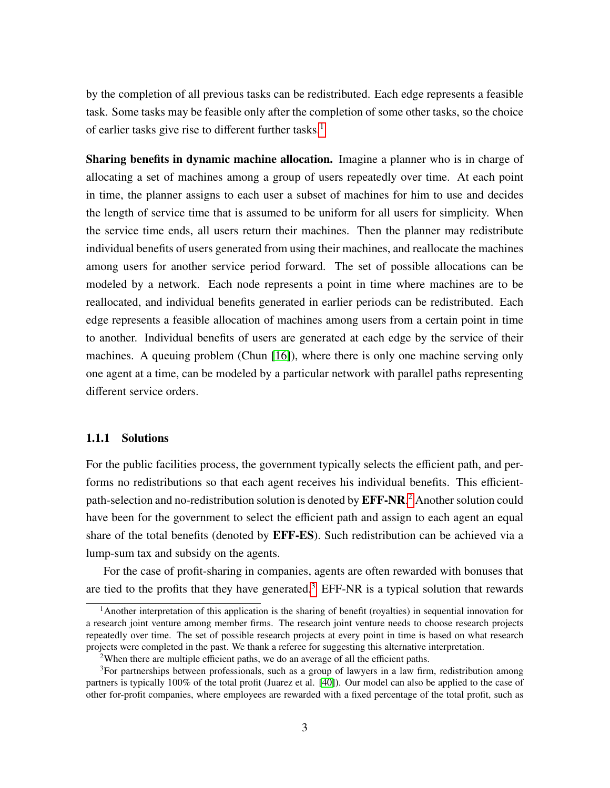by the completion of all previous tasks can be redistributed. Each edge represents a feasible task. Some tasks may be feasible only after the completion of some other tasks, so the choice of earlier tasks give rise to different further tasks.<sup>[1](#page-0-0)</sup>

Sharing benefits in dynamic machine allocation. Imagine a planner who is in charge of allocating a set of machines among a group of users repeatedly over time. At each point in time, the planner assigns to each user a subset of machines for him to use and decides the length of service time that is assumed to be uniform for all users for simplicity. When the service time ends, all users return their machines. Then the planner may redistribute individual benefits of users generated from using their machines, and reallocate the machines among users for another service period forward. The set of possible allocations can be modeled by a network. Each node represents a point in time where machines are to be reallocated, and individual benefits generated in earlier periods can be redistributed. Each edge represents a feasible allocation of machines among users from a certain point in time to another. Individual benefits of users are generated at each edge by the service of their machines. A queuing problem (Chun [\[16\]](#page-58-2)), where there is only one machine serving only one agent at a time, can be modeled by a particular network with parallel paths representing different service orders.

#### 1.1.1 Solutions

For the public facilities process, the government typically selects the efficient path, and performs no redistributions so that each agent receives his individual benefits. This efficient-path-selection and no-redistribution solution is denoted by EFF-NR.<sup>[2](#page-0-0)</sup> Another solution could have been for the government to select the efficient path and assign to each agent an equal share of the total benefits (denoted by EFF-ES). Such redistribution can be achieved via a lump-sum tax and subsidy on the agents.

For the case of profit-sharing in companies, agents are often rewarded with bonuses that are tied to the profits that they have generated.<sup>[3](#page-0-0)</sup> EFF-NR is a typical solution that rewards

<sup>1</sup>Another interpretation of this application is the sharing of benefit (royalties) in sequential innovation for a research joint venture among member firms. The research joint venture needs to choose research projects repeatedly over time. The set of possible research projects at every point in time is based on what research projects were completed in the past. We thank a referee for suggesting this alternative interpretation.

<sup>&</sup>lt;sup>2</sup>When there are multiple efficient paths, we do an average of all the efficient paths.

<sup>&</sup>lt;sup>3</sup>For partnerships between professionals, such as a group of lawyers in a law firm, redistribution among partners is typically 100% of the total profit (Juarez et al. [\[40\]](#page-59-0)). Our model can also be applied to the case of other for-profit companies, where employees are rewarded with a fixed percentage of the total profit, such as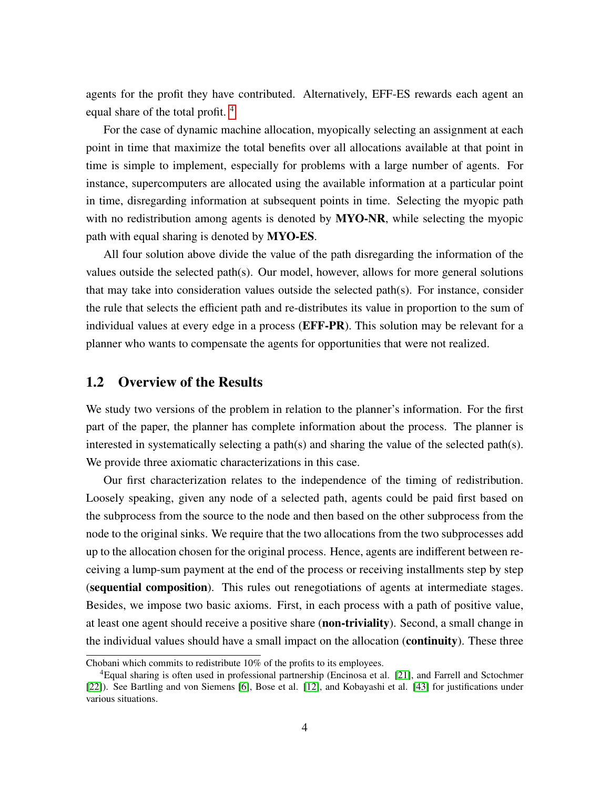agents for the profit they have contributed. Alternatively, EFF-ES rewards each agent an equal share of the total profit. [4](#page-0-0)

For the case of dynamic machine allocation, myopically selecting an assignment at each point in time that maximize the total benefits over all allocations available at that point in time is simple to implement, especially for problems with a large number of agents. For instance, supercomputers are allocated using the available information at a particular point in time, disregarding information at subsequent points in time. Selecting the myopic path with no redistribution among agents is denoted by MYO-NR, while selecting the myopic path with equal sharing is denoted by MYO-ES.

All four solution above divide the value of the path disregarding the information of the values outside the selected path(s). Our model, however, allows for more general solutions that may take into consideration values outside the selected path(s). For instance, consider the rule that selects the efficient path and re-distributes its value in proportion to the sum of individual values at every edge in a process (**EFF-PR**). This solution may be relevant for a planner who wants to compensate the agents for opportunities that were not realized.

#### 1.2 Overview of the Results

We study two versions of the problem in relation to the planner's information. For the first part of the paper, the planner has complete information about the process. The planner is interested in systematically selecting a path(s) and sharing the value of the selected path(s). We provide three axiomatic characterizations in this case.

Our first characterization relates to the independence of the timing of redistribution. Loosely speaking, given any node of a selected path, agents could be paid first based on the subprocess from the source to the node and then based on the other subprocess from the node to the original sinks. We require that the two allocations from the two subprocesses add up to the allocation chosen for the original process. Hence, agents are indifferent between receiving a lump-sum payment at the end of the process or receiving installments step by step (sequential composition). This rules out renegotiations of agents at intermediate stages. Besides, we impose two basic axioms. First, in each process with a path of positive value, at least one agent should receive a positive share (non-triviality). Second, a small change in the individual values should have a small impact on the allocation (continuity). These three

Chobani which commits to redistribute 10% of the profits to its employees.

<sup>4</sup>Equal sharing is often used in professional partnership (Encinosa et al. [\[21\]](#page-58-3), and Farrell and Sctochmer [\[22\]](#page-58-4)). See Bartling and von Siemens [\[6\]](#page-57-0), Bose et al. [\[12\]](#page-57-1), and Kobayashi et al. [\[43\]](#page-60-7) for justifications under various situations.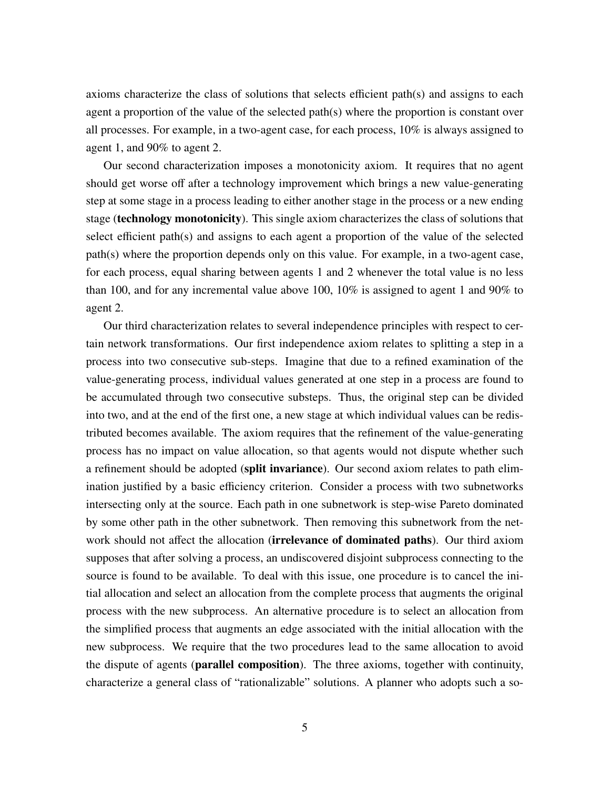axioms characterize the class of solutions that selects efficient path(s) and assigns to each agent a proportion of the value of the selected path(s) where the proportion is constant over all processes. For example, in a two-agent case, for each process, 10% is always assigned to agent 1, and 90% to agent 2.

Our second characterization imposes a monotonicity axiom. It requires that no agent should get worse off after a technology improvement which brings a new value-generating step at some stage in a process leading to either another stage in the process or a new ending stage (technology monotonicity). This single axiom characterizes the class of solutions that select efficient path(s) and assigns to each agent a proportion of the value of the selected path(s) where the proportion depends only on this value. For example, in a two-agent case, for each process, equal sharing between agents 1 and 2 whenever the total value is no less than 100, and for any incremental value above 100, 10% is assigned to agent 1 and 90% to agent 2.

Our third characterization relates to several independence principles with respect to certain network transformations. Our first independence axiom relates to splitting a step in a process into two consecutive sub-steps. Imagine that due to a refined examination of the value-generating process, individual values generated at one step in a process are found to be accumulated through two consecutive substeps. Thus, the original step can be divided into two, and at the end of the first one, a new stage at which individual values can be redistributed becomes available. The axiom requires that the refinement of the value-generating process has no impact on value allocation, so that agents would not dispute whether such a refinement should be adopted (split invariance). Our second axiom relates to path elimination justified by a basic efficiency criterion. Consider a process with two subnetworks intersecting only at the source. Each path in one subnetwork is step-wise Pareto dominated by some other path in the other subnetwork. Then removing this subnetwork from the network should not affect the allocation (**irrelevance of dominated paths**). Our third axiom supposes that after solving a process, an undiscovered disjoint subprocess connecting to the source is found to be available. To deal with this issue, one procedure is to cancel the initial allocation and select an allocation from the complete process that augments the original process with the new subprocess. An alternative procedure is to select an allocation from the simplified process that augments an edge associated with the initial allocation with the new subprocess. We require that the two procedures lead to the same allocation to avoid the dispute of agents (parallel composition). The three axioms, together with continuity, characterize a general class of "rationalizable" solutions. A planner who adopts such a so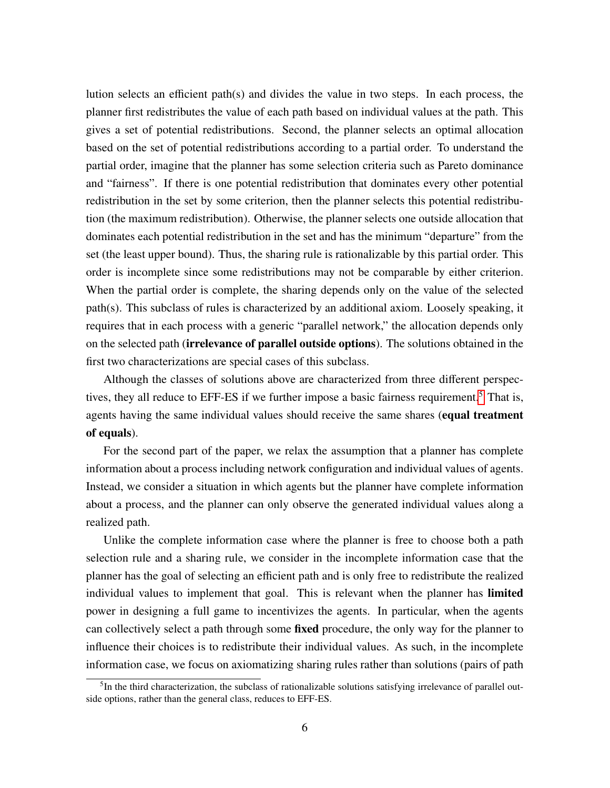lution selects an efficient path(s) and divides the value in two steps. In each process, the planner first redistributes the value of each path based on individual values at the path. This gives a set of potential redistributions. Second, the planner selects an optimal allocation based on the set of potential redistributions according to a partial order. To understand the partial order, imagine that the planner has some selection criteria such as Pareto dominance and "fairness". If there is one potential redistribution that dominates every other potential redistribution in the set by some criterion, then the planner selects this potential redistribution (the maximum redistribution). Otherwise, the planner selects one outside allocation that dominates each potential redistribution in the set and has the minimum "departure" from the set (the least upper bound). Thus, the sharing rule is rationalizable by this partial order. This order is incomplete since some redistributions may not be comparable by either criterion. When the partial order is complete, the sharing depends only on the value of the selected path(s). This subclass of rules is characterized by an additional axiom. Loosely speaking, it requires that in each process with a generic "parallel network," the allocation depends only on the selected path (irrelevance of parallel outside options). The solutions obtained in the first two characterizations are special cases of this subclass.

Although the classes of solutions above are characterized from three different perspec-tives, they all reduce to EFF-ES if we further impose a basic fairness requirement.<sup>[5](#page-0-0)</sup> That is, agents having the same individual values should receive the same shares (equal treatment of equals).

For the second part of the paper, we relax the assumption that a planner has complete information about a process including network configuration and individual values of agents. Instead, we consider a situation in which agents but the planner have complete information about a process, and the planner can only observe the generated individual values along a realized path.

Unlike the complete information case where the planner is free to choose both a path selection rule and a sharing rule, we consider in the incomplete information case that the planner has the goal of selecting an efficient path and is only free to redistribute the realized individual values to implement that goal. This is relevant when the planner has **limited** power in designing a full game to incentivizes the agents. In particular, when the agents can collectively select a path through some fixed procedure, the only way for the planner to influence their choices is to redistribute their individual values. As such, in the incomplete information case, we focus on axiomatizing sharing rules rather than solutions (pairs of path

<sup>&</sup>lt;sup>5</sup>In the third characterization, the subclass of rationalizable solutions satisfying irrelevance of parallel outside options, rather than the general class, reduces to EFF-ES.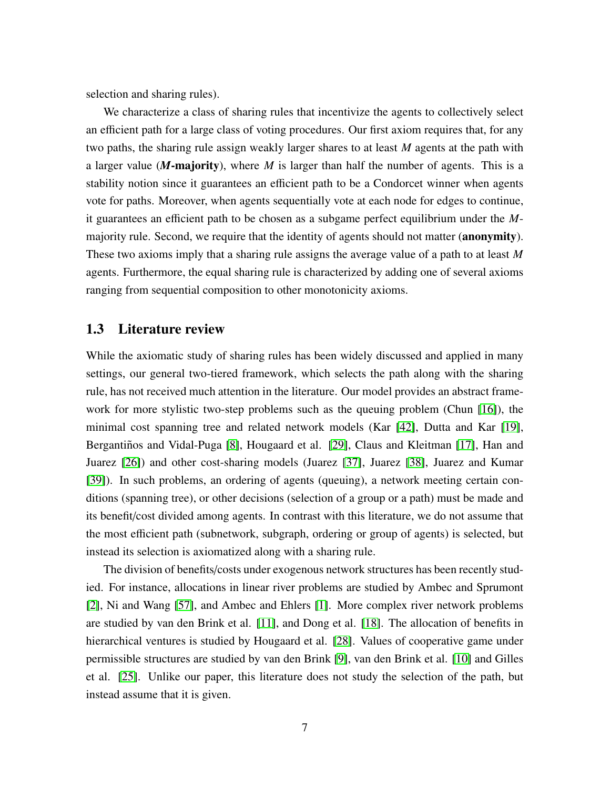selection and sharing rules).

We characterize a class of sharing rules that incentivize the agents to collectively select an efficient path for a large class of voting procedures. Our first axiom requires that, for any two paths, the sharing rule assign weakly larger shares to at least *M* agents at the path with a larger value (*M*-majority), where *M* is larger than half the number of agents. This is a stability notion since it guarantees an efficient path to be a Condorcet winner when agents vote for paths. Moreover, when agents sequentially vote at each node for edges to continue, it guarantees an efficient path to be chosen as a subgame perfect equilibrium under the *M*majority rule. Second, we require that the identity of agents should not matter (anonymity). These two axioms imply that a sharing rule assigns the average value of a path to at least *M* agents. Furthermore, the equal sharing rule is characterized by adding one of several axioms ranging from sequential composition to other monotonicity axioms.

#### 1.3 Literature review

While the axiomatic study of sharing rules has been widely discussed and applied in many settings, our general two-tiered framework, which selects the path along with the sharing rule, has not received much attention in the literature. Our model provides an abstract framework for more stylistic two-step problems such as the queuing problem (Chun [\[16\]](#page-58-2)), the minimal cost spanning tree and related network models (Kar [\[42\]](#page-59-3), Dutta and Kar [\[19\]](#page-58-5), Bergantiños and Vidal-Puga [\[8\]](#page-57-2), Hougaard et al. [\[29\]](#page-59-4), Claus and Kleitman [\[17\]](#page-58-6), Han and Juarez [\[26\]](#page-58-7)) and other cost-sharing models (Juarez [\[37\]](#page-59-2), Juarez [\[38\]](#page-59-1), Juarez and Kumar [\[39\]](#page-59-5)). In such problems, an ordering of agents (queuing), a network meeting certain conditions (spanning tree), or other decisions (selection of a group or a path) must be made and its benefit/cost divided among agents. In contrast with this literature, we do not assume that the most efficient path (subnetwork, subgraph, ordering or group of agents) is selected, but instead its selection is axiomatized along with a sharing rule.

The division of benefits/costs under exogenous network structures has been recently studied. For instance, allocations in linear river problems are studied by Ambec and Sprumont [\[2\]](#page-56-1), Ni and Wang [\[57\]](#page-61-6), and Ambec and Ehlers [\[1\]](#page-56-2). More complex river network problems are studied by van den Brink et al. [\[11\]](#page-57-3), and Dong et al. [\[18\]](#page-58-8). The allocation of benefits in hierarchical ventures is studied by Hougaard et al. [\[28\]](#page-58-0). Values of cooperative game under permissible structures are studied by van den Brink [\[9\]](#page-57-4), van den Brink et al. [\[10\]](#page-57-5) and Gilles et al. [\[25\]](#page-58-9). Unlike our paper, this literature does not study the selection of the path, but instead assume that it is given.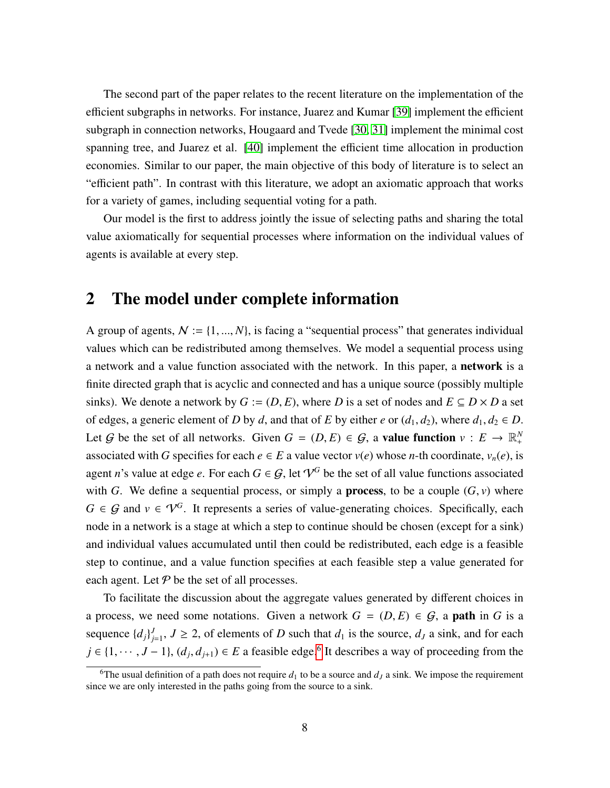The second part of the paper relates to the recent literature on the implementation of the efficient subgraphs in networks. For instance, Juarez and Kumar [\[39\]](#page-59-5) implement the efficient subgraph in connection networks, Hougaard and Tvede [\[30,](#page-59-6) [31\]](#page-59-7) implement the minimal cost spanning tree, and Juarez et al. [\[40\]](#page-59-0) implement the efficient time allocation in production economies. Similar to our paper, the main objective of this body of literature is to select an "efficient path". In contrast with this literature, we adopt an axiomatic approach that works for a variety of games, including sequential voting for a path.

Our model is the first to address jointly the issue of selecting paths and sharing the total value axiomatically for sequential processes where information on the individual values of agents is available at every step.

### 2 The model under complete information

A group of agents,  $N := \{1, ..., N\}$ , is facing a "sequential process" that generates individual values which can be redistributed among themselves. We model a sequential process using a network and a value function associated with the network. In this paper, a network is a finite directed graph that is acyclic and connected and has a unique source (possibly multiple sinks). We denote a network by  $G := (D, E)$ , where *D* is a set of nodes and  $E \subseteq D \times D$  a set of edges, a generic element of *D* by *d*, and that of *E* by either *e* or  $(d_1, d_2)$ , where  $d_1, d_2 \in D$ . Let G be the set of all networks. Given  $G = (D, E) \in G$ , a **value function**  $v : E \to \mathbb{R}^N_+$ associated with *G* specifies for each  $e \in E$  a value vector  $v(e)$  whose *n*-th coordinate,  $v_n(e)$ , is agent *n*'s value at edge *e*. For each  $G \in \mathcal{G}$ , let  $\mathcal{V}^G$  be the set of all value functions associated with *G*. We define a sequential process, or simply a **process**, to be a couple  $(G, v)$  where *G* ∈ *G* and  $v \in \mathcal{V}^G$ . It represents a series of value-generating choices. Specifically, each node in a network is a stage at which a step to continue should be chosen (except for a sink) and individual values accumulated until then could be redistributed, each edge is a feasible step to continue, and a value function specifies at each feasible step a value generated for each agent. Let  $P$  be the set of all processes.

To facilitate the discussion about the aggregate values generated by different choices in a process, we need some notations. Given a network  $G = (D, E) \in \mathcal{G}$ , a **path** in *G* is a sequence  $\{d_j\}^J_i$  $J_{j=1}$ ,  $J \ge 2$ , of elements of *D* such that  $d_1$  is the source,  $d_J$  a sink, and for each *j* ∈ {1, · · · , *J* − 1}, ( $d_j$ ,  $d_{j+1}$ ) ∈ *E* a feasible edge.<sup>[6](#page-0-0)</sup> It describes a way of proceeding from the

<sup>&</sup>lt;sup>6</sup>The usual definition of a path does not require  $d_1$  to be a source and  $d_1$  a sink. We impose the requirement since we are only interested in the paths going from the source to a sink.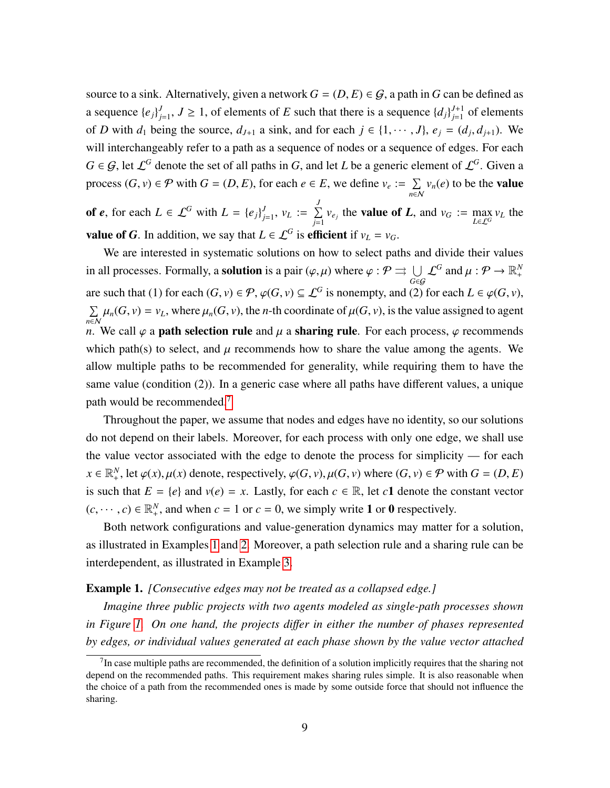source to a sink. Alternatively, given a network  $G = (D, E) \in \mathcal{G}$ , a path in G can be defined as a sequence  $\{e_j\}^J_i$  $J_{j=1}$ ,  $J \geq 1$ , of elements of *E* such that there is a sequence  $\{d_j\}_{j=1}^{J+1}$  $j=1 \atop j=1}$  of elements of *D* with  $d_1$  being the source,  $d_{J+1}$  a sink, and for each  $j \in \{1, \dots, J\}$ ,  $e_j = (d_j, d_{j+1})$ . We will interchangeably refer to a path as a sequence of nodes or a sequence of edges. For each *G* ∈ *G*, let  $\mathcal{L}^G$  denote the set of all paths in *G*, and let *L* be a generic element of  $\mathcal{L}^G$ . Given a process (*G*, *v*) ∈  $P$  with *G* = (*D*, *E*), for each *e* ∈ *E*, we define  $v_e := \sum_{n \in \mathbb{N}}$  $\sum_{n \in \mathcal{N}} v_n(e)$  to be the **value** 

of *e*, for each  $L \in \mathcal{L}^G$  with  $L = \{e_j\}^J$  $y'_{j=1}, v_L := \sum_{i=1}^{J}$  $\sum_{j=1}^{n} v_{e_j}$  the **value of** *L*, and  $v_G := \max_{L \in \mathcal{L}^G} v_L$  the **value of** *G*. In addition, we say that  $L \in \mathcal{L}^G$  is **efficient** if  $v_L = v_G$ .

We are interested in systematic solutions on how to select paths and divide their values in all processes. Formally, a **solution** is a pair  $(\varphi, \mu)$  where  $\varphi : \mathcal{P} \rightrightarrows \bigcup_{G \in \mathcal{G}}$ *G*∈G  $\mathcal{L}^G$  and  $\mu: \mathcal{P} \to \mathbb{R}_+^N$ are such that (1) for each  $(G, v) \in \mathcal{P}, \varphi(G, v) \subseteq \mathcal{L}^G$  is nonempty, and (2) for each  $L \in \varphi(G, v)$ ,  $\overline{\Sigma}$  $\sum_{n \in \mathbb{N}} \mu_n(G, v) = v_L$ , where  $\mu_n(G, v)$ , the *n*-th coordinate of  $\mu(G, v)$ , is the value assigned to agent *n*. We call  $\varphi$  a **path selection rule** and  $\mu$  a **sharing rule**. For each process,  $\varphi$  recommends which path(s) to select, and  $\mu$  recommends how to share the value among the agents. We allow multiple paths to be recommended for generality, while requiring them to have the same value (condition (2)). In a generic case where all paths have different values, a unique path would be recommended.[7](#page-0-0)

Throughout the paper, we assume that nodes and edges have no identity, so our solutions do not depend on their labels. Moreover, for each process with only one edge, we shall use the value vector associated with the edge to denote the process for simplicity — for each  $x \in \mathbb{R}^N_+$ , let  $\varphi(x), \mu(x)$  denote, respectively,  $\varphi(G, v), \mu(G, v)$  where  $(G, v) \in \mathcal{P}$  with  $G = (D, E)$ is such that  $E = \{e\}$  and  $v(e) = x$ . Lastly, for each  $c \in \mathbb{R}$ , let  $c1$  denote the constant vector  $(c, \dots, c) \in \mathbb{R}^N_+$ , and when  $c = 1$  or  $c = 0$ , we simply write **1** or **0** respectively.

Both network configurations and value-generation dynamics may matter for a solution, as illustrated in Examples [1](#page-10-0) and [2.](#page-11-0) Moreover, a path selection rule and a sharing rule can be interdependent, as illustrated in Example [3.](#page-11-1)

#### <span id="page-10-0"></span>Example 1. *[Consecutive edges may not be treated as a collapsed edge.]*

*Imagine three public projects with two agents modeled as single-path processes shown in Figure [1.](#page-11-2) On one hand, the projects di*ff*er in either the number of phases represented by edges, or individual values generated at each phase shown by the value vector attached*

 $<sup>7</sup>$  In case multiple paths are recommended, the definition of a solution implicitly requires that the sharing not</sup> depend on the recommended paths. This requirement makes sharing rules simple. It is also reasonable when the choice of a path from the recommended ones is made by some outside force that should not influence the sharing.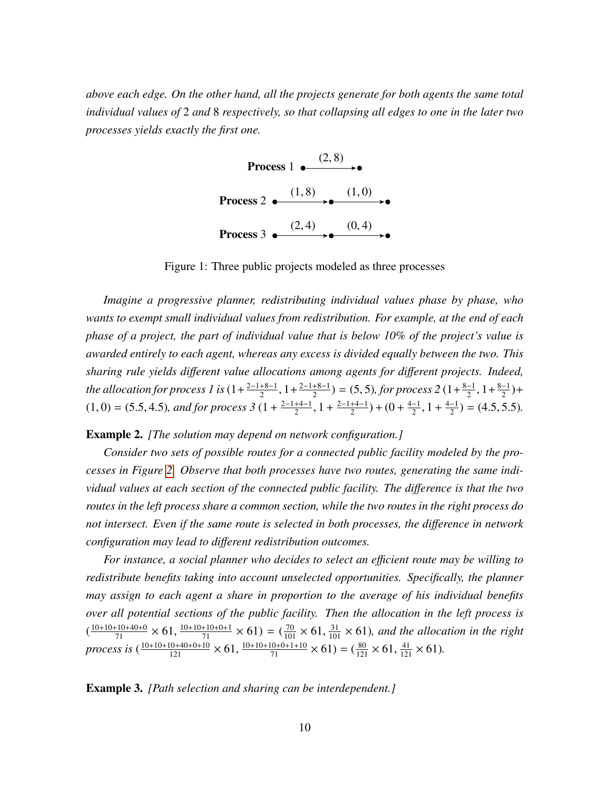<span id="page-11-2"></span>*above each edge. On the other hand, all the projects generate for both agents the same total individual values of* 2 *and* 8 *respectively, so that collapsing all edges to one in the later two processes yields exactly the first one.*



Figure 1: Three public projects modeled as three processes

*Imagine a progressive planner, redistributing individual values phase by phase, who wants to exempt small individual values from redistribution. For example, at the end of each phase of a project, the part of individual value that is below 10% of the project's value is awarded entirely to each agent, whereas any excess is divided equally between the two. This sharing rule yields di*ff*erent value allocations among agents for di*ff*erent projects. Indeed, the allocation for process 1* is  $(1 + \frac{2-1+8-1}{2})$  $\frac{+8-1}{2}$ , 1 +  $\frac{2-1+8-1}{2}$  $\frac{+8-1}{2}$ ) = (5, 5)*, for process 2* (1+ $\frac{8-1}{2}$ )  $\frac{-1}{2}$ , 1 +  $\frac{8-1}{2}$  $\frac{-1}{2}$ )+  $(1,0) = (5.5, 4.5)$ *, and for process* 3  $(1 + \frac{2-1+4-1}{2})$  $\frac{+4-1}{2}$ , 1 +  $\frac{2-1+4-1}{2}$  $\frac{+4-1}{2}$ ) + (0 +  $\frac{4-1}{2}$  $\frac{-1}{2}$ , 1 +  $\frac{4-1}{2}$  $\frac{-1}{2}$ ) = (4.5, 5.5).

#### <span id="page-11-0"></span>Example 2. *[The solution may depend on network configuration.]*

*Consider two sets of possible routes for a connected public facility modeled by the processes in Figure [2.](#page-12-0) Observe that both processes have two routes, generating the same individual values at each section of the connected public facility. The di*ff*erence is that the two routes in the left process share a common section, while the two routes in the right process do not intersect. Even if the same route is selected in both processes, the di*ff*erence in network configuration may lead to di*ff*erent redistribution outcomes.*

*For instance, a social planner who decides to select an e*ffi*cient route may be willing to redistribute benefits taking into account unselected opportunities. Specifically, the planner may assign to each agent a share in proportion to the average of his individual benefits over all potential sections of the public facility. Then the allocation in the left process is*  $\left(\frac{10+10+10+40+0}{71} \times 61, \frac{10+10+10+0+1}{71} \times 61\right) = \left(\frac{70}{101} \times 61, \frac{31}{101} \times 61\right)$ , and the allocation in the right *process is*  $\left(\frac{10+10+10+40+0+10}{121} \times 61, \frac{10+10+10+0+1+10}{71} \times 61\right) = \left(\frac{80}{121} \times 61, \frac{41}{121} \times 61\right)$ .

<span id="page-11-1"></span>Example 3. *[Path selection and sharing can be interdependent.]*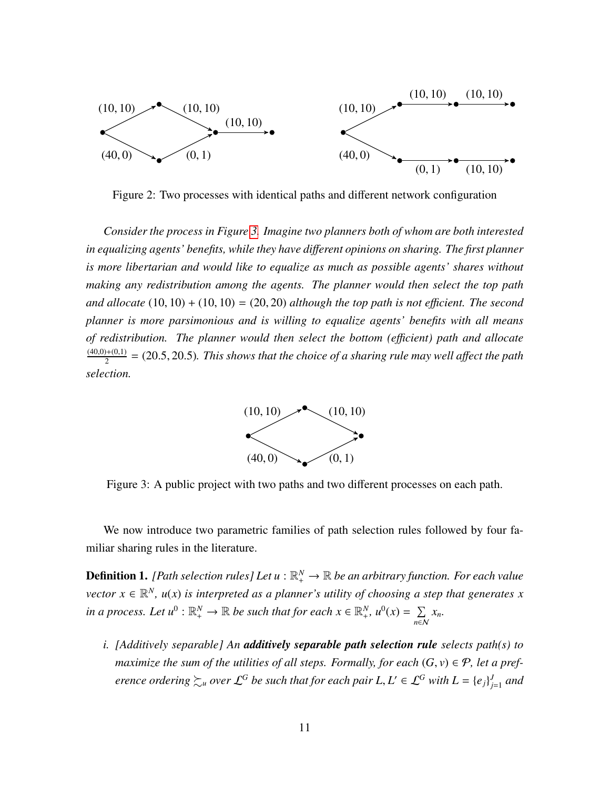<span id="page-12-0"></span>

Figure 2: Two processes with identical paths and different network configuration

*Consider the process in Figure [3.](#page-12-1) Imagine two planners both of whom are both interested in equalizing agents' benefits, while they have di*ff*erent opinions on sharing. The first planner is more libertarian and would like to equalize as much as possible agents' shares without making any redistribution among the agents. The planner would then select the top path and allocate*  $(10, 10) + (10, 10) = (20, 20)$  *although the top path is not efficient. The second planner is more parsimonious and is willing to equalize agents' benefits with all means of redistribution. The planner would then select the bottom (e*ffi*cient) path and allocate*  $\frac{(40,0)+(0,1)}{2}$  = (20.5, 20.5). This shows that the choice of a sharing rule may well affect the path *selection.*



<span id="page-12-1"></span>Figure 3: A public project with two paths and two different processes on each path.

We now introduce two parametric families of path selection rules followed by four familiar sharing rules in the literature.

<span id="page-12-2"></span>**Definition 1.** [Path selection rules] Let  $u : \mathbb{R}^N_+ \to \mathbb{R}$  be an arbitrary function. For each value *vector*  $x \in \mathbb{R}^N$ ,  $u(x)$  *is interpreted as a planner's utility of choosing a step that generates* x *in a process. Let*  $u^0$  :  $\mathbb{R}^N_+ \to \mathbb{R}$  *be such that for each*  $x \in \mathbb{R}^N_+$ ,  $u^0(x) = \sum$  $\sum_{n \in \mathcal{N}} x_n$ .

*i. [Additively separable] An additively separable path selection rule selects path(s) to maximize the sum of the utilities of all steps. Formally, for each*  $(G, v) \in \mathcal{P}$ *, let a preference ordering*  $\succsim_u$  *over*  $\mathcal{L}^G$  *be such that for each pair*  $L, L' \in \mathcal{L}^G$  *with*  $L = \{e_j\}^J_j$ *j*=1 *and*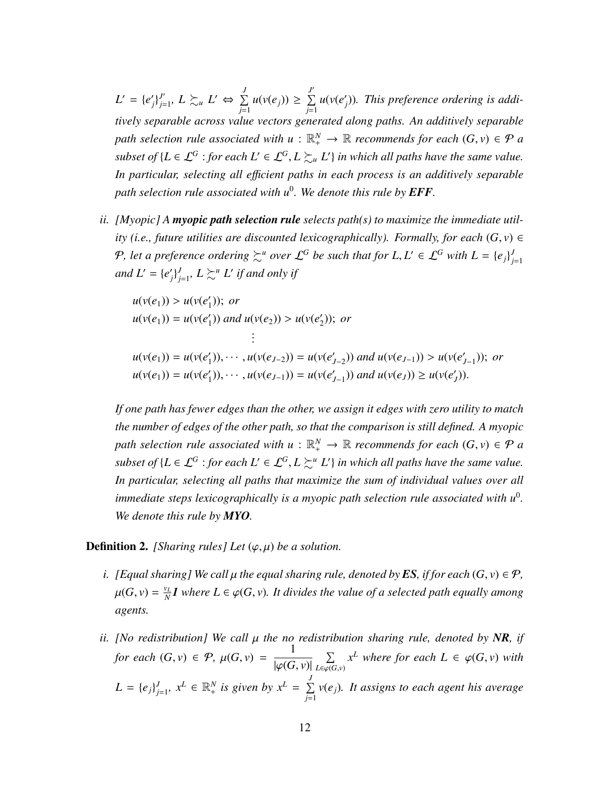$L' = \{e\}$  $\sum_{j=1}^{J'}$  $J'_{j=1}, L \succsim u L' \Leftrightarrow \sum_{i=1}^{J}$  $\sum_{j=1}^{J} u(v(e_j)) \geq \sum_{j=1}^{J'}$  $\overline{\Sigma}$ *j*=1  $u(v(e))$ *j* ))*. This preference ordering is additively separable across value vectors generated along paths. An additively separable path selection rule associated with*  $u : \mathbb{R}^N_+ \to \mathbb{R}$  *recommends for each*  $(G, v) \in \mathcal{P}$  *a subset of*  $\{L \in \mathcal{L}^G : \text{for each } L' \in \mathcal{L}^G, L \succsim_u L'\}$  *in which all paths have the same value. In particular, selecting all e*ffi*cient paths in each process is an additively separable path selection rule associated with u*<sup>0</sup> *. We denote this rule by EFF.*

*ii. [Myopic] A myopic path selection rule selects path(s) to maximize the immediate utility (i.e., future utilities are discounted lexicographically). Formally, for each*  $(G, v) \in$ P, let a preference ordering  $\succsim^u$  over  $\mathcal{L}^G$  be such that for  $L, L' \in \mathcal{L}^G$  with  $L = \{e_j\}_j^J$ *j*=1 *and*  $L' = \{e'_{\hat{i}}\}$ *j* } *J*  $J_{j=1}$ ,  $L \gtrsim^u L'$  if and only if

$$
u(v(e_1)) > u(v(e'_1)); \text{ or}
$$
  
\n
$$
u(v(e_1)) = u(v(e'_1)) \text{ and } u(v(e_2)) > u(v(e'_2)); \text{ or}
$$
  
\n
$$
\vdots
$$
  
\n
$$
u(v(e_1)) = u(v(e'_1)), \cdots, u(v(e_{J-2})) = u(v(e'_{J-2})) \text{ and } u(v(e_{J-1})) > u(v(e'_{J-1}));
$$
  
\n
$$
u(v(e_1)) = u(v(e'_1)), \cdots, u(v(e_{J-1})) = u(v(e'_{J-1})) \text{ and } u(v(e_J)) \ge u(v(e'_J)).
$$

)); *or*

*If one path has fewer edges than the other, we assign it edges with zero utility to match the number of edges of the other path, so that the comparison is still defined. A myopic path selection rule associated with*  $u : \mathbb{R}^N_+ \to \mathbb{R}$  *recommends for each*  $(G, v) \in \mathcal{P}$  *a subset of*  $\{L \in \mathcal{L}^G : \text{for each } L' \in \mathcal{L}^G, L \succsim^u L'\}$  in which all paths have the same value. *In particular, selecting all paths that maximize the sum of individual values over all* immediate steps lexicographically is a myopic path selection rule associated with  $u^0$ . *We denote this rule by MYO.*

**Definition 2.** *[Sharing rules] Let*  $(\varphi, \mu)$  *be a solution.* 

- *i. [Equal sharing]* We call  $\mu$  *the equal sharing rule, denoted by ES, if for each*  $(G, v) \in \mathcal{P}$ *,*  $\mu(G, v) = \frac{v_L}{N}$  $\frac{N_L}{N}$ *I where*  $L \in \varphi(G, v)$ *. It divides the value of a selected path equally among agents.*
- *ii. [No redistribution] We call* µ *the no redistribution sharing rule, denoted by NR, if for each*  $(G, v) \in \mathcal{P}$ ,  $\mu(G, v) = \frac{1}{|\varphi(G)|}$  $\frac{1}{\left|\varphi(G,v)\right|}\sum\limits_{J}\sum\limits_{L\in\varphi(G)}$ *<sup>L</sup>*∈ϕ(*G*,*v*)  $x^L$  *where for each*  $L \in \varphi(G, v)$  *with*  $L = \{e_j\}^J_i$ *J*<sub>*j*=1</sub>,  $x^L \in \mathbb{R}^N_+$  *is given by*  $x^L = \sum_{i=1}^J$  $\sum_{j=1}^{\infty}$   $v(e_j)$ *. It assigns to each agent his average*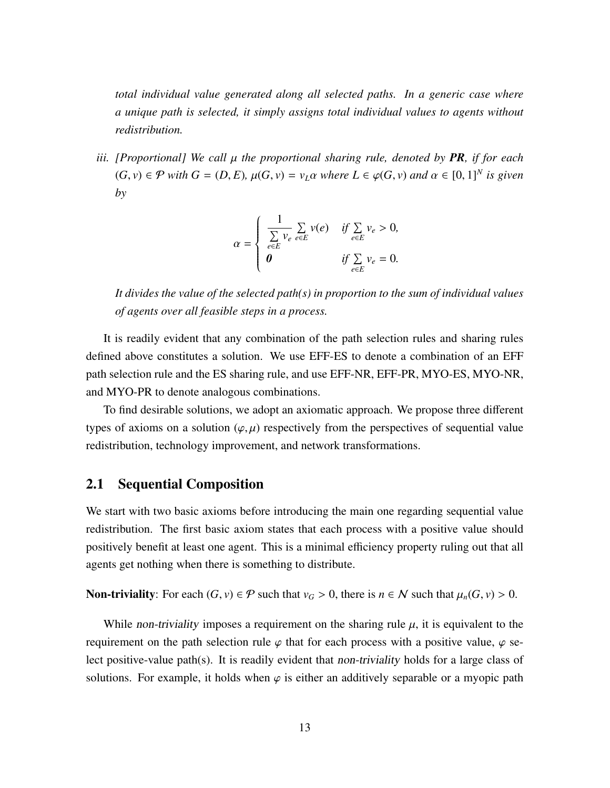*total individual value generated along all selected paths. In a generic case where a unique path is selected, it simply assigns total individual values to agents without redistribution.*

*iii. [Proportional] We call* µ *the proportional sharing rule, denoted by PR, if for each*  $(G, v) \in \mathcal{P}$  *with*  $G = (D, E)$ ,  $\mu(G, v) = v_L \alpha$  *where*  $L \in \varphi(G, v)$  *and*  $\alpha \in [0, 1]^N$  *is given by*

$$
\alpha = \begin{cases} \frac{1}{\sum\limits_{e \in E} v_e} \sum\limits_{e \in E} v(e) & \text{if } \sum\limits_{e \in E} v_e > 0, \\ \mathbf{0} & \text{if } \sum\limits_{e \in E} v_e = 0. \end{cases}
$$

*It divides the value of the selected path(s) in proportion to the sum of individual values of agents over all feasible steps in a process.*

It is readily evident that any combination of the path selection rules and sharing rules defined above constitutes a solution. We use EFF-ES to denote a combination of an EFF path selection rule and the ES sharing rule, and use EFF-NR, EFF-PR, MYO-ES, MYO-NR, and MYO-PR to denote analogous combinations.

To find desirable solutions, we adopt an axiomatic approach. We propose three different types of axioms on a solution  $(\varphi, \mu)$  respectively from the perspectives of sequential value redistribution, technology improvement, and network transformations.

#### <span id="page-14-0"></span>2.1 Sequential Composition

We start with two basic axioms before introducing the main one regarding sequential value redistribution. The first basic axiom states that each process with a positive value should positively benefit at least one agent. This is a minimal efficiency property ruling out that all agents get nothing when there is something to distribute.

**Non-triviality**: For each  $(G, v) \in \mathcal{P}$  such that  $v_G > 0$ , there is  $n \in \mathcal{N}$  such that  $\mu_n(G, v) > 0$ .

While non-triviality imposes a requirement on the sharing rule  $\mu$ , it is equivalent to the requirement on the path selection rule  $\varphi$  that for each process with a positive value,  $\varphi$  select positive-value path(s). It is readily evident that non-triviality holds for a large class of solutions. For example, it holds when  $\varphi$  is either an additively separable or a myopic path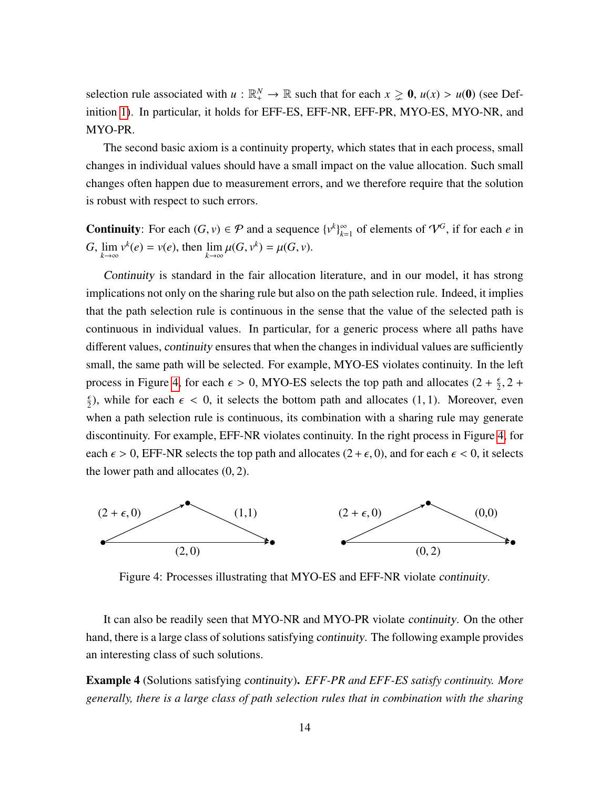selection rule associated with  $u : \mathbb{R}^N_+ \to \mathbb{R}$  such that for each  $x \ge 0$ ,  $u(x) > u(0)$  (see Definition [1\)](#page-12-2). In particular, it holds for EFF-ES, EFF-NR, EFF-PR, MYO-ES, MYO-NR, and MYO-PR.

The second basic axiom is a continuity property, which states that in each process, small changes in individual values should have a small impact on the value allocation. Such small changes often happen due to measurement errors, and we therefore require that the solution is robust with respect to such errors.

**Continuity:** For each  $(G, v) \in \mathcal{P}$  and a sequence  $\{v^k\}_{k=0}^{\infty}$  $\sum_{k=1}^{\infty}$  of elements of  $\mathcal{V}^G$ , if for each *e* in *G*,  $\lim_{k \to \infty} v^k(e) = v(e)$ , then  $\lim_{k \to \infty} \mu(G, v^k) = \mu(G, v)$ .

Continuity is standard in the fair allocation literature, and in our model, it has strong implications not only on the sharing rule but also on the path selection rule. Indeed, it implies that the path selection rule is continuous in the sense that the value of the selected path is continuous in individual values. In particular, for a generic process where all paths have different values, continuity ensures that when the changes in individual values are sufficiently small, the same path will be selected. For example, MYO-ES violates continuity. In the left process in Figure [4,](#page-15-0) for each  $\epsilon > 0$ , MYO-ES selects the top path and allocates  $(2 + \frac{\epsilon}{2}, 2 + \epsilon)$  $\frac{\epsilon}{2}$ ), while for each  $\epsilon$  < 0, it selects the bottom path and allocates (1, 1). Moreover, even when a path selection rule is continuous, its combination with a sharing rule may generate discontinuity. For example, EFF-NR violates continuity. In the right process in Figure [4,](#page-15-0) for each  $\epsilon > 0$ , EFF-NR selects the top path and allocates  $(2 + \epsilon, 0)$ , and for each  $\epsilon < 0$ , it selects the lower path and allocates  $(0, 2)$ .

<span id="page-15-0"></span>

Figure 4: Processes illustrating that MYO-ES and EFF-NR violate continuity.

It can also be readily seen that MYO-NR and MYO-PR violate continuity. On the other hand, there is a large class of solutions satisfying continuity. The following example provides an interesting class of such solutions.

<span id="page-15-1"></span>Example 4 (Solutions satisfying continuity). *EFF-PR and EFF-ES satisfy continuity. More generally, there is a large class of path selection rules that in combination with the sharing*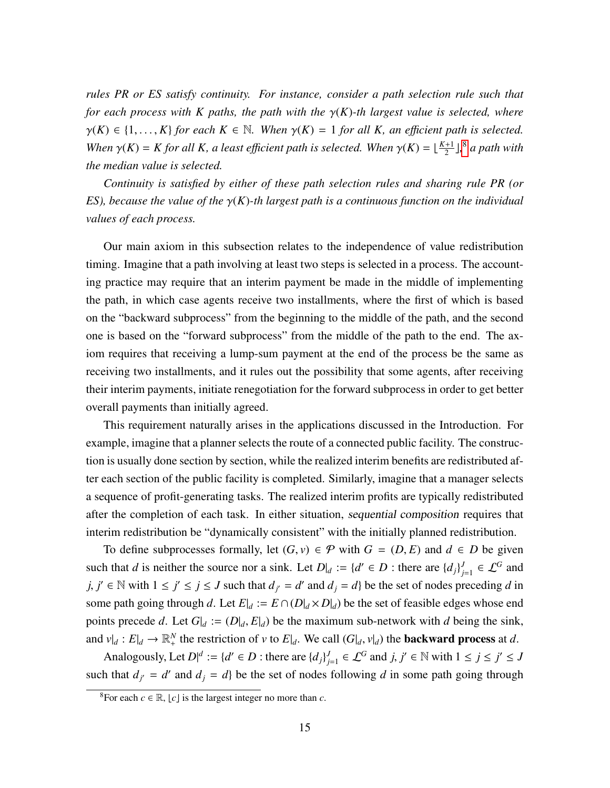*rules PR or ES satisfy continuity. For instance, consider a path selection rule such that for each process with K paths, the path with the*  $\gamma(K)$ -th largest value is selected, where  $\gamma(K) \in \{1, \ldots, K\}$  for each  $K \in \mathbb{N}$ . When  $\gamma(K) = 1$  for all K, an efficient path is selected. *When*  $\gamma(K) = K$  *for all K, a least efficient path is selected. When*  $\gamma(K) = \lfloor \frac{K+1}{2} \rfloor$  $\frac{+1}{2}$ ],<sup>[8](#page-0-0)</sup> a path with *the median value is selected.*

*Continuity is satisfied by either of these path selection rules and sharing rule PR (or ES), because the value of the* γ(*K*)*-th largest path is a continuous function on the individual values of each process.*

Our main axiom in this subsection relates to the independence of value redistribution timing. Imagine that a path involving at least two steps is selected in a process. The accounting practice may require that an interim payment be made in the middle of implementing the path, in which case agents receive two installments, where the first of which is based on the "backward subprocess" from the beginning to the middle of the path, and the second one is based on the "forward subprocess" from the middle of the path to the end. The axiom requires that receiving a lump-sum payment at the end of the process be the same as receiving two installments, and it rules out the possibility that some agents, after receiving their interim payments, initiate renegotiation for the forward subprocess in order to get better overall payments than initially agreed.

This requirement naturally arises in the applications discussed in the Introduction. For example, imagine that a planner selects the route of a connected public facility. The construction is usually done section by section, while the realized interim benefits are redistributed after each section of the public facility is completed. Similarly, imagine that a manager selects a sequence of profit-generating tasks. The realized interim profits are typically redistributed after the completion of each task. In either situation, sequential composition requires that interim redistribution be "dynamically consistent" with the initially planned redistribution.

To define subprocesses formally, let  $(G, v) \in \mathcal{P}$  with  $G = (D, E)$  and  $d \in D$  be given such that *d* is neither the source nor a sink. Let  $D|_d := \{d' \in D : \text{there are } \{d_j\}^J$  $j=1}$   $\in \mathcal{L}^G$  and *j*, *j*<sup> $\prime$ </sup> ∈ N with 1 ≤ *j*<sup> $\prime$ </sup> ≤ *j* ≤ *J* such that  $d_{j'} = d'$  and  $d_{j} = d$ } be the set of nodes preceding *d* in some path going through *d*. Let  $E|_d := E \cap (D|_d \times D|_d)$  be the set of feasible edges whose end points precede *d*. Let  $G|_d := (D|_d, E|_d)$  be the maximum sub-network with *d* being the sink, and  $v|_d : E|_d \to \mathbb{R}^N_+$  the restriction of  $v$  to  $E|_d$ . We call  $(G|_d, v|_d)$  the **backward process** at  $d$ .

Analogously, Let  $D \mid d' := \{ d' \in D : \text{there are } \{ d_j \}_{j=1}^J$ *j*<sub>=1</sub>  $\in \mathcal{L}^G$  and *j*, *j'*  $\in \mathbb{N}$  with  $1 \le j \le j' \le J$ such that  $d_f = d'$  and  $d_f = d$  be the set of nodes following *d* in some path going through

<sup>&</sup>lt;sup>8</sup>For each  $c \in \mathbb{R}$ ,  $|c|$  is the largest integer no more than *c*.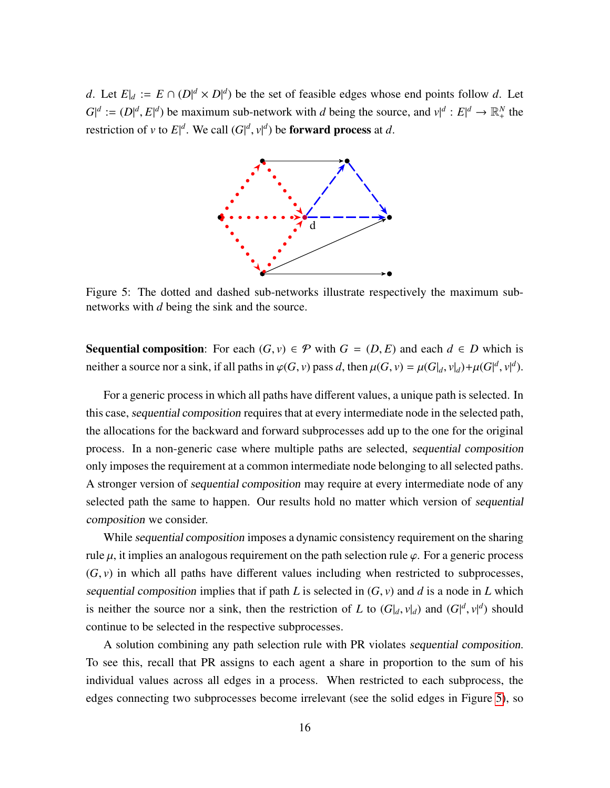<span id="page-17-0"></span>*d*. Let  $E|_d := E \cap (D|^{d} \times D|^{d})$  be the set of feasible edges whose end points follow *d*. Let  $G|^{d} := (D|^{d}, E|^{d})$  be maximum sub-network with *d* being the source, and  $v|^{d} : E|^{d} \to \mathbb{R}_{+}^{N}$  the restriction of *v* to  $E|^d$ . We call  $(G|^d, v|^d)$  be **forward process** at *d*.



Figure 5: The dotted and dashed sub-networks illustrate respectively the maximum subnetworks with *d* being the sink and the source.

Sequential composition: For each  $(G, v) \in \mathcal{P}$  with  $G = (D, E)$  and each  $d \in D$  which is neither a source nor a sink, if all paths in  $\varphi(G, v)$  pass *d*, then  $\mu(G, v) = \mu(G|_d, v|_d) + \mu(G|^d, v|^d)$ .

For a generic process in which all paths have different values, a unique path is selected. In this case, sequential composition requires that at every intermediate node in the selected path, the allocations for the backward and forward subprocesses add up to the one for the original process. In a non-generic case where multiple paths are selected, sequential composition only imposes the requirement at a common intermediate node belonging to all selected paths. A stronger version of sequential composition may require at every intermediate node of any selected path the same to happen. Our results hold no matter which version of sequential composition we consider.

While *sequential composition* imposes a dynamic consistency requirement on the sharing rule  $\mu$ , it implies an analogous requirement on the path selection rule  $\varphi$ . For a generic process  $(G, v)$  in which all paths have different values including when restricted to subprocesses, sequential composition implies that if path *L* is selected in  $(G, v)$  and *d* is a node in *L* which is neither the source nor a sink, then the restriction of *L* to  $(G|_d, v|_d)$  and  $(G|^d, v|^d)$  should continue to be selected in the respective subprocesses.

A solution combining any path selection rule with PR violates sequential composition. To see this, recall that PR assigns to each agent a share in proportion to the sum of his individual values across all edges in a process. When restricted to each subprocess, the edges connecting two subprocesses become irrelevant (see the solid edges in Figure [5\)](#page-17-0), so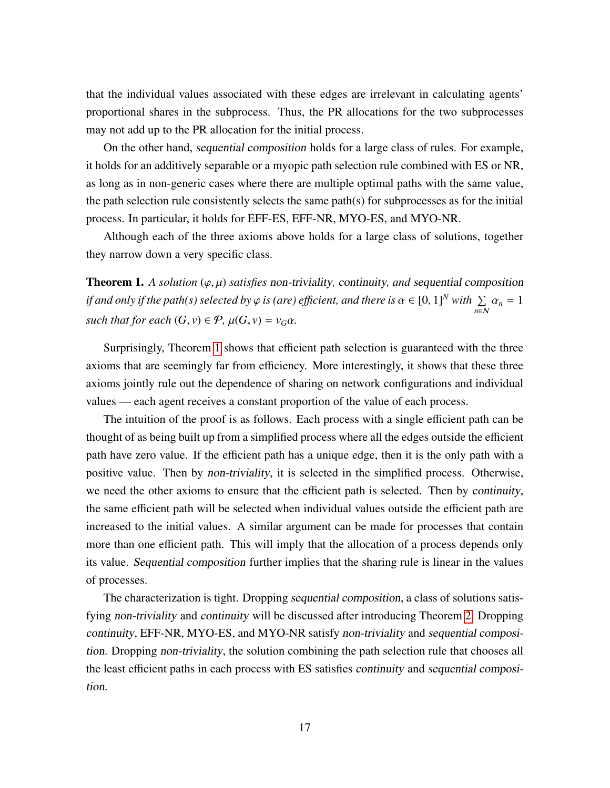that the individual values associated with these edges are irrelevant in calculating agents' proportional shares in the subprocess. Thus, the PR allocations for the two subprocesses may not add up to the PR allocation for the initial process.

On the other hand, sequential composition holds for a large class of rules. For example, it holds for an additively separable or a myopic path selection rule combined with ES or NR, as long as in non-generic cases where there are multiple optimal paths with the same value, the path selection rule consistently selects the same path(s) for subprocesses as for the initial process. In particular, it holds for EFF-ES, EFF-NR, MYO-ES, and MYO-NR.

Although each of the three axioms above holds for a large class of solutions, together they narrow down a very specific class.

<span id="page-18-0"></span>**Theorem 1.** A solution  $(\varphi, \mu)$  satisfies non-triviality, continuity, and sequential composition *if and only if the path(s) selected by*  $\varphi$  *is (are) efficient, and there is*  $\alpha \in [0, 1]^N$  *with*  $\sum_{n \in N} \alpha_n = 1$ *n*∈N *such that for each*  $(G, v) \in \mathcal{P}$ ,  $\mu(G, v) = \nu_G \alpha$ .

Surprisingly, Theorem [1](#page-18-0) shows that efficient path selection is guaranteed with the three axioms that are seemingly far from efficiency. More interestingly, it shows that these three axioms jointly rule out the dependence of sharing on network configurations and individual values — each agent receives a constant proportion of the value of each process.

The intuition of the proof is as follows. Each process with a single efficient path can be thought of as being built up from a simplified process where all the edges outside the efficient path have zero value. If the efficient path has a unique edge, then it is the only path with a positive value. Then by non-triviality, it is selected in the simplified process. Otherwise, we need the other axioms to ensure that the efficient path is selected. Then by continuity, the same efficient path will be selected when individual values outside the efficient path are increased to the initial values. A similar argument can be made for processes that contain more than one efficient path. This will imply that the allocation of a process depends only its value. Sequential composition further implies that the sharing rule is linear in the values of processes.

The characterization is tight. Dropping sequential composition, a class of solutions satisfying non-triviality and continuity will be discussed after introducing Theorem [2.](#page-20-0) Dropping continuity, EFF-NR, MYO-ES, and MYO-NR satisfy non-triviality and sequential composition. Dropping non-triviality, the solution combining the path selection rule that chooses all the least efficient paths in each process with ES satisfies continuity and sequential composition.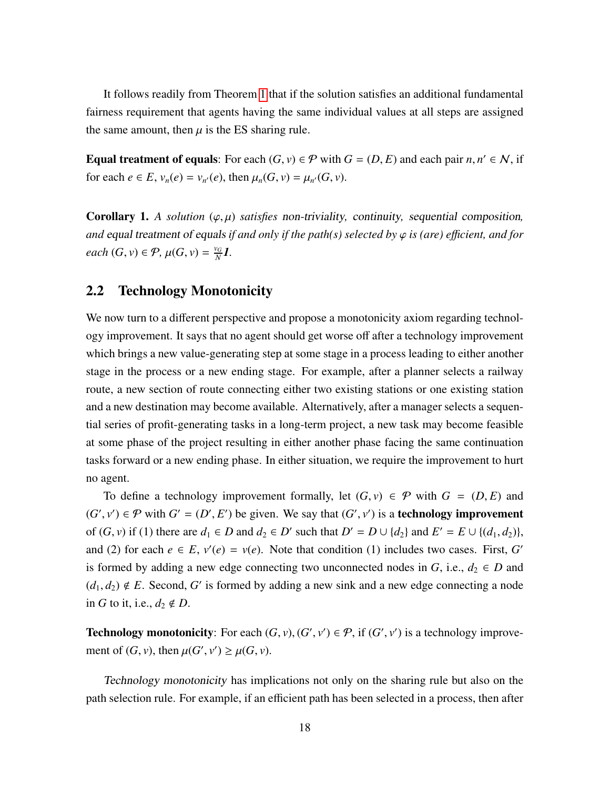It follows readily from Theorem [1](#page-18-0) that if the solution satisfies an additional fundamental fairness requirement that agents having the same individual values at all steps are assigned the same amount, then  $\mu$  is the ES sharing rule.

**Equal treatment of equals:** For each  $(G, v) \in \mathcal{P}$  with  $G = (D, E)$  and each pair  $n, n' \in \mathcal{N}$ , if for each  $e \in E$ ,  $v_n(e) = v_{n'}(e)$ , then  $\mu_n(G, v) = \mu_{n'}(G, v)$ .

Corollary 1. A *solution*  $(\varphi, \mu)$  *satisfies* non-triviality, continuity, sequential composition, *and* equal treatment of equals *if and only if the path(s) selected by*  $\varphi$  *is (are) efficient, and for*  $\text{each}(G, v) \in \mathcal{P}, \mu(G, v) = \frac{v_G}{N}$  $\frac{\nu_G}{N}$ **1**.

### 2.2 Technology Monotonicity

We now turn to a different perspective and propose a monotonicity axiom regarding technology improvement. It says that no agent should get worse off after a technology improvement which brings a new value-generating step at some stage in a process leading to either another stage in the process or a new ending stage. For example, after a planner selects a railway route, a new section of route connecting either two existing stations or one existing station and a new destination may become available. Alternatively, after a manager selects a sequential series of profit-generating tasks in a long-term project, a new task may become feasible at some phase of the project resulting in either another phase facing the same continuation tasks forward or a new ending phase. In either situation, we require the improvement to hurt no agent.

To define a technology improvement formally, let  $(G, v) \in \mathcal{P}$  with  $G = (D, E)$  and  $(G', v') \in \mathcal{P}$  with  $G' = (D', E')$  be given. We say that  $(G', v')$  is a **technology improvement** of (*G*, *v*) if (1) there are *d*<sub>1</sub> ∈ *D* and *d*<sub>2</sub> ∈ *D'* such that *D'* = *D* ∪ {*d*<sub>2</sub>} and *E'* = *E* ∪ {(*d*<sub>1</sub>,*d*<sub>2</sub>)}, and (2) for each  $e \in E$ ,  $v'(e) = v(e)$ . Note that condition (1) includes two cases. First, G' is formed by adding a new edge connecting two unconnected nodes in *G*, i.e.,  $d_2 \in D$  and  $(d_1, d_2) \notin E$ . Second, *G'* is formed by adding a new sink and a new edge connecting a node in *G* to it, i.e.,  $d_2 \notin D$ .

**Technology monotonicity:** For each  $(G, v), (G', v') \in \mathcal{P}$ , if  $(G', v')$  is a technology improvement of  $(G, v)$ , then  $\mu(G', v') \ge \mu(G, v)$ .

Technology monotonicity has implications not only on the sharing rule but also on the path selection rule. For example, if an efficient path has been selected in a process, then after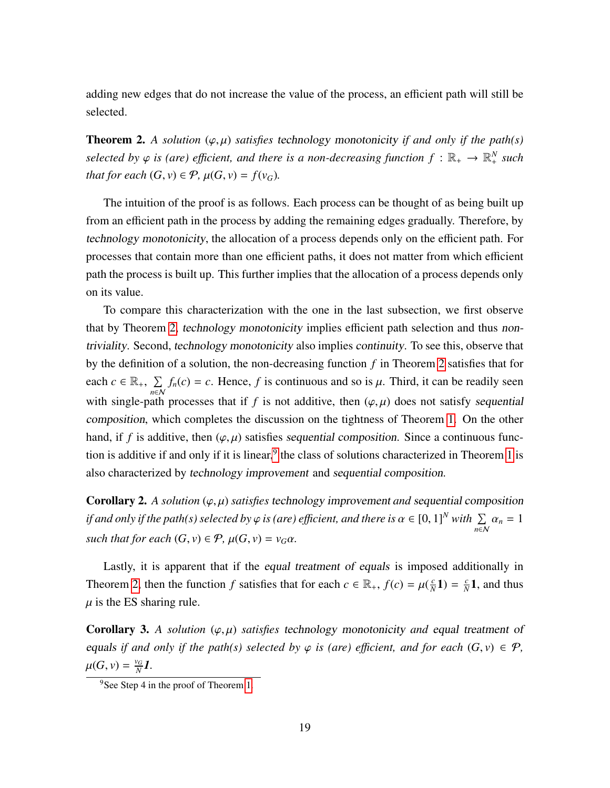adding new edges that do not increase the value of the process, an efficient path will still be selected.

<span id="page-20-0"></span>**Theorem 2.** A solution  $(\varphi, \mu)$  satisfies technology monotonicity if and only if the path(s) *selected by*  $\varphi$  *is (are) efficient, and there is a non-decreasing function*  $f : \mathbb{R}_+ \to \mathbb{R}_+^N$  *such*<br> $d \cdot (G \to G \to G \to G \to G$ *that for each*  $(G, v) \in \mathcal{P}$ ,  $\mu(G, v) = f(v_G)$ .

The intuition of the proof is as follows. Each process can be thought of as being built up from an efficient path in the process by adding the remaining edges gradually. Therefore, by technology monotonicity, the allocation of a process depends only on the efficient path. For processes that contain more than one efficient paths, it does not matter from which efficient path the process is built up. This further implies that the allocation of a process depends only on its value.

To compare this characterization with the one in the last subsection, we first observe that by Theorem [2,](#page-20-0) technology monotonicity implies efficient path selection and thus nontriviality. Second, technology monotonicity also implies continuity. To see this, observe that by the definition of a solution, the non-decreasing function *f* in Theorem [2](#page-20-0) satisfies that for each  $c \in \mathbb{R}_+$ ,  $\Sigma$  $\sum_{n \in \mathbb{N}} f_n(c) = c$ . Hence, *f* is continuous and so is  $\mu$ . Third, it can be readily seen with single-path processes that if *f* is not additive, then  $(\varphi, \mu)$  does not satisfy sequential composition, which completes the discussion on the tightness of Theorem [1.](#page-18-0) On the other hand, if *f* is additive, then  $(\varphi, \mu)$  satisfies sequential composition. Since a continuous function is additive if and only if it is linear,  $9$  the class of solutions characterized in Theorem [1](#page-18-0) is also characterized by technology improvement and sequential composition.

**Corollary 2.** A solution  $(\varphi, \mu)$  satisfies technology improvement and sequential composition *if and only if the path(s) selected by*  $\varphi$  *is (are) efficient, and there is*  $\alpha \in [0, 1]^N$  *with*  $\sum_{n \in N} \alpha_n = 1$ *such that for each*  $(G, v) \in \mathcal{P}$ ,  $\mu(G, v) = \nu_G \alpha$ .

Lastly, it is apparent that if the equal treatment of equals is imposed additionally in Theorem [2,](#page-20-0) then the function *f* satisfies that for each  $c \in \mathbb{R}_+$ ,  $f(c) = \mu(\frac{c}{N})$  $\frac{c}{N}$ **1**) =  $\frac{c}{N}$  $\frac{c}{N}$ **1**, and thus  $\mu$  is the ES sharing rule.

**Corollary 3.** A solution  $(\varphi, \mu)$  satisfies technology monotonicity and equal treatment of equals *if and only if the path(s) selected by*  $\varphi$  *is (are) efficient, and for each (G, v)*  $\in \mathcal{P}$ *,*  $\frac{\mu(G, v) = \frac{v_G}{N}}{v}$  $\frac{\nu_G}{N}$ **1**.

<sup>&</sup>lt;sup>9</sup>See Step 4 in the proof of Theorem [1.](#page-18-0)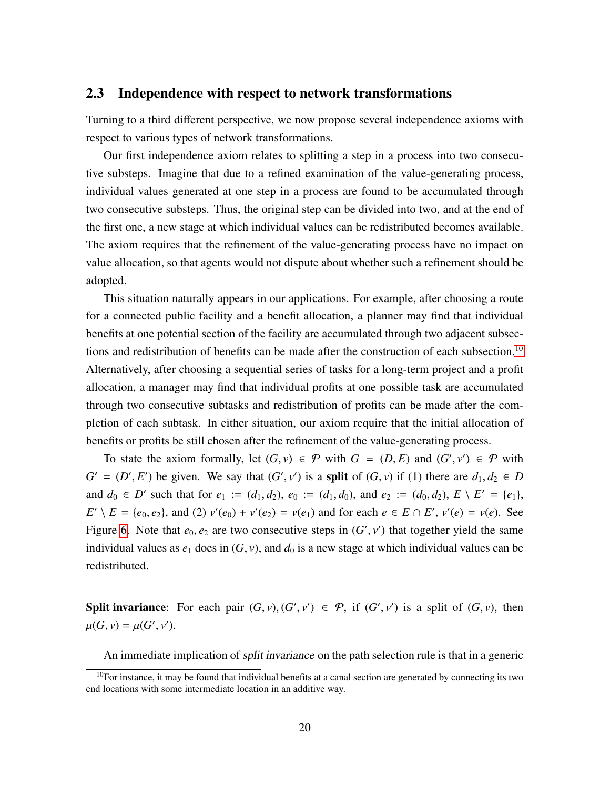### 2.3 Independence with respect to network transformations

Turning to a third different perspective, we now propose several independence axioms with respect to various types of network transformations.

Our first independence axiom relates to splitting a step in a process into two consecutive substeps. Imagine that due to a refined examination of the value-generating process, individual values generated at one step in a process are found to be accumulated through two consecutive substeps. Thus, the original step can be divided into two, and at the end of the first one, a new stage at which individual values can be redistributed becomes available. The axiom requires that the refinement of the value-generating process have no impact on value allocation, so that agents would not dispute about whether such a refinement should be adopted.

This situation naturally appears in our applications. For example, after choosing a route for a connected public facility and a benefit allocation, a planner may find that individual benefits at one potential section of the facility are accumulated through two adjacent subsec-tions and redistribution of benefits can be made after the construction of each subsection.<sup>[10](#page-0-0)</sup> Alternatively, after choosing a sequential series of tasks for a long-term project and a profit allocation, a manager may find that individual profits at one possible task are accumulated through two consecutive subtasks and redistribution of profits can be made after the completion of each subtask. In either situation, our axiom require that the initial allocation of benefits or profits be still chosen after the refinement of the value-generating process.

To state the axiom formally, let  $(G, v) \in \mathcal{P}$  with  $G = (D, E)$  and  $(G', v') \in \mathcal{P}$  with  $G' = (D', E')$  be given. We say that  $(G', v')$  is a **split** of  $(G, v)$  if (1) there are  $d_1, d_2 \in D$ and  $d_0 \in D'$  such that for  $e_1 := (d_1, d_2), e_0 := (d_1, d_0),$  and  $e_2 := (d_0, d_2), E \setminus E' = \{e_1\},$  $E' \setminus E = \{e_0, e_2\}$ , and (2)  $v'(e_0) + v'(e_2) = v(e_1)$  and for each  $e \in E \cap E'$ ,  $v'(e) = v(e)$ . See Figure [6.](#page-22-0) Note that  $e_0$ ,  $e_2$  are two consecutive steps in  $(G', v')$  that together yield the same individual values as  $e_1$  does in  $(G, v)$ , and  $d_0$  is a new stage at which individual values can be redistributed.

Split invariance: For each pair  $(G, v), (G', v') \in \mathcal{P}$ , if  $(G', v')$  is a split of  $(G, v)$ , then  $\mu(G, v) = \mu(G', v').$ 

An immediate implication of split invariance on the path selection rule is that in a generic

 $10$ For instance, it may be found that individual benefits at a canal section are generated by connecting its two end locations with some intermediate location in an additive way.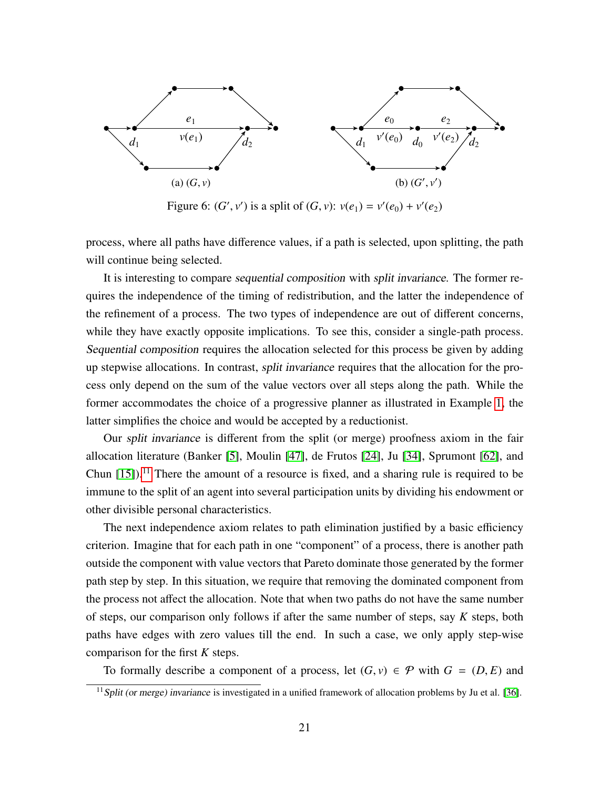<span id="page-22-0"></span>

Figure 6:  $(G', v')$  is a split of  $(G, v)$ :  $v(e_1) = v'(e_0) + v'(e_2)$ 

process, where all paths have difference values, if a path is selected, upon splitting, the path will continue being selected.

It is interesting to compare sequential composition with split invariance. The former requires the independence of the timing of redistribution, and the latter the independence of the refinement of a process. The two types of independence are out of different concerns, while they have exactly opposite implications. To see this, consider a single-path process. Sequential composition requires the allocation selected for this process be given by adding up stepwise allocations. In contrast, split invariance requires that the allocation for the process only depend on the sum of the value vectors over all steps along the path. While the former accommodates the choice of a progressive planner as illustrated in Example [1,](#page-12-2) the latter simplifies the choice and would be accepted by a reductionist.

Our split invariance is different from the split (or merge) proofness axiom in the fair allocation literature (Banker [\[5\]](#page-57-6), Moulin [\[47\]](#page-60-8), de Frutos [\[24\]](#page-58-10), Ju [\[34\]](#page-59-8), Sprumont [\[62\]](#page-61-7), and Chun  $[15]$ .<sup>[11](#page-0-0)</sup> There the amount of a resource is fixed, and a sharing rule is required to be immune to the split of an agent into several participation units by dividing his endowment or other divisible personal characteristics.

The next independence axiom relates to path elimination justified by a basic efficiency criterion. Imagine that for each path in one "component" of a process, there is another path outside the component with value vectors that Pareto dominate those generated by the former path step by step. In this situation, we require that removing the dominated component from the process not affect the allocation. Note that when two paths do not have the same number of steps, our comparison only follows if after the same number of steps, say *K* steps, both paths have edges with zero values till the end. In such a case, we only apply step-wise comparison for the first *K* steps.

To formally describe a component of a process, let  $(G, v) \in \mathcal{P}$  with  $G = (D, E)$  and

 $11$  Split (or merge) invariance is investigated in a unified framework of allocation problems by Ju et al. [\[36\]](#page-59-9).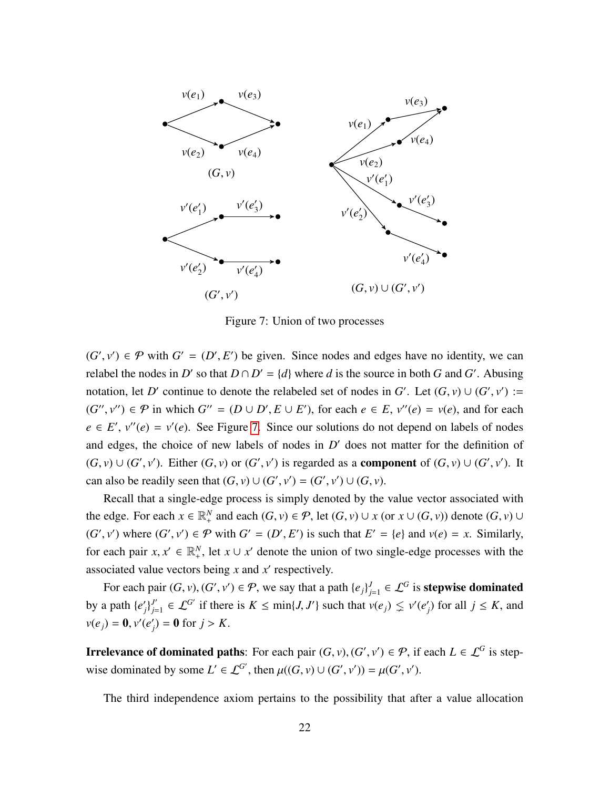<span id="page-23-0"></span>

Figure 7: Union of two processes

 $(G', v') \in \mathcal{P}$  with  $G' = (D', E')$  be given. Since nodes and edges have no identity, we can relabel the nodes in *D*' so that  $D \cap D' = \{d\}$  where *d* is the source in both *G* and *G*'. Abusing notation, let *D'* continue to denote the relabeled set of nodes in *G'*. Let  $(G, v) \cup (G', v') :=$  $(G'', v'') \in \mathcal{P}$  in which  $G'' = (D \cup D', E \cup E')$ , for each  $e \in E$ ,  $v''(e) = v(e)$ , and for each  $e \in E'$ ,  $v''(e) = v'(e)$ . See Figure [7.](#page-23-0) Since our solutions do not depend on labels of nodes and edges, the choice of new labels of nodes in  $D'$  does not matter for the definition of  $(G, v) \cup (G', v')$ . Either  $(G, v)$  or  $(G', v')$  is regarded as a **component** of  $(G, v) \cup (G', v')$ . It can also be readily seen that  $(G, v) \cup (G', v') = (G', v') \cup (G, v)$ .

Recall that a single-edge process is simply denoted by the value vector associated with the edge. For each  $x \in \mathbb{R}_+^N$  and each  $(G, v) \in \mathcal{P}$ , let  $(G, v) \cup x$  (or  $x \cup (G, v)$ ) denote  $(G, v) \cup (G', v)$  $(G', v')$  where  $(G', v') \in \mathcal{P}$  with  $G' = (D', E')$  is such that  $E' = \{e\}$  and  $v(e) = x$ . Similarly, for each pair  $x, x' \in \mathbb{R}_+^N$ , let  $x \cup x'$  denote the union of two single-edge processes with the associated value vectors being  $x$  and  $x'$  respectively.

For each pair  $(G, v), (G', v') \in \mathcal{P}$ , we say that a path  $\{e_j\}^J_j$  $J_{j=1}^J \in \mathcal{L}^G$  is **stepwise dominated** by a path  $\{e_i\}$  $\int_{j}^{'}$ *f*<sup>'</sup>  $\mu$ <sup>*i*</sup> =  $\mu$ <sup>*G*</sup> if there is *K* ≤ min{*J*, *J*<sup>'</sup>} such that *v*(*e<sub>j</sub>*) ≤ *v*<sup>'</sup>(*e'<sub>j</sub>*) ≤ *v*<sup>'</sup> *j*) for all  $j \leq K$ , and  $v(e_j) = 0, v'(e'_j)$  $f_j$ ) = **0** for  $j > K$ .

**Irrelevance of dominated paths:** For each pair  $(G, v), (G', v') \in \mathcal{P}$ , if each  $L \in \mathcal{L}^G$  is stepwise dominated by some  $L' \in \mathcal{L}^{G'}$ , then  $\mu((G, v) \cup (G', v')) = \mu(G', v')$ .

The third independence axiom pertains to the possibility that after a value allocation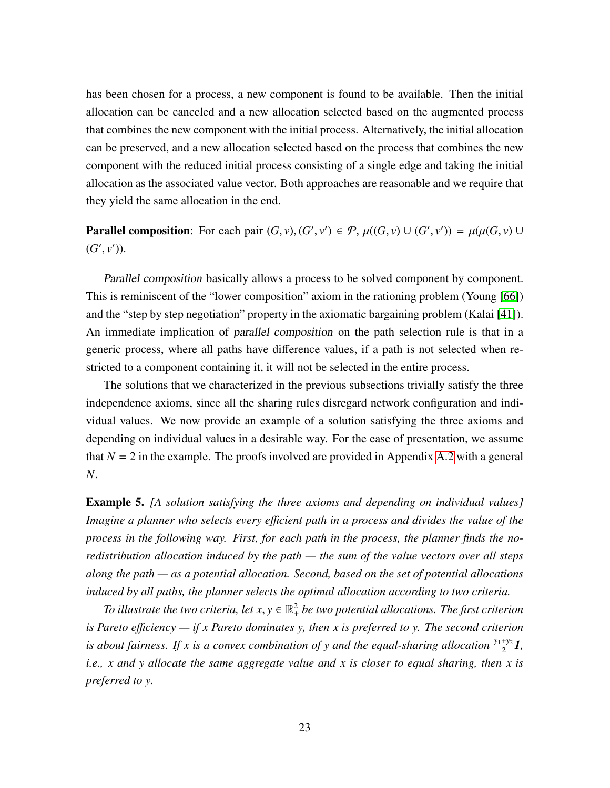has been chosen for a process, a new component is found to be available. Then the initial allocation can be canceled and a new allocation selected based on the augmented process that combines the new component with the initial process. Alternatively, the initial allocation can be preserved, and a new allocation selected based on the process that combines the new component with the reduced initial process consisting of a single edge and taking the initial allocation as the associated value vector. Both approaches are reasonable and we require that they yield the same allocation in the end.

**Parallel composition**: For each pair  $(G, v), (G', v') \in \mathcal{P}$ ,  $\mu((G, v) \cup (G', v')) = \mu(\mu(G, v) \cup (G', v'))$  $(G', v')).$ 

Parallel composition basically allows a process to be solved component by component. This is reminiscent of the "lower composition" axiom in the rationing problem (Young [\[66\]](#page-61-8)) and the "step by step negotiation" property in the axiomatic bargaining problem (Kalai [\[41\]](#page-59-10)). An immediate implication of parallel composition on the path selection rule is that in a generic process, where all paths have difference values, if a path is not selected when restricted to a component containing it, it will not be selected in the entire process.

The solutions that we characterized in the previous subsections trivially satisfy the three independence axioms, since all the sharing rules disregard network configuration and individual values. We now provide an example of a solution satisfying the three axioms and depending on individual values in a desirable way. For the ease of presentation, we assume that  $N = 2$  in the example. The proofs involved are provided in Appendix [A.2](#page-50-0) with a general *N*.

<span id="page-24-0"></span>Example 5. *[A solution satisfying the three axioms and depending on individual values] Imagine a planner who selects every e*ffi*cient path in a process and divides the value of the process in the following way. First, for each path in the process, the planner finds the noredistribution allocation induced by the path — the sum of the value vectors over all steps along the path — as a potential allocation. Second, based on the set of potential allocations induced by all paths, the planner selects the optimal allocation according to two criteria.*

*To illustrate the two criteria, let*  $x, y \in \mathbb{R}^2_+$  *be two potential allocations. The first criterion is Pareto e*ffi*ciency — if x Pareto dominates y, then x is preferred to y. The second criterion is about fairness. If x is a convex combination of y and the equal-sharing allocation*  $\frac{y_1+y_2}{2}$ *I*, *i.e., x and y allocate the same aggregate value and x is closer to equal sharing, then x is preferred to y.*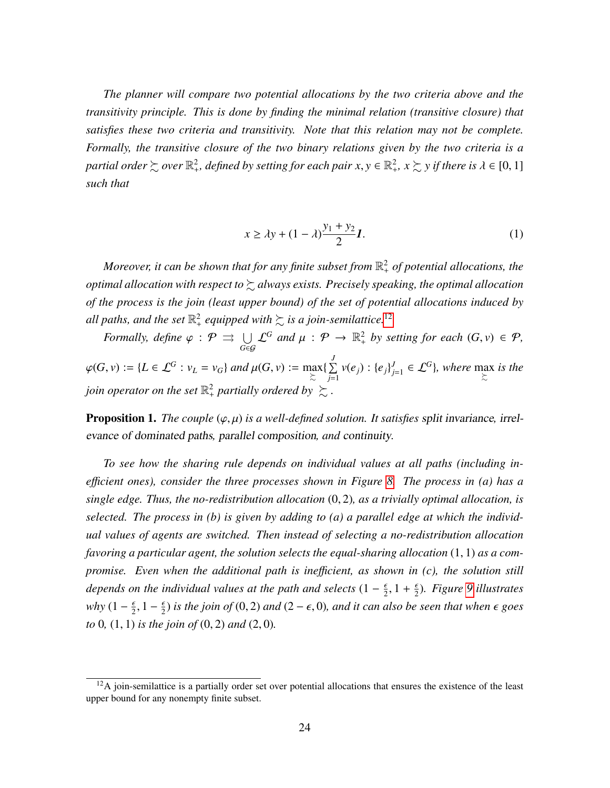*The planner will compare two potential allocations by the two criteria above and the transitivity principle. This is done by finding the minimal relation (transitive closure) that satisfies these two criteria and transitivity. Note that this relation may not be complete. Formally, the transitive closure of the two binary relations given by the two criteria is a*  $partial\ order \gtrsim over \mathbb{R}^2_+$ , defined by setting for each pair  $x, y \in \mathbb{R}^2_+$ ,  $x \gtrsim y$  if there is  $\lambda \in [0, 1]$ *such that*

$$
x \ge \lambda y + (1 - \lambda) \frac{y_1 + y_2}{2} \mathbf{1}.\tag{1}
$$

Moreover, it can be shown that for any finite subset from  $\mathbb{R}_+^2$  of potential allocations, the *optimal allocation with respect to*  $\geq$  *always exists. Precisely speaking, the optimal allocation of the process is the join (least upper bound) of the set of potential allocations induced by* all paths, and the set  $\mathbb{R}^2_+$  equipped with  $\succsim$  is a join-semilattice.<sup>[12](#page-0-0)</sup>

*Formally, define*  $\varphi$  :  $\mathcal{P} \Rightarrow \bigcup_{G \in \mathcal{G}}$  $\bigcup_{G \in \mathcal{G}} \mathcal{L}^G$  *and*  $\mu : \mathcal{P} \to \mathbb{R}^2$ , *by setting for each*  $(G, v) \in \mathcal{P}$ ,  $\varphi(G, v) := \{ L \in \mathcal{L}^G : v_L = v_G \}$  and  $\mu(G, v) := \max_{\substack{\sum \atop \sim j = 1}}^J$  $\sum_{j=1}^{n} v(e_j) : \{e_j\}_{j=1}^{J}$  $J_{j=1}$   $\in \mathcal{L}^G$ , where  $\max_{\succ}$  is the join operator on the set  $\mathbb{R}^2_+$  partially ordered by  $\succsim$  .

**Proposition 1.** *The couple*  $(\varphi, \mu)$  *is a well-defined solution. It satisfies split invariance, irrel*evance of dominated paths*,* parallel composition*, and* continuity*.*

*To see how the sharing rule depends on individual values at all paths (including ine*ffi*cient ones), consider the three processes shown in Figure [8.](#page-26-0) The process in (a) has a single edge. Thus, the no-redistribution allocation* (0, 2)*, as a trivially optimal allocation, is selected. The process in (b) is given by adding to (a) a parallel edge at which the individual values of agents are switched. Then instead of selecting a no-redistribution allocation favoring a particular agent, the solution selects the equal-sharing allocation* (1, 1) *as a compromise. Even when the additional path is ine*ffi*cient, as shown in (c), the solution still depends on the individual values at the path and selects*  $(1 - \frac{\epsilon}{2}, 1 + \frac{\epsilon}{2})$ . Figure [9](#page-26-1) illustrates *why*  $(1 - \frac{\epsilon}{2}, 1 - \frac{\epsilon}{2})$  *is the join of*  $(0, 2)$  *and*  $(2 - \epsilon, 0)$ *, and it can also be seen that when*  $\epsilon$  *goes to* <sup>0</sup>*,* (1, 1) *is the join of* (0, 2) *and* (2, 0)*.*

 $12A$  join-semilattice is a partially order set over potential allocations that ensures the existence of the least upper bound for any nonempty finite subset.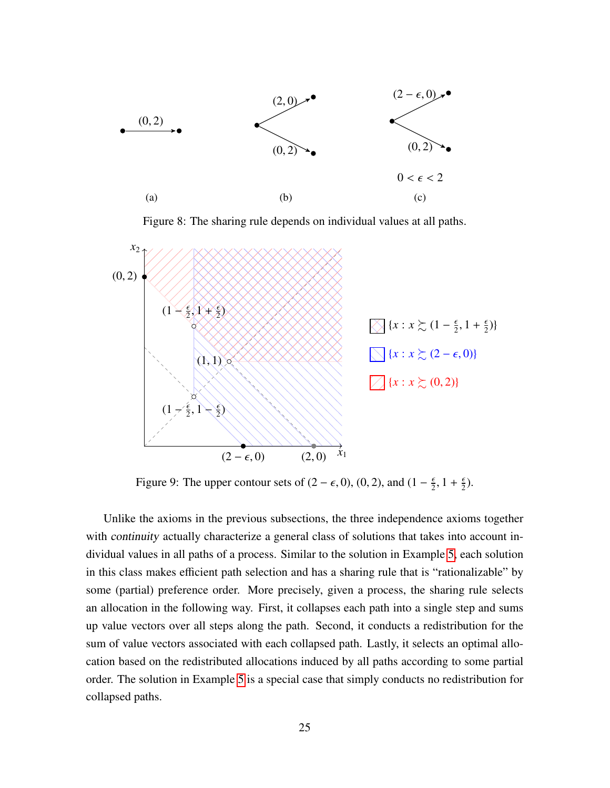<span id="page-26-0"></span>

Figure 8: The sharing rule depends on individual values at all paths.

<span id="page-26-1"></span>

Figure 9: The upper contour sets of  $(2 - \epsilon, 0)$ ,  $(0, 2)$ , and  $(1 - \frac{\epsilon}{2}, 1 + \frac{\epsilon}{2})$ .

Unlike the axioms in the previous subsections, the three independence axioms together with continuity actually characterize a general class of solutions that takes into account individual values in all paths of a process. Similar to the solution in Example [5,](#page-24-0) each solution in this class makes efficient path selection and has a sharing rule that is "rationalizable" by some (partial) preference order. More precisely, given a process, the sharing rule selects an allocation in the following way. First, it collapses each path into a single step and sums up value vectors over all steps along the path. Second, it conducts a redistribution for the sum of value vectors associated with each collapsed path. Lastly, it selects an optimal allocation based on the redistributed allocations induced by all paths according to some partial order. The solution in Example [5](#page-24-0) is a special case that simply conducts no redistribution for collapsed paths.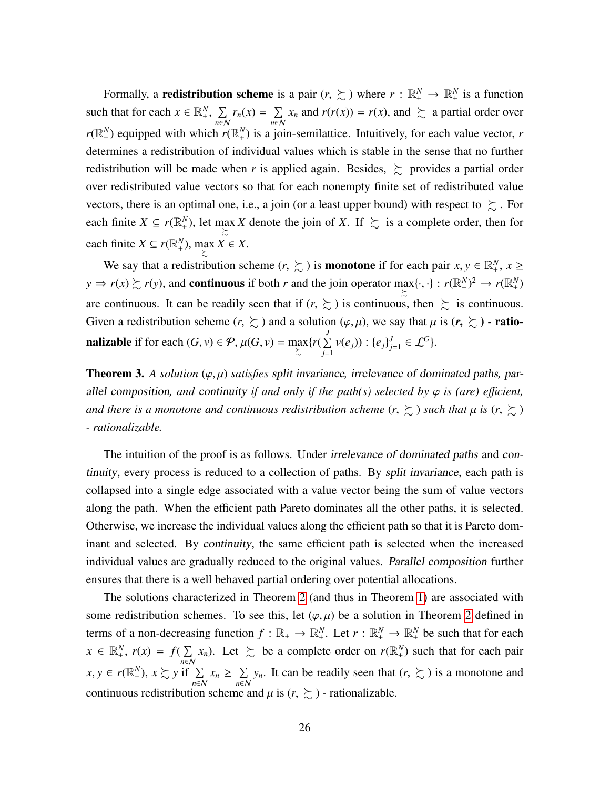Formally, a **redistribution scheme** is a pair  $(r, \geq)$  where  $r : \mathbb{R}^N_+ \to \mathbb{R}^N_+$  is a function such that for each  $x \in \mathbb{R}^N_+$ ,  $\Sigma$  $\sum_{n \in \mathcal{N}} r_n(x) = \sum_{n \in \mathcal{N}}$  $\sum_{n \in \mathbb{N}} x_n$  and  $r(r(x)) = r(x)$ , and  $\geq$  a partial order over  $r(\mathbb{R}^N_+)$  equipped with which  $r(\mathbb{R}^N_+)$  is a join-semilattice. Intuitively, for each value vector, *r* determines a redistribution of individual values which is stable in the sense that no further redistribution will be made when *r* is applied again. Besides,  $\gtrsim$  provides a partial order over redistributed value vectors so that for each nonempty finite set of redistributed value vectors, there is an optimal one, i.e., a join (or a least upper bound) with respect to  $\succsim$  . For each finite  $X \subseteq r(\mathbb{R}^N_+)$ , let max *X* denote the join of *X*. If  $\succsim$  is a complete order, then for each finite  $X \subseteq r(\mathbb{R}^N_+), \max_{\succ} X \in X$ .

We say that a redistribution scheme  $(r, \geq)$  is **monotone** if for each pair  $x, y \in \mathbb{R}^N_+$ ,  $x \geq$  $y \Rightarrow r(x) \succsim r(y)$ , and **continuous** if both *r* and the join operator  $\max_{\succsim} \{\cdot, \cdot\} : r(\mathbb{R}^N_+)^2 \to r(\mathbb{R}^N_+)$ are continuous. It can be readily seen that if  $(r, \geq)$  is continuous, then  $\geq$  is continuous. Given a redistribution scheme  $(r, \geq)$  and a solution  $(\varphi, \mu)$ , we say that  $\mu$  is  $(r, \geq)$  - ratio**nalizable** if for each  $(G, v) \in \mathcal{P}$ ,  $\mu(G, v) = \max_{\substack{\sum \atop |j|=1}} \{r(\sum_{j=1}^J f_j) \}$  $\sum_{j=1}^{n} v(e_j)$ ) : { $e_j$ }<sup>*J*</sup></sup>  $J_{j=1} \in \mathcal{L}^G$ .

<span id="page-27-0"></span>**Theorem 3.** A solution  $(\varphi, \mu)$  satisfies split invariance, irrelevance of dominated paths, parallel composition, and continuity if and only if the path(s) selected by  $\varphi$  *is (are) efficient*, *and there is a monotone and continuous redistribution scheme*  $(r, \geq)$  *such that*  $\mu$  *is*  $(r, \geq)$ *- rationalizable.*

The intuition of the proof is as follows. Under irrelevance of dominated paths and continuity, every process is reduced to a collection of paths. By split invariance, each path is collapsed into a single edge associated with a value vector being the sum of value vectors along the path. When the efficient path Pareto dominates all the other paths, it is selected. Otherwise, we increase the individual values along the efficient path so that it is Pareto dominant and selected. By continuity, the same efficient path is selected when the increased individual values are gradually reduced to the original values. Parallel composition further ensures that there is a well behaved partial ordering over potential allocations.

The solutions characterized in Theorem [2](#page-20-0) (and thus in Theorem [1\)](#page-18-0) are associated with some redistribution schemes. To see this, let  $(\varphi, \mu)$  be a solution in Theorem [2](#page-20-0) defined in terms of a non-decreasing function  $f : \mathbb{R}_+ \to \mathbb{R}^N_+$ . Let  $r : \mathbb{R}^N_+ \to \mathbb{R}^N_+$  be such that for each  $x \in \mathbb{R}^N_+$ ,  $r(x) = f(\sum$  $\sum_{n \in \mathbb{N}} x_n$ ). Let  $\geq$  be a complete order on *r*( $\mathbb{R}^N_+$ ) such that for each pair  $x, y \in r(\mathbb{R}^N_+), x \succsim y$  if  $\sum_{n \in \mathcal{N}}$  $\sum_{n \in \mathcal{N}} x_n \geq \sum_{n \in \mathcal{N}}$  $\sum_{n \in \mathbb{N}} y_n$ . It can be readily seen that (*r*,  $\succeq$  ) is a monotone and continuous redistribution scheme and  $\mu$  is  $(r, \geq)$  - rationalizable.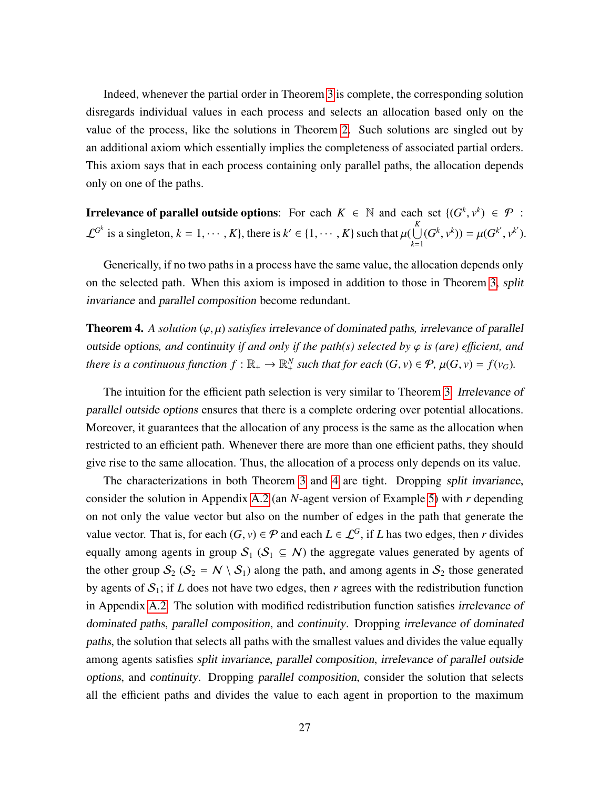Indeed, whenever the partial order in Theorem [3](#page-27-0) is complete, the corresponding solution disregards individual values in each process and selects an allocation based only on the value of the process, like the solutions in Theorem [2.](#page-20-0) Such solutions are singled out by an additional axiom which essentially implies the completeness of associated partial orders. This axiom says that in each process containing only parallel paths, the allocation depends only on one of the paths.

Irrelevance of parallel outside options: For each  $K \in \mathbb{N}$  and each set  $\{(G^k, v^k) \in \mathcal{P}$ :  $\mathcal{L}^{G^k}$  is a singleton,  $k = 1, \dots, K$ , there is  $k' \in \{1, \dots, K\}$  such that  $\mu(\bigcup_{k=1}^K K)$ *k*=1  $(G^k, v^k)) = \mu(G^{k'}, v^{k'}).$ 

Generically, if no two paths in a process have the same value, the allocation depends only on the selected path. When this axiom is imposed in addition to those in Theorem [3,](#page-27-0) split invariance and parallel composition become redundant.

<span id="page-28-0"></span>**Theorem 4.** A solution  $(\varphi, \mu)$  satisfies irrelevance of dominated paths, irrelevance of parallel outside options, and continuity *if and only if the path(s)* selected by  $\varphi$  *is (are) efficient, and there is a continuous function*  $f : \mathbb{R}_+ \to \mathbb{R}_+^N$  such that for each  $(G, v) \in \mathcal{P}$ ,  $\mu(G, v) = f(v_G)$ .

The intuition for the efficient path selection is very similar to Theorem [3.](#page-27-0) Irrelevance of parallel outside options ensures that there is a complete ordering over potential allocations. Moreover, it guarantees that the allocation of any process is the same as the allocation when restricted to an efficient path. Whenever there are more than one efficient paths, they should give rise to the same allocation. Thus, the allocation of a process only depends on its value.

The characterizations in both Theorem [3](#page-27-0) and [4](#page-28-0) are tight. Dropping split invariance, consider the solution in Appendix [A.2](#page-50-0) (an *N*-agent version of Example [5\)](#page-24-0) with *r* depending on not only the value vector but also on the number of edges in the path that generate the value vector. That is, for each (*G*, *v*) ∈  $P$  and each *L* ∈  $\mathcal{L}^G$ , if *L* has two edges, then *r* divides equally among agents in group  $S_1$  ( $S_1 \subseteq N$ ) the aggregate values generated by agents of the other group  $S_2$  ( $S_2 = N \setminus S_1$ ) along the path, and among agents in  $S_2$  those generated by agents of  $S_1$ ; if *L* does not have two edges, then *r* agrees with the redistribution function in Appendix [A.2.](#page-50-0) The solution with modified redistribution function satisfies irrelevance of dominated paths, parallel composition, and continuity. Dropping irrelevance of dominated paths, the solution that selects all paths with the smallest values and divides the value equally among agents satisfies split invariance, parallel composition, irrelevance of parallel outside options, and continuity. Dropping parallel composition, consider the solution that selects all the efficient paths and divides the value to each agent in proportion to the maximum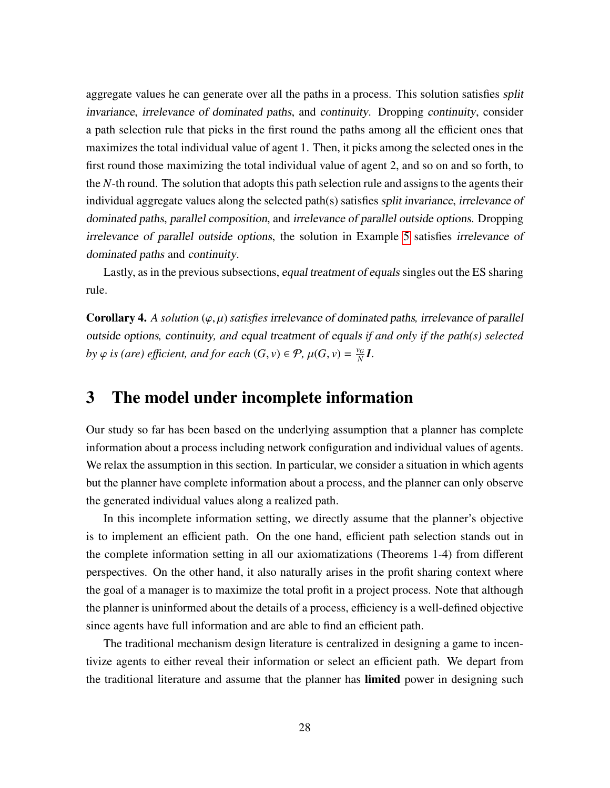aggregate values he can generate over all the paths in a process. This solution satisfies split invariance, irrelevance of dominated paths, and continuity. Dropping continuity, consider a path selection rule that picks in the first round the paths among all the efficient ones that maximizes the total individual value of agent 1. Then, it picks among the selected ones in the first round those maximizing the total individual value of agent 2, and so on and so forth, to the *N*-th round. The solution that adopts this path selection rule and assigns to the agents their individual aggregate values along the selected path(s) satisfies split invariance, irrelevance of dominated paths, parallel composition, and irrelevance of parallel outside options. Dropping irrelevance of parallel outside options, the solution in Example [5](#page-24-0) satisfies irrelevance of dominated paths and continuity.

Lastly, as in the previous subsections, equal treatment of equals singles out the ES sharing rule.

**Corollary 4.** A solution  $(\varphi, \mu)$  satisfies irrelevance of dominated paths, irrelevance of parallel outside options*,* continuity*, and* equal treatment of equals *if and only if the path(s) selected by*  $\varphi$  *is (are) efficient, and for each (G, v)*  $\in \mathcal{P}$ ,  $\mu$ (*G, v)* =  $\frac{v_G}{N}$  $\frac{\nu_G}{N}$ **1**.

## 3 The model under incomplete information

Our study so far has been based on the underlying assumption that a planner has complete information about a process including network configuration and individual values of agents. We relax the assumption in this section. In particular, we consider a situation in which agents but the planner have complete information about a process, and the planner can only observe the generated individual values along a realized path.

In this incomplete information setting, we directly assume that the planner's objective is to implement an efficient path. On the one hand, efficient path selection stands out in the complete information setting in all our axiomatizations (Theorems 1-4) from different perspectives. On the other hand, it also naturally arises in the profit sharing context where the goal of a manager is to maximize the total profit in a project process. Note that although the planner is uninformed about the details of a process, efficiency is a well-defined objective since agents have full information and are able to find an efficient path.

The traditional mechanism design literature is centralized in designing a game to incentivize agents to either reveal their information or select an efficient path. We depart from the traditional literature and assume that the planner has limited power in designing such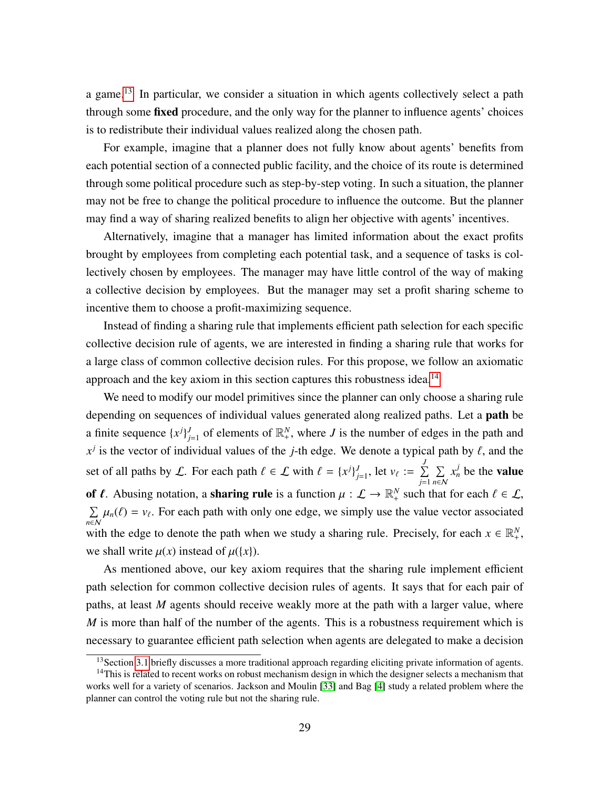a game.[13](#page-0-0) In particular, we consider a situation in which agents collectively select a path through some fixed procedure, and the only way for the planner to influence agents' choices is to redistribute their individual values realized along the chosen path.

For example, imagine that a planner does not fully know about agents' benefits from each potential section of a connected public facility, and the choice of its route is determined through some political procedure such as step-by-step voting. In such a situation, the planner may not be free to change the political procedure to influence the outcome. But the planner may find a way of sharing realized benefits to align her objective with agents' incentives.

Alternatively, imagine that a manager has limited information about the exact profits brought by employees from completing each potential task, and a sequence of tasks is collectively chosen by employees. The manager may have little control of the way of making a collective decision by employees. But the manager may set a profit sharing scheme to incentive them to choose a profit-maximizing sequence.

Instead of finding a sharing rule that implements efficient path selection for each specific collective decision rule of agents, we are interested in finding a sharing rule that works for a large class of common collective decision rules. For this propose, we follow an axiomatic approach and the key axiom in this section captures this robustness idea.<sup>[14](#page-0-0)</sup>

We need to modify our model primitives since the planner can only choose a sharing rule depending on sequences of individual values generated along realized paths. Let a path be a finite sequence  $\{x^j\}$  $J_{j=1}$  of elements of  $\mathbb{R}^N_+$ , where *J* is the number of edges in the path and  $x^j$  is the vector of individual values of the *j*-th edge. We denote a typical path by  $\ell$ , and the set of all paths by  $\mathcal{L}$ . For each path  $\ell \in \mathcal{L}$  with  $\ell = \{x^j\}^J_j$ *J*<sub>*j*=1</sub>, let  $v_{\ell} := \sum_{j=1}^{J}$ *j*=1  $\overline{\Sigma}$ *n*∈N  $x_n^j$  be the **value** of  $\ell$ . Abusing notation, a **sharing rule** is a function  $\mu : L \to \mathbb{R}^N_+$  $_{+}^{N}$  such that for each  $\ell \in \mathcal{L}$ ,  $\overline{\Sigma}$  $\sum_{n \in \mathbb{N}} \mu_n(\ell) = v_\ell$ . For each path with only one edge, we simply use the value vector associated with the edge to denote the path when we study a sharing rule. Precisely, for each  $x \in \mathbb{R}^N_+$ , we shall write  $\mu(x)$  instead of  $\mu({x})$ .

As mentioned above, our key axiom requires that the sharing rule implement efficient path selection for common collective decision rules of agents. It says that for each pair of paths, at least *M* agents should receive weakly more at the path with a larger value, where *M* is more than half of the number of the agents. This is a robustness requirement which is necessary to guarantee efficient path selection when agents are delegated to make a decision

<sup>&</sup>lt;sup>13</sup> Section [3.1](#page-33-0) briefly discusses a more traditional approach regarding eliciting private information of agents.

<sup>&</sup>lt;sup>14</sup>This is related to recent works on robust mechanism design in which the designer selects a mechanism that works well for a variety of scenarios. Jackson and Moulin [\[33\]](#page-59-11) and Bag [\[4\]](#page-57-7) study a related problem where the planner can control the voting rule but not the sharing rule.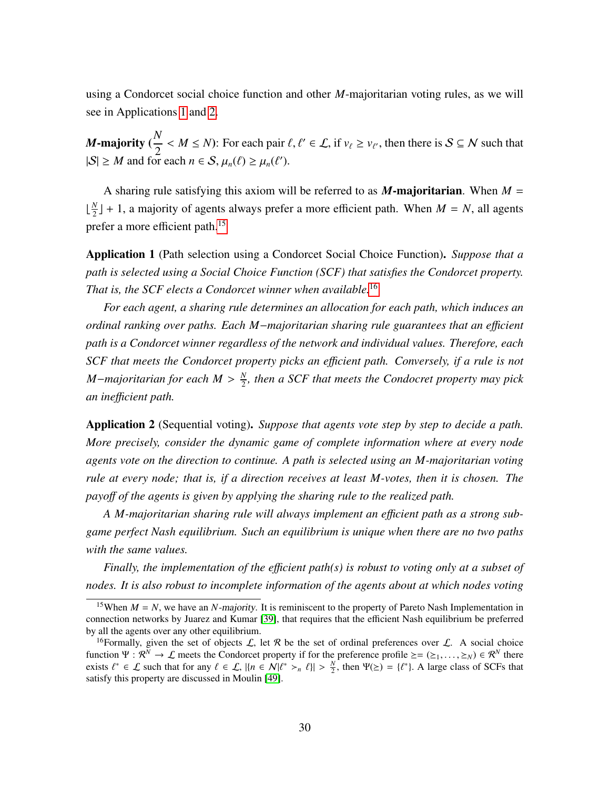using a Condorcet social choice function and other *M*-majoritarian voting rules, as we will see in Applications [1](#page-31-0) and [2.](#page-31-1)

*M*-majority ( $\frac{N}{2}$  $\frac{N}{2} < M \le N$ ): For each pair  $\ell, \ell' \in \mathcal{L}$ , if  $v_{\ell} \ge v_{\ell'}$ , then there is  $S \subseteq N$  such that  $|S| \ge M$  and for each  $n \in S$ ,  $\mu_n(\ell) \ge \mu_n(\ell')$ .

A sharing rule satisfying this axiom will be referred to as *M*-majoritarian. When *M* =  $\frac{N}{2}$  $\frac{N}{2}$   $\rfloor$  + 1, a majority of agents always prefer a more efficient path. When *M* = *N*, all agents prefer a more efficient path.[15](#page-0-0)

<span id="page-31-0"></span>Application 1 (Path selection using a Condorcet Social Choice Function). *Suppose that a path is selected using a Social Choice Function (SCF) that satisfies the Condorcet property. That is, the SCF elects a Condorcet winner when available.*[16](#page-0-0)

*For each agent, a sharing rule determines an allocation for each path, which induces an ordinal ranking over paths. Each M*−*majoritarian sharing rule guarantees that an e*ffi*cient path is a Condorcet winner regardless of the network and individual values. Therefore, each SCF that meets the Condorcet property picks an e*ffi*cient path. Conversely, if a rule is not M*−*majoritarian for each M* >  $\frac{N}{2}$  $\frac{N}{2}$ , then a SCF that meets the Condocret property may pick *an ine*ffi*cient path.*

<span id="page-31-1"></span>Application 2 (Sequential voting). *Suppose that agents vote step by step to decide a path. More precisely, consider the dynamic game of complete information where at every node agents vote on the direction to continue. A path is selected using an M-majoritarian voting rule at every node; that is, if a direction receives at least M-votes, then it is chosen. The payo*ff *of the agents is given by applying the sharing rule to the realized path.*

*A M-majoritarian sharing rule will always implement an e*ffi*cient path as a strong subgame perfect Nash equilibrium. Such an equilibrium is unique when there are no two paths with the same values.*

*Finally, the implementation of the e*ffi*cient path(s) is robust to voting only at a subset of nodes. It is also robust to incomplete information of the agents about at which nodes voting*

<sup>&</sup>lt;sup>15</sup>When  $M = N$ , we have an *N*-majority. It is reminiscent to the property of Pareto Nash Implementation in connection networks by Juarez and Kumar [\[39\]](#page-59-5), that requires that the efficient Nash equilibrium be preferred by all the agents over any other equilibrium.

<sup>&</sup>lt;sup>16</sup>Formally, given the set of objects  $\mathcal{L}$ , let  $\mathcal{R}$  be the set of ordinal preferences over  $\mathcal{L}$ . A social choice function  $\Psi : \mathcal{R}^N \to \mathcal{L}$  meets the Condorcet property if for the preference profile  $\succeq = (\succeq_1, \ldots, \succeq_N) \in \mathcal{R}^N$  there exists  $\ell^* \in \mathcal{L}$  such that for any  $\ell \in \mathcal{L}$   $\downarrow \mu \in \mathcal{L}/\ell^* \searrow \ell \downarrow \searrow \frac{N}{N$ exists  $\ell^* \in \mathcal{L}$  such that for any  $\ell \in \mathcal{L}$ ,  $|\{n \in \mathcal{N} | \ell^* >_n \ell\}| > \frac{N}{2}$ , then  $\Psi(\ge) = \{\ell^*\}\$ . A large class of SCFs that eatisfy this property are discussed in Moulin [49] satisfy this property are discussed in Moulin [\[49\]](#page-60-9).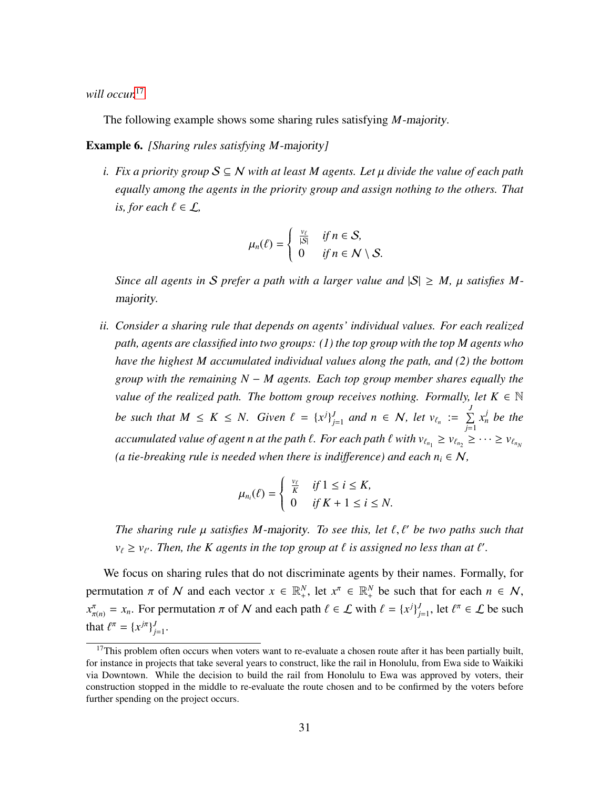*will occur.*[17](#page-0-0)

The following example shows some sharing rules satisfying *M*-majority.

#### Example 6. *[Sharing rules satisfying M*-majority*]*

*i. Fix a priority group*  $S \subseteq N$  *with at least M agents. Let*  $\mu$  *divide the value of each path equally among the agents in the priority group and assign nothing to the others. That is, for each*  $\ell \in \mathcal{L}$ *,* 

$$
\mu_n(\ell) = \begin{cases} \frac{\nu_{\ell}}{|S|} & \text{if } n \in S, \\ 0 & \text{if } n \in \mathcal{N} \setminus S. \end{cases}
$$

*Since all agents in S prefer a path with a larger value and*  $|S| \ge M$ ,  $\mu$  *satisfies* Mmajority*.*

*ii. Consider a sharing rule that depends on agents' individual values. For each realized path, agents are classified into two groups: (1) the top group with the top M agents who have the highest M accumulated individual values along the path, and (2) the bottom group with the remaining N* − *M agents. Each top group member shares equally the value of the realized path. The bottom group receives nothing. Formally, let*  $K \in \mathbb{N}$ *be such that*  $M \leq K \leq N$ . Given  $\ell = \{x^j\}^J_j$ *J*<sub>*j*=1</sub> and  $n \in \mathcal{N}$ , let  $v_{\ell_n} := \sum_{i=1}^J$ *j*=1  $x_n^j$  *be the accumulated value of agent n at the path*  $\ell$ . For each path  $\ell$  with  $v_{\ell_{n_1}} \ge v_{\ell_{n_2}} \ge \cdots \ge v_{\ell_{n_N}}$ *(a tie-breaking rule is needed when there is indifference) and each*  $n_i \in \mathcal{N}$ *,* 

$$
\mu_{n_i}(\ell) = \begin{cases} \frac{v_{\ell}}{K} & \text{if } 1 \leq i \leq K, \\ 0 & \text{if } K + 1 \leq i \leq N. \end{cases}
$$

*The sharing rule*  $\mu$  *satisfies*  $M$ -majority. To see this, let  $\ell$ ,  $\ell'$  be two paths such that  $v_{\ell} \ge v_{\ell'}$ . Then, the K agents in the top group at  $\ell$  is assigned no less than at  $\ell'$ .

We focus on sharing rules that do not discriminate agents by their names. Formally, for permutation  $\pi$  of  $N$  and each vector  $x \in \mathbb{R}^N_+$ , let  $x^{\pi} \in \mathbb{R}^N_+$  be such that for each  $n \in N$ ,  $x_{\pi(n)}^{\pi} = x_n$ . For permutation  $\pi$  of  $N$  and each path  $\ell \in \mathcal{L}$  with  $\ell = \{x^j\}_{j=1}^J$  $j_{j=1}$ , let  $\ell^{\pi} \in \mathcal{L}$  be such that  $\ell^{\pi} = \{x^{j\pi}\}_{j}^{J}$ *j*<br>j=1</sub>.

<sup>&</sup>lt;sup>17</sup>This problem often occurs when voters want to re-evaluate a chosen route after it has been partially built, for instance in projects that take several years to construct, like the rail in Honolulu, from Ewa side to Waikiki via Downtown. While the decision to build the rail from Honolulu to Ewa was approved by voters, their construction stopped in the middle to re-evaluate the route chosen and to be confirmed by the voters before further spending on the project occurs.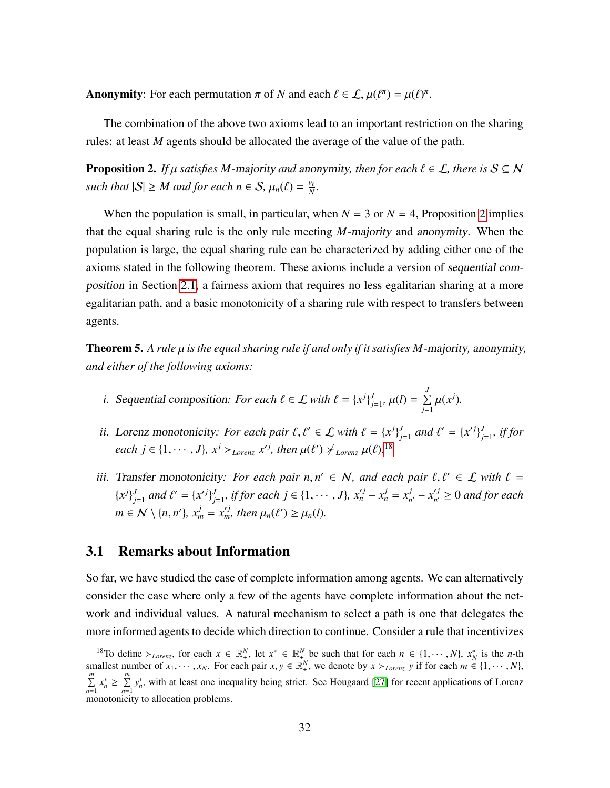**Anonymity**: For each permutation  $\pi$  of *N* and each  $\ell \in \mathcal{L}$ ,  $\mu(\ell^{\pi}) = \mu(\ell)^{\pi}$ .

The combination of the above two axioms lead to an important restriction on the sharing rules: at least *M* agents should be allocated the average of the value of the path.

<span id="page-33-1"></span>**Proposition 2.** *If*  $\mu$  *satisfies M*-majority *and* anonymity, *then for each*  $\ell \in \mathcal{L}$ *, there is*  $S \subseteq \mathcal{N}$ *such that*  $|S| \geq M$  *and for each*  $n \in S$ ,  $\mu_n(\ell) = \frac{v_{\ell}}{N}$ .

When the population is small, in particular, when  $N = 3$  or  $N = 4$ , Proposition [2](#page-33-1) implies that the equal sharing rule is the only rule meeting *M*-majority and anonymity. When the population is large, the equal sharing rule can be characterized by adding either one of the axioms stated in the following theorem. These axioms include a version of sequential composition in Section [2.1,](#page-14-0) a fairness axiom that requires no less egalitarian sharing at a more egalitarian path, and a basic monotonicity of a sharing rule with respect to transfers between agents.

<span id="page-33-2"></span>Theorem 5. *A rule* µ *is the equal sharing rule if and only if it satisfies M*-majority*,* anonymity*, and either of the following axioms:*

- *i.* Sequential composition: For each  $\ell \in \mathcal{L}$  with  $\ell = \{x^j\}^J_j$  $J_{j=1}$ ,  $\mu(l) = \sum_{j=1}^{J}$  $\sum_{j=1}^{6} \mu(x^j)$ .
- *ii.* Lorenz monotonicity: For each pair  $\ell, \ell' \in \mathcal{L}$  with  $\ell = \{x^j\}_{j=1}^J$  $J_{j=1}$  and  $\ell' = \{x'^j\}^J_j$ *j*=1 *, if for each j*  $\in$  {1,  $\cdots$  *, J*}*, x<sup><i>j*</sup> ><sub>Lorenz</sub> *x*<sup>*j*</sup>*, then*  $\mu$ ( $\ell'$ )  $\neq$ <sub>Lorenz</sub>  $\mu$ ( $\ell$ ).<sup>[18](#page-0-0)</sup>
- *iii.* Transfer monotonicity: For each pair  $n, n' \in \mathbb{N}$ , and each pair  $\ell, \ell' \in \mathbb{Z}$  with  $\ell =$  ${x^j}$ *J*<sub>*j*</sub>=1 and  $\ell' = \{x'^j\}^J_j$ *j*<sub>=1</sub>*, if for each j* ∈ {1, · · · *, J*}*,*  $x_n^j - x_n^j = x_n^j$  $\frac{d}{n'} - x'^{j}_{n'}$  $v''_{n'} \geq 0$  *and for each*  $m \in \mathcal{N} \setminus \{n, n'\}, x_m^j = x_m^{j'}$ , then  $\mu_n(\ell') \ge \mu_n(l)$ .

### <span id="page-33-0"></span>3.1 Remarks about Information

So far, we have studied the case of complete information among agents. We can alternatively consider the case where only a few of the agents have complete information about the network and individual values. A natural mechanism to select a path is one that delegates the more informed agents to decide which direction to continue. Consider a rule that incentivizes

<sup>&</sup>lt;sup>18</sup>To define  $\succ_{Lorenz}$ , for each  $x \in \mathbb{R}^N$ , let  $x^* \in \mathbb{R}^N$  be such that for each  $n \in \{1, \dots, N\}$ ,  $x^*$  is the *n*-th pallest number of  $x$ ,  $\ldots$   $y$ . For each pair  $x, y \in \mathbb{R}^N$ , we denote by  $x \searrow y$  if for smallest number of  $x_1, \dots, x_N$ . For each pair  $x, y \in \mathbb{R}^N_+$ , we denote by  $x >_{Lorenz} y$  if for each  $m \in \{1, \dots, N\}$ ,  $\sum_{n=1}^{m} x_n^* \ge \sum_{n=1}^{m} y_n^*$ , with at least one inequality being strict. See Hougaard [\[27\]](#page-58-12) for recent applications of Lorenz monotonicity to allocation problems.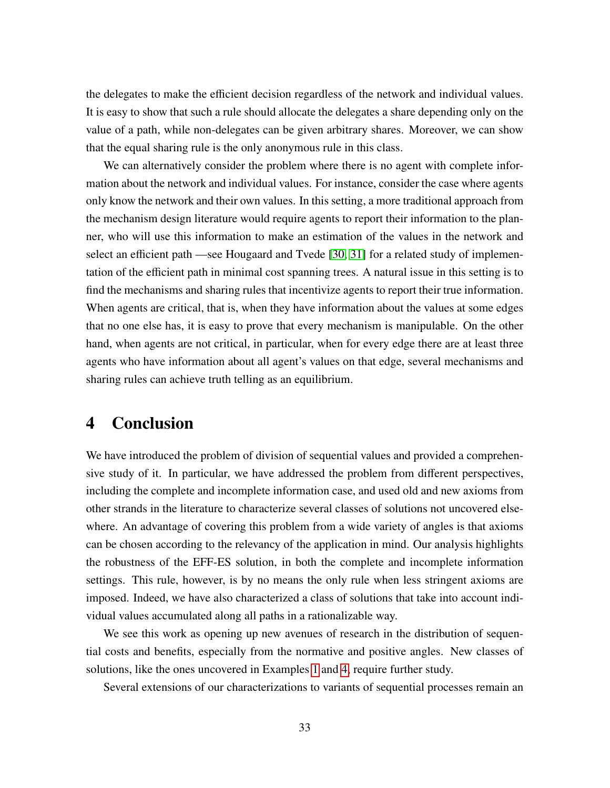the delegates to make the efficient decision regardless of the network and individual values. It is easy to show that such a rule should allocate the delegates a share depending only on the value of a path, while non-delegates can be given arbitrary shares. Moreover, we can show that the equal sharing rule is the only anonymous rule in this class.

We can alternatively consider the problem where there is no agent with complete information about the network and individual values. For instance, consider the case where agents only know the network and their own values. In this setting, a more traditional approach from the mechanism design literature would require agents to report their information to the planner, who will use this information to make an estimation of the values in the network and select an efficient path —see Hougaard and Tvede [\[30,](#page-59-6) [31\]](#page-59-7) for a related study of implementation of the efficient path in minimal cost spanning trees. A natural issue in this setting is to find the mechanisms and sharing rules that incentivize agents to report their true information. When agents are critical, that is, when they have information about the values at some edges that no one else has, it is easy to prove that every mechanism is manipulable. On the other hand, when agents are not critical, in particular, when for every edge there are at least three agents who have information about all agent's values on that edge, several mechanisms and sharing rules can achieve truth telling as an equilibrium.

## 4 Conclusion

We have introduced the problem of division of sequential values and provided a comprehensive study of it. In particular, we have addressed the problem from different perspectives, including the complete and incomplete information case, and used old and new axioms from other strands in the literature to characterize several classes of solutions not uncovered elsewhere. An advantage of covering this problem from a wide variety of angles is that axioms can be chosen according to the relevancy of the application in mind. Our analysis highlights the robustness of the EFF-ES solution, in both the complete and incomplete information settings. This rule, however, is by no means the only rule when less stringent axioms are imposed. Indeed, we have also characterized a class of solutions that take into account individual values accumulated along all paths in a rationalizable way.

We see this work as opening up new avenues of research in the distribution of sequential costs and benefits, especially from the normative and positive angles. New classes of solutions, like the ones uncovered in Examples [1](#page-12-2) and [4,](#page-15-1) require further study.

Several extensions of our characterizations to variants of sequential processes remain an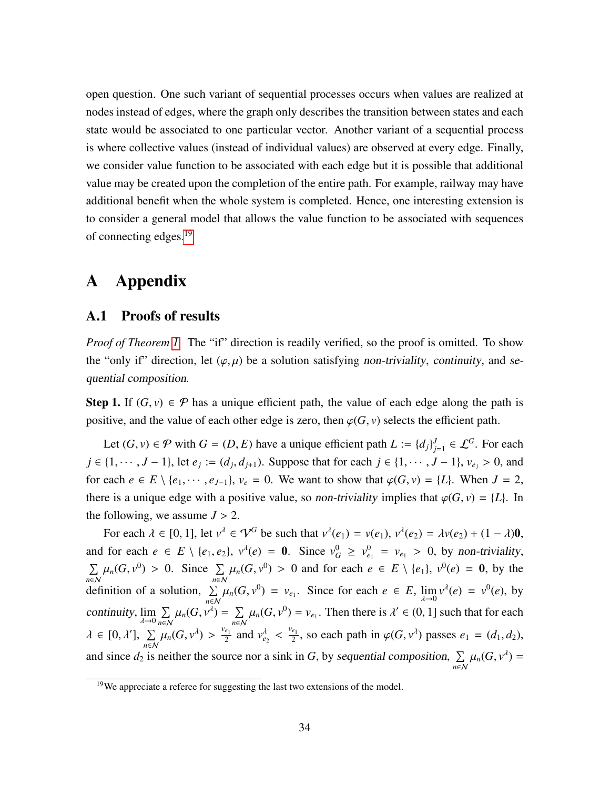open question. One such variant of sequential processes occurs when values are realized at nodes instead of edges, where the graph only describes the transition between states and each state would be associated to one particular vector. Another variant of a sequential process is where collective values (instead of individual values) are observed at every edge. Finally, we consider value function to be associated with each edge but it is possible that additional value may be created upon the completion of the entire path. For example, railway may have additional benefit when the whole system is completed. Hence, one interesting extension is to consider a general model that allows the value function to be associated with sequences of connecting edges.[19](#page-0-0)

## A Appendix

### A.1 Proofs of results

*Proof of Theorem [1.](#page-18-0)* The "if" direction is readily verified, so the proof is omitted. To show the "only if" direction, let  $(\varphi, \mu)$  be a solution satisfying non-triviality, continuity, and sequential composition.

Step 1. If  $(G, v) \in \mathcal{P}$  has a unique efficient path, the value of each edge along the path is positive, and the value of each other edge is zero, then  $\varphi(G, v)$  selects the efficient path.

Let  $(G, v) \in \mathcal{P}$  with  $G = (D, E)$  have a unique efficient path  $L := \{d_j\}_{j=1}^J$  $j$ <sub>j=1</sub> ∈  $\mathcal{L}^G$ . For each *j* ∈ {1, · · · , *J* − 1}, let *e*<sub>*j*</sub> := (*d*<sub>*j*</sub>, *d*<sub>*j*+1</sub>). Suppose that for each *j* ∈ {1, · · · , *J* − 1}, *v*<sub>*ej*</sub> > 0, and for each  $e \in E \setminus \{e_1, \dots, e_{J-1}\}, v_e = 0$ . We want to show that  $\varphi(G, v) = \{L\}$ . When  $J = 2$ , there is a unique edge with a positive value, so non-triviality implies that  $\varphi(G, v) = \{L\}$ . In the following, we assume  $J > 2$ .

For each  $\lambda \in [0, 1]$ , let  $v^{\lambda} \in \mathcal{V}^G$  be such that  $v^{\lambda}(e_1) = v(e_1), v^{\lambda}(e_2) = \lambda v(e_2) + (1 - \lambda)0$ , and for each  $e \in E \setminus \{e_1, e_2\}$ ,  $v^{\lambda}(e) = 0$ . Since  $v_G^0 \ge v_{e_1}^0 = v_{e_1} > 0$ , by non-triviality,  $\overline{\Sigma}$  $\sum_{n \in \mathbb{N}} \mu_n(G, v^0) > 0$ . Since  $\sum_{n \in \mathbb{N}} \mu_n(G, v^0) > 0$  and for each  $e \in E \setminus \{e_1\}, v^0(e) = 0$ , by the definition of a solution,  $\Sigma$  $\sum_{n \in \mathbb{N}} \mu_n(G, v^0) = v_{e_1}$ . Since for each  $e \in E$ ,  $\lim_{\lambda \to 0}$  $\lambda \rightarrow 0$  $v^{\lambda}(e) = v^{0}(e)$ , by continuity, lim  $\lambda \rightarrow 0$  $\overline{\Sigma}$  $\sum_{n \in \mathcal{N}} \mu_n(G, v^{\lambda}) = \sum_{n \in \mathcal{N}}$  $\sum_{n \in \mathbb{N}} \mu_n(G, v^0) = v_{e_1}$ . Then there is  $\lambda' \in (0, 1]$  such that for each  $\lambda \in [0, \lambda'], \sum_{n \in \mathbb{N}} \mu_n(G, v^{\lambda}) > \frac{v_{e_1}}{2}$ *n*∈N  $\frac{e_1}{2}$  and  $v_{e_2}^{\lambda}$  < *ve*1  $\frac{e_1}{2}$ , so each path in  $\varphi(G, v^{\lambda})$  passes  $e_1 = (d_1, d_2)$ , and since  $d_2$  is neither the source nor a sink in *G*, by sequential composition,  $\Sigma$  $\sum_{n\in\mathcal{N}}\mu_n(G,v^{\lambda})=$ 

 $19$ We appreciate a referee for suggesting the last two extensions of the model.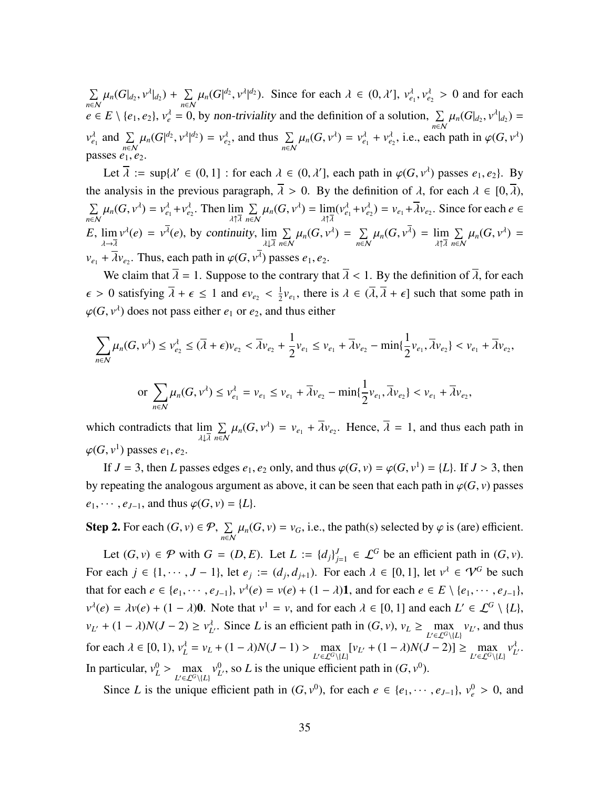$\overline{\Sigma}$  $\sum_{n \in \mathcal{N}} \mu_n(G|_{d_2}, v^{\lambda}|_{d_2}) + \sum_{n \in \mathcal{N}}$  $\sum_{n \in \mathbb{N}} \mu_n(G|^{d_2}, v^{\lambda}|^{d_2})$ . Since for each  $\lambda \in (0, \lambda'], v_{e_1}^{\lambda}, v_{e_2}^{\lambda} > 0$  and for each |  $e \in E \setminus \{e_1, e_2\}, v_e^d = 0$ , by non-triviality and the definition of a solution,  $\sum_{n \in \mathcal{N}} \mu_n(G|_{d_2}, v^d|_{d_2}) =$  $v_{e_1}^{\lambda}$  and  $\Sigma$  $\sum_{n \in \mathcal{N}} \mu_n(G|^{d_2}, v^{\lambda}|^{d_2}) = v_{e_2}^{\lambda}$ , and thus  $\sum_{n \in \mathcal{N}}$ |  $\sum_{n \in \mathbb{N}} \mu_n(G, v^{\lambda}) = v_{e_1}^{\lambda} + v_{e_2}^{\lambda}, \text{ i.e., each path in } \varphi(G, v^{\lambda})$ passes  $e_1, e_2$ 

Let  $\overline{\lambda} := \sup \{ \lambda' \in (0, 1] : \text{for each } \lambda \in (0, \lambda'] \}$ , each path in  $\varphi(G, v^{\lambda})$  passes  $e_1, e_2 \}$ . By the analysis in the previous paragraph,  $\overline{\lambda} > 0$ . By the definition of  $\lambda$ , for each  $\lambda \in [0, \overline{\lambda})$ ,  $\overline{\Sigma}$  $\sum_{n \in \mathcal{N}} \mu_n(G, v^{\lambda}) = v_{e_1}^{\lambda} + v_{e_2}^{\lambda}$ . Then  $\lim_{\lambda \uparrow \overline{\lambda}}$ λ↑λ  $\overline{\Sigma}$  $\sum_{n \in \mathcal{N}} \mu_n(G, v^{\lambda}) = \lim_{\lambda \uparrow \overline{\lambda}}$  $\lambda \uparrow \overline{\lambda}$  $(v_{e_1}^{\lambda} + v_{e_2}^{\lambda}) = v_{e_1} + \overline{\lambda}v_{e_2}$ . Since for each  $e \in$ *E*, lim  $\lambda \rightarrow \overline{\lambda}$  $v^{\lambda}(e) = v^{\lambda}(e)$ , by continuity, lim  $\lambda\downarrow\overline{\lambda}$  $\overline{\Sigma}$  $\sum_{n \in \mathcal{N}} \mu_n(G, v^{\lambda}) = \sum_{n \in \mathcal{N}}$  $\sum_{n \in \mathcal{N}} \mu_n(G, v^{\lambda}) = \lim_{\lambda \uparrow \overline{\lambda}}$ λ↑λ  $\overline{\Sigma}$  $\sum_{n\in\mathcal{N}}\mu_n(G,\nu^{\lambda})=$  $v_{e_1} + \lambda v_{e_2}$ . Thus, each path in  $\varphi(G, v^{\lambda})$  passes  $e_1, e_2$ .

We claim that  $\overline{\lambda} = 1$ . Suppose to the contrary that  $\overline{\lambda} < 1$ . By the definition of  $\overline{\lambda}$ , for each  $\epsilon > 0$  satisfying  $\overline{\lambda} + \epsilon \le 1$  and  $\epsilon v_{e_2} < \frac{1}{2}$  $\frac{1}{2}v_{e_1}$ , there is  $\lambda \in (\lambda, \overline{\lambda} + \epsilon]$  such that some path in  $\varphi(G, v^{\lambda})$  does not pass either  $e_1$  or  $e_2$ , and thus either

$$
\sum_{n \in \mathbb{N}} \mu_n(G, v^{\lambda}) \le v_{e_2}^{\lambda} \le (\overline{\lambda} + \epsilon)v_{e_2} < \overline{\lambda}v_{e_2} + \frac{1}{2}v_{e_1} \le v_{e_1} + \overline{\lambda}v_{e_2} - \min\{\frac{1}{2}v_{e_1}, \overline{\lambda}v_{e_2}\} < v_{e_1} + \overline{\lambda}v_{e_2},\}
$$
  
or 
$$
\sum_{n \in \mathbb{N}} \mu_n(G, v^{\lambda}) \le v_{e_1}^{\lambda} = v_{e_1} \le v_{e_1} + \overline{\lambda}v_{e_2} - \min\{\frac{1}{2}v_{e_1}, \overline{\lambda}v_{e_2}\} < v_{e_1} + \overline{\lambda}v_{e_2},
$$

which contradicts that lim  $\lambda\downarrow\overline{\lambda}$  $\sum$  $\sum_{n \in \mathbb{N}} \mu_n(G, v^{\lambda}) = v_{e_1} + \lambda v_{e_2}$ . Hence,  $\lambda = 1$ , and thus each path in  $\varphi(G, v^1)$  passes  $e_1, e_2$ .

If *J* = 3, then *L* passes edges  $e_1$ ,  $e_2$  only, and thus  $\varphi(G, v) = \varphi(G, v^1) = \{L\}$ . If *J* > 3, then by repeating the analogous argument as above, it can be seen that each path in  $\varphi(G, v)$  passes  $e_1, \dots, e_{J-1}$ , and thus  $\varphi(G, v) = \{L\}.$ 

**Step 2.** For each  $(G, v) \in \mathcal{P}$ ,  $\sum_{n \in \mathcal{N}}$  $\sum_{n \in \mathbb{N}} \mu_n(G, v) = v_G$ , i.e., the path(s) selected by  $\varphi$  is (are) efficient.

Let  $(G, v) \in \mathcal{P}$  with  $G = (D, E)$ . Let  $L := \{d_j\}_{j=1}^J$ *J*<sub> $j=1$ </sub> ∈  $\mathcal{L}^G$  be an efficient path in  $(G, v)$ . For each  $j \in \{1, \dots, J-1\}$ , let  $e_j := (d_j, d_{j+1})$ . For each  $\lambda \in [0, 1]$ , let  $v^{\lambda} \in \mathcal{V}^G$  be such that for each  $e \in \{e_1, \dots, e_{J-1}\}, v^{\lambda}(e) = v(e) + (1 - \lambda)\mathbf{1}$ , and for each  $e \in E \setminus \{e_1, \dots, e_{J-1}\},$  $v^{\lambda}(e) = \lambda v(e) + (1 - \lambda)$ **0**. Note that  $v^1 = v$ , and for each  $\lambda \in [0, 1]$  and each  $L' \in \mathcal{L}^G \setminus \{L\}$ ,  $v_L$  +  $(1 - \lambda)N(J - 2) \ge v_L^{\lambda}$ . Since *L* is an efficient path in  $(G, v)$ ,  $v_L \ge \max_{L' \in \mathcal{L}^G \setminus \{L\}} v_L$ , and thus for each  $\lambda \in [0, 1)$ ,  $v_L^{\lambda} = v_L + (1 - \lambda)N(J - 1) > \max_{L' \in \mathcal{L}^G \setminus \{L\}} [v_{L'} + (1 - \lambda)N(J - 2)] \ge \max_{L' \in \mathcal{L}^G \setminus \{L\}} v_L^{\lambda}$ . In particular,  $v_L^0 > \max_{L' \in \mathcal{L}^G \setminus \{L\}} v_{L'}^0$ , so *L* is the unique efficient path in  $(G, v^0)$ .

Since *L* is the unique efficient path in  $(G, v^0)$ , for each  $e \in \{e_1, \dots, e_{J-1}\}, v^0_e > 0$ , and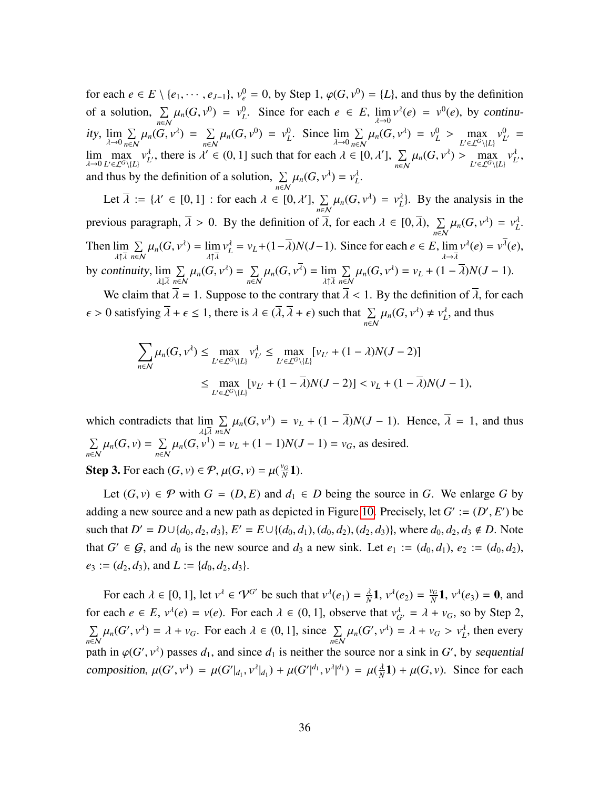for each  $e \in E \setminus \{e_1, \dots, e_{J-1}\}, v_e^0 = 0$ , by Step 1,  $\varphi(G, v^0) = \{L\}$ , and thus by the definition of a solution,  $\Sigma$  $\sum_{n \in \mathbb{N}} \mu_n(G, v^0) = v_L^0$ . Since for each  $e \in E$ ,  $\lim_{\lambda \to 0}$  $\lambda \rightarrow 0$  $v^{\lambda}(e) = v^0(e)$ , by continuity, lim  $\lambda \rightarrow 0$  $\overline{\Sigma}$  $\sum_{n \in \mathcal{N}} \mu_n(G, v^{\lambda}) = \sum_{n \in \mathcal{N}}$  $\sum_{n \in \mathcal{N}} \mu_n(G, v^0) = v_L^0$ . Since  $\lim_{\lambda \to 0}$  $\lambda \rightarrow 0$  $\overline{\Sigma}$  $\sum_{n \in \mathcal{N}} \mu_n(G, v^{\lambda}) = v_L^0 > \max_{L' \in \mathcal{L}^G \setminus \{L\}} v_{L'}^0 =$ lim  $\lambda \rightarrow 0$ max  $v_L^{\lambda}$ , there is  $\lambda' \in (0, 1]$  such that for each  $\lambda \in [0, \lambda']$ ,  $\sum_{n \in \Lambda}$  $\sum_{n \in \mathcal{N}} \mu_n(G, v^{\lambda}) > \max_{L' \in \mathcal{L}^G \setminus \{L\}} v^{\lambda}_{L'},$ and thus by the definition of a solution,  $\Sigma$  $\sum_{n \in \mathcal{N}} \mu_n(G, v^{\lambda}) = v_L^{\lambda}.$ 

Let  $\overline{\lambda} := {\lambda' \in [0,1]}$ : for each  $\lambda \in [0, \lambda'], \sum_{n \in \Lambda}$  $\sum_{n \in \mathbb{N}} \mu_n(G, v^{\lambda}) = v_L^{\lambda}$ . By the analysis in the previous paragraph,  $\overline{\lambda} > 0$ . By the definition of  $\overline{\lambda}$ , for each  $\lambda \in [0, \overline{\lambda})$ ,  $\sum_{n \in \mathbb{N}} \mu_n(G, v^{\lambda}) = v_L^{\lambda}$ . Then lim λ↑λ  $\overline{\Sigma}$  $\sum_{n \in \mathcal{N}} \mu_n(G, v^{\lambda}) = \lim_{\lambda \uparrow \overline{\lambda}}$ λ↑λ  $v_L^{\lambda} = v_L + (1 - \overline{\lambda})N(J-1)$ . Since for each  $e \in E$ , lim  $v^{\lambda}(e) = v^{\lambda}(e),$ by continuity, lim  $\lambda\downarrow\overline{\lambda}$  $\overline{\Sigma}$  $\sum_{n \in \mathcal{N}} \mu_n(G, v^{\lambda}) = \sum_{n \in \mathcal{N}}$  $\sum_{n \in \mathcal{N}} \mu_n(G, v^{\lambda}) = \lim_{\lambda \uparrow \overline{\lambda}}$  $\lambda$ ↑λ  $\overline{\Sigma}$  $\sum_{n \in \mathbb{N}} \mu_n(G, v^{\lambda}) = v_L + (1 - \overline{\lambda})N(J - 1).$ 

We claim that  $\overline{\lambda} = 1$ . Suppose to the contrary that  $\overline{\lambda} < 1$ . By the definition of  $\overline{\lambda}$ , for each  $\epsilon > 0$  satisfying  $\overline{\lambda} + \epsilon \le 1$ , there is  $\lambda \in (\overline{\lambda}, \overline{\lambda} + \epsilon)$  such that  $\sum_{n \in \mathcal{N}} \mu_n(G, v^{\lambda}) \ne v_L^{\lambda}$ , and thus

$$
\sum_{n \in \mathbb{N}} \mu_n(G, \nu^{\lambda}) \le \max_{L' \in \mathcal{L}^G \setminus \{L\}} \nu_{L'}^{\lambda} \le \max_{L' \in \mathcal{L}^G \setminus \{L\}} [\nu_{L'} + (1 - \lambda)N(J - 2)]
$$
  

$$
\le \max_{L' \in \mathcal{L}^G \setminus \{L\}} [\nu_{L'} + (1 - \overline{\lambda})N(J - 2)] < \nu_L + (1 - \overline{\lambda})N(J - 1),
$$

which contradicts that lim  $\lambda\downarrow\overline{\lambda}$  $\overline{\Sigma}$  $\sum_{n \in \mathbb{N}} \mu_n(G, v^{\lambda}) = v_L + (1 - \lambda)N(J - 1)$ . Hence,  $\lambda = 1$ , and thus  $\sum$  $\sum_{n\in\mathcal{N}}\mu_n(G,\nu)=\sum_{n\in\mathcal{N}}$  $\sum_{n \in \mathbb{N}} \mu_n(G, v^1) = v_L + (1 - 1)N(J - 1) = v_G$ , as desired. **Step 3.** For each  $(G, v) \in \mathcal{P}$ ,  $\mu(G, v) = \mu(\frac{v_G}{N})$  $\frac{\nu_G}{N}$ **1**).

Let  $(G, v) \in \mathcal{P}$  with  $G = (D, E)$  and  $d_1 \in D$  being the source in *G*. We enlarge *G* by adding a new source and a new path as depicted in Figure [10.](#page-38-0) Precisely, let  $G' := (D', E')$  be such that *D'* = *D*∪{*d*<sub>0</sub>, *d*<sub>2</sub>, *d*<sub>3</sub>}, *E'* = *E*∪{(*d*<sub>0</sub>, *d*<sub>1</sub>), (*d*<sub>0</sub>, *d*<sub>2</sub>), (*d*<sub>2</sub>, *d*<sub>3</sub>)}, where *d*<sub>0</sub>, *d*<sub>2</sub>, *d*<sub>3</sub> ∉ *D*. Note that  $G' \in \mathcal{G}$ , and  $d_0$  is the new source and  $d_3$  a new sink. Let  $e_1 := (d_0, d_1)$ ,  $e_2 := (d_0, d_2)$ ,  $e_3 := (d_2, d_3)$ , and  $L := \{d_0, d_2, d_3\}.$ 

For each  $\lambda \in [0, 1]$ , let  $v^{\lambda} \in \mathcal{V}^{G'}$  be such that  $v^{\lambda}(e_1) = \frac{\lambda}{N} \mathbf{1}, v^{\lambda}(e_2) = \frac{v_G}{N}$  $\frac{\partial G}{\partial N}$ **1**,  $v^{\lambda}(e_3) =$  **0**, and for each  $e \in E$ ,  $v^{\lambda}(e) = v(e)$ . For each  $\lambda \in (0, 1]$ , observe that  $v_{G'}^{\lambda} = \lambda + v_G$ , so by Step 2,  $\sum$  $\sum_{n \in \mathbb{N}} \mu_n(G', v^{\lambda}) = \lambda + v_G$ . For each  $\lambda \in (0, 1]$ , since  $\sum_{n \in \mathbb{N}} \mu_n(G', v^{\lambda}) = \lambda + v_G > v_L^{\lambda}$ , then every path in  $\varphi(G', v^{\lambda})$  passes  $d_1$ , and since  $d_1$  is neither the source nor a sink in *G*', by sequential composition,  $\mu(G', v^{\lambda}) = \mu(G'|_{d_1}, v^{\lambda}|_{d_1}) + \mu(G'|^{d_1}, v^{\lambda}|^{d_1}) = \mu(\frac{\lambda}{N}\mathbf{1}) + \mu(G, v)$ . Since for each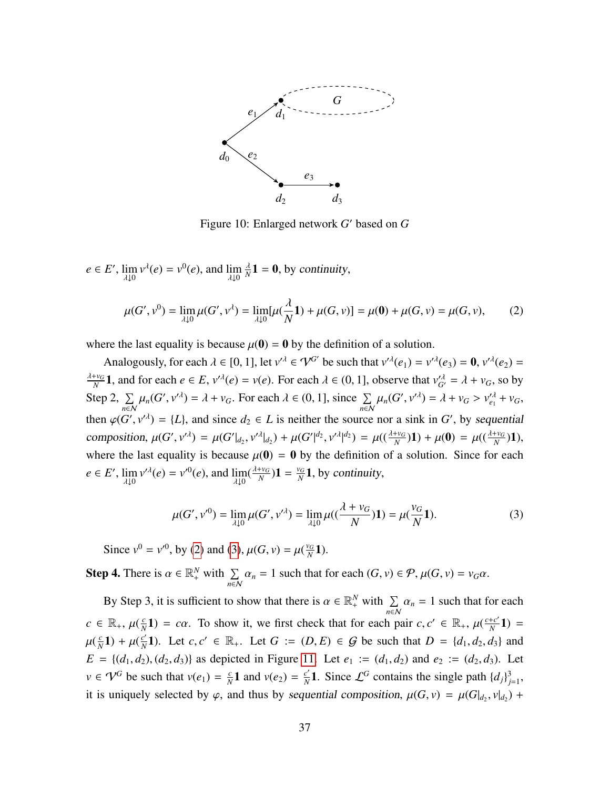<span id="page-38-0"></span>

<span id="page-38-1"></span>Figure 10: Enlarged network G' based on G

 $e \in E'$ , lim  $\lambda\downarrow0$  $v^{\lambda}(e) = v^0(e)$ , and  $\lim_{\lambda \to 0}$  $\lim_{\lambda \downarrow 0} \frac{\lambda}{N}$ **1** = **0**, by continuity,

$$
\mu(G',\nu^0) = \lim_{\lambda \downarrow 0} \mu(G',\nu^{\lambda}) = \lim_{\lambda \downarrow 0} [\mu(\frac{\lambda}{N}1) + \mu(G,\nu)] = \mu(0) + \mu(G,\nu) = \mu(G,\nu),\tag{2}
$$

where the last equality is because  $\mu(0) = 0$  by the definition of a solution.

Analogously, for each  $\lambda \in [0, 1]$ , let  $v^{\lambda} \in \mathcal{V}^{G'}$  be such that  $v^{\lambda} (e_1) = v^{\lambda} (e_3) = \mathbf{0}$ ,  $v^{\lambda} (e_2) =$  $\frac{\lambda + v_G}{N}$ **1**, and for each  $e \in E$ ,  $v'^{\lambda}(e) = v(e)$ . For each  $\lambda \in (0, 1]$ , observe that  $v'^{\lambda}(e) = \lambda + v_G$ , so by Step 2,  $\Sigma$  $\sum_{n \in \mathbb{N}} \mu_n(G', v'^{\lambda}) = \lambda + v_G$ . For each  $\lambda \in (0, 1]$ , since  $\sum_{n \in \mathbb{N}} \mu_n(G', v'^{\lambda}) = \lambda + v_G > v'^{\lambda}_{e_1} + v_G$ , then  $\varphi(G', v'^{\lambda}) = \{L\}$ , and since  $d_2 \in L$  is neither the source nor a sink in *G*', by sequential composition,  $\mu(G', v'^{\lambda}) = \mu(G'|_{d_2}, v'^{\lambda}|_{d_2}) + \mu(G'|^{d_2}, v'^{\lambda}|^{d_2}) = \mu((\frac{\lambda + v_G}{N})\mathbf{1}) + \mu(\mathbf{0}) = \mu((\frac{\lambda + v_G}{N})\mathbf{1}),$ where the last equality is because  $\mu(0) = 0$  by the definition of a solution. Since for each  $e \in E'$ , lim  $\lambda\downarrow0$  $v'^\lambda(e) = v'^0(e)$ , and  $\lim_{\lambda \to 0}$  $\lambda\downarrow0$  $\left(\frac{\lambda + v_G}{N}\right)\mathbf{1} = \frac{v_G}{N}$  $\frac{\partial C}{\partial N}$ **1**, by continuity,

<span id="page-38-2"></span>
$$
\mu(G',\nu'^0) = \lim_{\lambda \downarrow 0} \mu(G',\nu'^\lambda) = \lim_{\lambda \downarrow 0} \mu((\frac{\lambda + \nu_G}{N})\mathbf{1}) = \mu(\frac{\nu_G}{N}\mathbf{1}).
$$
 (3)

Since  $v^0 = v'^0$ , by [\(2\)](#page-38-1) and [\(3\)](#page-38-2),  $\mu(G, v) = \mu(\frac{v_G}{N})$  $\frac{\nu_G}{N}$ **1**).

Step 4. There is  $\alpha \in \mathbb{R}^N_+$  with  $\sum_{n \in \mathbb{N}} \alpha_n = 1$  such that for each  $(G, v) \in \mathcal{P}, \mu(G, v) = v_G \alpha$ .

By Step 3, it is sufficient to show that there is  $\alpha \in \mathbb{R}^N_+$  with  $\sum_{n \in \mathcal{N}} \alpha_n = 1$  such that for each  $c \in \mathbb{R}_+$ ,  $\mu(\frac{c}{N})$  $\frac{c}{N}$ **1**) = *ca*. To show it, we first check that for each pair *c*, *c*<sup>'</sup>  $\in \mathbb{R}_+$ ,  $\mu(\frac{c+c^2}{N})$  $\frac{+c'}{N}$ **1**) =  $\mu(\frac{c}{\lambda})$  $\frac{c}{N}$ **1**) +  $\mu(\frac{c'}{N})$ *n*  $\frac{c'}{N}$ **1**). Let *c*,  $c' \in \mathbb{R}_+$ . Let *G* := (*D*, *E*)  $\in$  *G* be such that  $D = \{d_1, d_2, d_3\}$  and  $E = \{(d_1, d_2), (d_2, d_3)\}\$ as depicted in Figure [11.](#page-39-0) Let  $e_1 := (d_1, d_2)$  and  $e_2 := (d_2, d_3)$ . Let  $v \in \mathcal{V}^G$  be such that  $v(e_1) = \frac{c}{\lambda}$  $\frac{c}{N}$ **1** and  $v(e_2) = \frac{c'}{N}$  $\frac{c'}{N}$ **1**. Since  $\mathcal{L}^G$  contains the single path  $\{d_j\}^3$ *j*=1 , it is uniquely selected by  $\varphi$ , and thus by sequential composition,  $\mu(G, v) = \mu(G|_{d_2}, v|_{d_2}) +$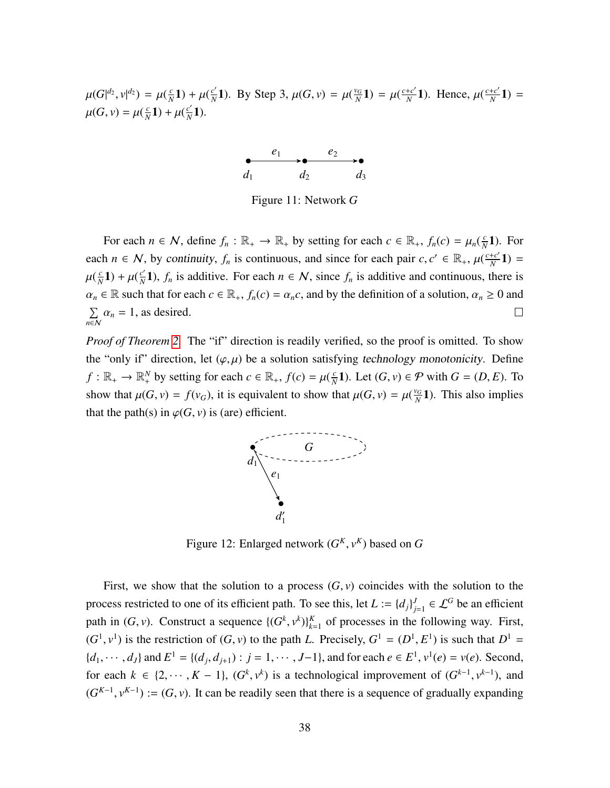<span id="page-39-0"></span> $\mu(G|^{d_2}, v|^{d_2}) = \mu(\frac{c}{N})$  $\frac{c}{N}$ **1**) +  $\mu$ ( $\frac{c'}{N}$  $\frac{\rho}{N}(1)$ . By Step 3,  $\mu(G, v) = \mu(\frac{v_G}{N})$  $\frac{\psi_G}{N}$ **1**) =  $\mu(\frac{c+c'}{N})$  $\frac{+c'}{N}$ **1**). Hence,  $\mu(\frac{c+c'}{N})$  $\frac{+c'}{N}$ **1**) =  $\mu(G, v) = \mu(\frac{c}{N})$  $\frac{c}{N}$ **1**) +  $\mu$ ( $\frac{c'}{N}$  $\frac{c'}{N}$ **1**).



Figure 11: Network *G*

For each  $n \in \mathbb{N}$ , define  $f_n : \mathbb{R}_+ \to \mathbb{R}_+$  by setting for each  $c \in \mathbb{R}_+$ ,  $f_n(c) = \mu_n(\frac{c}{\lambda})$  $\frac{c}{N}$ **1**). For each *n* ∈ *N*, by continuity,  $f_n$  is continuous, and since for each pair  $c, c' \in \mathbb{R}_+$ ,  $\mu(\frac{c+c'}{N})$  $\frac{+c'}{N}$ **1**) =  $\mu(\frac{c}{\lambda})$  $\frac{c}{N}$ **1**) +  $\mu$ ( $\frac{c'}{N}$  $\frac{c'}{N}$ **1**),  $f_n$  is additive. For each  $n \in \mathcal{N}$ , since  $f_n$  is additive and continuous, there is  $\alpha_n \in \mathbb{R}$  such that for each  $c \in \mathbb{R}_+$ ,  $f_n(c) = \alpha_n c$ , and by the definition of a solution,  $\alpha_n \ge 0$  and  $\sum_{n=1}^{\infty} \alpha_n = 1$ , as desired.  $\overline{\Sigma}$  $\sum_{n \in \mathcal{N}} \alpha_n = 1$ , as desired.

<span id="page-39-1"></span>*Proof of Theorem [2.](#page-20-0)* The "if" direction is readily verified, so the proof is omitted. To show the "only if" direction, let  $(\varphi, \mu)$  be a solution satisfying technology monotonicity. Define *f* :  $\mathbb{R}_+ \to \mathbb{R}_+^N$  by setting for each  $c \in \mathbb{R}_+$ ,  $f(c) = \mu(\frac{c}{N})$ *n*<sup>*z*</sup> **1**). Let  $(G, v)$  ∈  $\mathcal{P}$  with  $G = (D, E)$ . To show that  $\mu(G, v) = f(v_G)$ , it is equivalent to show that  $\mu(G, v) = \mu(\frac{v_G}{N})$  $\frac{\partial G}{\partial N}$ **1**). This also implies that the path(s) in  $\varphi(G, v)$  is (are) efficient.



Figure 12: Enlarged network  $(G^K, v^K)$  based on  $G$ 

First, we show that the solution to a process  $(G, v)$  coincides with the solution to the process restricted to one of its efficient path. To see this, let  $L := \{d_j\}_{j=1}^J$  $J$ <sub>*j*=1</sub> ∈  $\mathcal{L}^G$  be an efficient</sub> path in  $(G, v)$ . Construct a sequence  $\{(G^k, v^k)\}_{k=1}^K$  $K_{k=1}$  of processes in the following way. First,  $(G^1, v^1)$  is the restriction of  $(G, v)$  to the path *L*. Precisely,  $G^1 = (D^1, E^1)$  is such that  $D^1 =$ { $d_1, \dots, d_J$ } and  $E^1 = \{(d_j, d_{j+1}) : j = 1, \dots, J-1\}$ , and for each  $e \in E^1$ ,  $v^1(e) = v(e)$ . Second, for each  $k \in \{2, \dots, K-1\}$ ,  $(G^k, v^k)$  is a technological improvement of  $(G^{k-1}, v^{k-1})$ , and  $(G^{k-1}, K^{-1})$  $(G^{K-1}, v^{K-1}) := (G, v)$ . It can be readily seen that there is a sequence of gradually expanding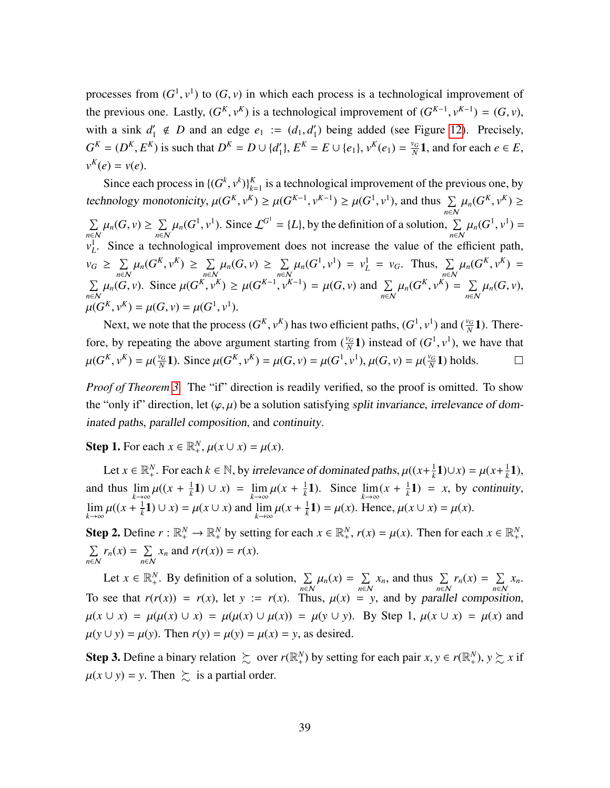processes from  $(G^1, v^1)$  to  $(G, v)$  in which each process is a technological improvement of the previous one. Lastly,  $(G^K, v^K)$  is a technological improvement of  $(G^{K-1}, v^{K-1}) = (G, v)$ , with a sink  $d_1$  $\begin{aligned} \n\mu_1' \notin D \text{ and an edge } e_1 := (d_1, d'_1) \n\end{aligned}$  $j_1$ ) being added (see Figure [12\)](#page-39-1). Precisely,  $G^K = (D^K, E^K)$  is such that  $D^K = D \cup \{d'_1\}$  $\mathcal{F}_1^{\mathcal{X}}$ ,  $E^K = E \cup \{e_1\}, \mathcal{V}^K(e_1) = \frac{\mathcal{V}_G}{N}$  $\frac{\partial \mathcal{C}}{\partial N}$ **1**, and for each  $e \in E$ ,  $v^K(e) = v(e)$ .

Since each process in  $\{(G^k, v^k)\}_{k=1}^K$  $k = k_{k=1}$  is a technological improvement of the previous one, by technology monotonicity,  $\mu(G^K, v^K) \ge \mu(G^{K-1}, v^{K-1}) \ge \mu(G^1, v^1)$ , and thus  $\sum_{n \in \mathcal{N}}$  $\sum_{n \in \mathcal{N}} \mu_n(G^K, v^K) \geq$  $\overline{\Sigma}$  $\sum_{n \in \mathcal{N}} \mu_n(G, v) \geq \sum_{n \in \mathcal{N}}$  $\sum_{n \in \mathcal{N}} \mu_n(G^1, v^1)$ . Since  $\mathcal{L}^{G^1} = \{L\}$ , by the definition of a solution,  $\sum_{n \in \mathcal{N}}$  $\sum_{n\in\mathcal{N}}\mu_n(G^1,v^1)=$  $v_L^1$ . Since a technological improvement does not increase the value of the efficient path,  $v_G \geq \sum$  $\sum_{n \in \mathcal{N}} \mu_n(G^K, v^K) \geq \sum_{n \in \mathcal{N}}$  $\sum_{n \in \mathcal{N}} \mu_n(G, v) \geq \sum_{n \in \mathcal{N}}$  $\sum_{n \in \mathcal{N}} \mu_n(G^1, v^1) = v_L^1 = v_G$ . Thus,  $\sum_{n \in \mathcal{N}} \mu_n(G^K, v^K) =$  $\overline{\Sigma}$  $\sum_{n \in \mathbb{N}} \mu_n(G, v)$ . Since  $\mu(G^K, v^K) \ge \mu(G^{K-1}, v^{K-1}) = \mu(G, v)$  and  $\sum_{n \in \mathbb{N}} \mu_n(G^K, v^K) = \sum_{n \in \mathbb{N}} \mu_n(G^K, v^K)$  $\sum_{n\in\mathcal{N}}\mu_n(G,\nu),$  $\mu(G^K, v^K) = \mu(G, v) = \mu(G^1, v^1).$ 

Next, we note that the process  $(G^K, v^K)$  has two efficient paths,  $(G^1, v^1)$  and  $(\frac{v_G}{N}\mathbf{1})$ . Therefore, by repeating the above argument starting from  $(\frac{v_G}{N}\mathbf{1})$  instead of  $(G^1, v^1)$ , we have that  $\mu(G^K, v^K) = \mu(\frac{v_G}{N})$  $\mu_{\overline{N}}(G) = \mu(G^K, v^K) = \mu(G, v) = \mu(G^1, v^1), \mu(G, v) = \mu(\frac{v_G}{N})$  $\frac{\nu_G}{N}$ **1**) holds.  $\Box$ 

*Proof of Theorem [3.](#page-27-0)* The "if" direction is readily verified, so the proof is omitted. To show the "only if" direction, let  $(\varphi, \mu)$  be a solution satisfying split invariance, irrelevance of dominated paths, parallel composition, and continuity.

Step 1. For each  $x \in \mathbb{R}^N_+$ ,  $\mu(x \cup x) = \mu(x)$ .

Let  $x \in \mathbb{R}^N_+$ . For each  $k \in \mathbb{N}$ , by irrelevance of dominated paths,  $\mu((x + \frac{1}{k})$  $\frac{1}{k}$ **1**)∪*x*) =  $\mu(x + \frac{1}{k})$  $\frac{1}{k}$ **1**), and thus  $\lim_{k \to \infty} \mu((x + \frac{1}{k})$  $\frac{1}{k}$ **1**) ∪ *x*) =  $\lim_{k \to \infty} \mu(x + \frac{1}{k})$  $\frac{1}{k}$ **1**). Since  $\lim_{k \to \infty} (x + \frac{1}{k})$  $\frac{1}{k}$ **1**) = *x*, by continuity,  $\lim_{k\to\infty}\mu((x+\frac{1}{k})$  $\frac{1}{k}$ **1**)  $\cup$  *x*) =  $\mu(x \cup x)$  and  $\lim_{k \to \infty} \mu(x + \frac{1}{k})$  $\frac{1}{k}$ **1**) =  $\mu(x)$ . Hence,  $\mu(x \cup x) = \mu(x)$ .

Step 2. Define  $r : \mathbb{R}_+^N \to \mathbb{R}_+^N$  by setting for each  $x \in \mathbb{R}_+^N$ ,  $r(x) = \mu(x)$ . Then for each  $x \in \mathbb{R}_+^N$ ,  $\overline{\Sigma}$  $\sum_{n \in \mathcal{N}} r_n(x) = \sum_{n \in \mathcal{N}}$  $\sum_{n \in \mathbb{N}} x_n$  and  $r(r(x)) = r(x)$ .

Let  $x \in \mathbb{R}^N_+$ . By definition of a solution,  $\Sigma$  $\sum_{n \in \mathcal{N}} \mu_n(x) = \sum_{n \in \mathcal{N}}$  $\sum_{n \in \mathcal{N}} x_n$ , and thus  $\sum_{n \in \mathcal{N}} r_n(x) = \sum_{n \in \mathcal{N}} r_n(x)$  $\sum_{n \in \mathcal{N}} x_n$ . To see that  $r(r(x)) = r(x)$ , let  $y := r(x)$ . Thus,  $\mu(x) = y$ , and by parallel composition,  $\mu(x \cup x) = \mu(\mu(x) \cup x) = \mu(\mu(x) \cup \mu(x)) = \mu(y \cup y)$ . By Step 1,  $\mu(x \cup x) = \mu(x)$  and  $\mu(y \cup y) = \mu(y)$ . Then *r*(*y*) =  $\mu(y) = \mu(x) = y$ , as desired.

Step 3. Define a binary relation  $\geq$  over  $r(\mathbb{R}^N_+)$  by setting for each pair  $x, y \in r(\mathbb{R}^N_+)$ ,  $y \geq x$  if  $\mu(x \cup y) = y$ . Then  $\succsim$  is a partial order.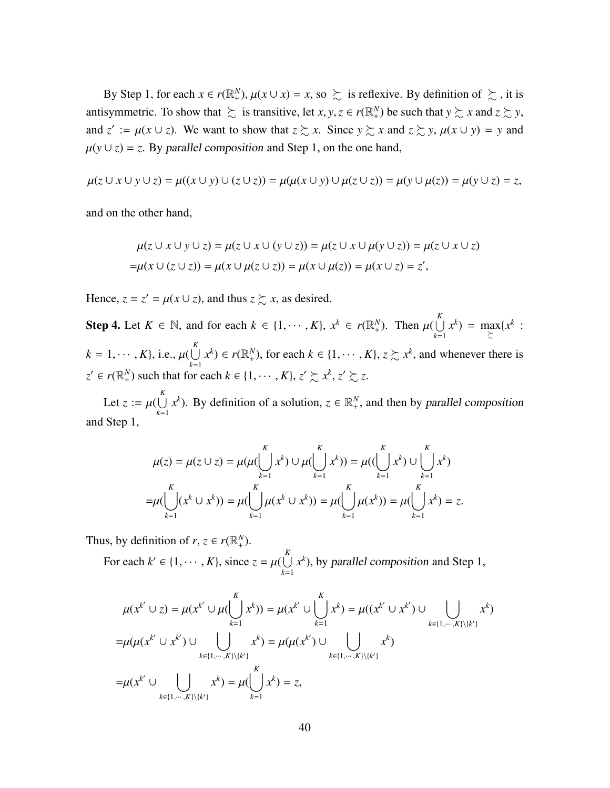By Step 1, for each  $x \in r(\mathbb{R}^N_+)$ ,  $\mu(x \cup x) = x$ , so  $\succeq$  is reflexive. By definition of  $\succeq$ , it is antisymmetric. To show that  $\sum$  is transitive, let *x*, *y*,  $z \in r(\mathbb{R}^N_+)$  be such that  $y \sum x$  and  $z \sum y$ , and  $z' := \mu(x \cup z)$ . We want to show that  $z \gtrsim x$ . Since  $y \gtrsim x$  and  $z \gtrsim y$ ,  $\mu(x \cup y) = y$  and  $\mu(y \cup z) = z$ . By parallel composition and Step 1, on the one hand,

$$
\mu(z \cup x \cup y \cup z) = \mu((x \cup y) \cup (z \cup z)) = \mu(\mu(x \cup y) \cup \mu(z \cup z)) = \mu(y \cup \mu(z)) = \mu(y \cup z) = z,
$$

and on the other hand,

$$
\mu(z \cup x \cup y \cup z) = \mu(z \cup x \cup (y \cup z)) = \mu(z \cup x \cup \mu(y \cup z)) = \mu(z \cup x \cup z)
$$
  
= 
$$
\mu(x \cup (z \cup z)) = \mu(x \cup \mu(z \cup z)) = \mu(x \cup \mu(z)) = \mu(x \cup z) = z',
$$

Hence,  $z = z' = \mu(x \cup z)$ , and thus  $z \succsim x$ , as desired.

Step 4. Let  $K \in \mathbb{N}$ , and for each  $k \in \{1, \dots, K\}$ ,  $x^k \in r(\mathbb{R}^N_+)$ . Then  $\mu(\bigcup_{k=1}^K K)$ *k*=1  $(x^k) = \max_{\succ} \{x^k :$  $k = 1, \cdots, K$ , i.e.,  $\mu(\bigcup_{k=1}^{K}$ *k*=1  $x^k$ )  $\in$  *r*( $\mathbb{R}^N_+$ ), for each  $k \in \{1, \dots, K\}$ ,  $z \succsim x^k$ , and whenever there is  $z' \in r(\mathbb{R}^N_+)$  such that for each  $k \in \{1, \dots, K\}$ ,  $z' \succsim x^k$ ,  $z' \succsim z$ .

Let  $z := \mu(\bigcup_{k=1}^{K}$ *k*=1  $(x^k)$ . By definition of a solution,  $z \in \mathbb{R}^N_+$ , and then by parallel composition and Step 1,

$$
\mu(z) = \mu(z \cup z) = \mu(\mu(\bigcup_{k=1}^K x^k) \cup \mu(\bigcup_{k=1}^K x^k)) = \mu((\bigcup_{k=1}^K x^k) \cup \bigcup_{k=1}^K x^k)
$$

$$
= \mu(\bigcup_{k=1}^K (x^k \cup x^k)) = \mu(\bigcup_{k=1}^K \mu(x^k \cup x^k)) = \mu(\bigcup_{k=1}^K \mu(x^k)) = \mu(\bigcup_{k=1}^K x^k) = z.
$$

Thus, by definition of  $r, z \in r(\mathbb{R}^N_+).$ 

For each  $k' \in \{1, \dots, K\}$ , since  $z = \mu(\bigcup_{k=1}^K$ *k*=1 *x k* ), by parallel composition and Step 1,

$$
\mu(x^{k'} \cup z) = \mu(x^{k'} \cup \mu(\bigcup_{k=1}^{K} x^{k})) = \mu(x^{k'} \cup \bigcup_{k=1}^{K} x^{k}) = \mu((x^{k'} \cup x^{k'}) \cup \bigcup_{k \in \{1, \dots, K\} \setminus \{k'\}} x^{k})
$$

$$
= \mu(\mu(x^{k'} \cup x^{k'}) \cup \bigcup_{k \in \{1, \dots, K\} \setminus \{k'\}} x^{k}) = \mu(\mu(x^{k'}) \cup \bigcup_{k \in \{1, \dots, K\} \setminus \{k'\}} x^{k})
$$

$$
= \mu(x^{k'} \cup \bigcup_{k \in \{1, \dots, K\} \setminus \{k'\}} x^{k}) = \mu(\bigcup_{k=1}^{K} x^{k}) = z,
$$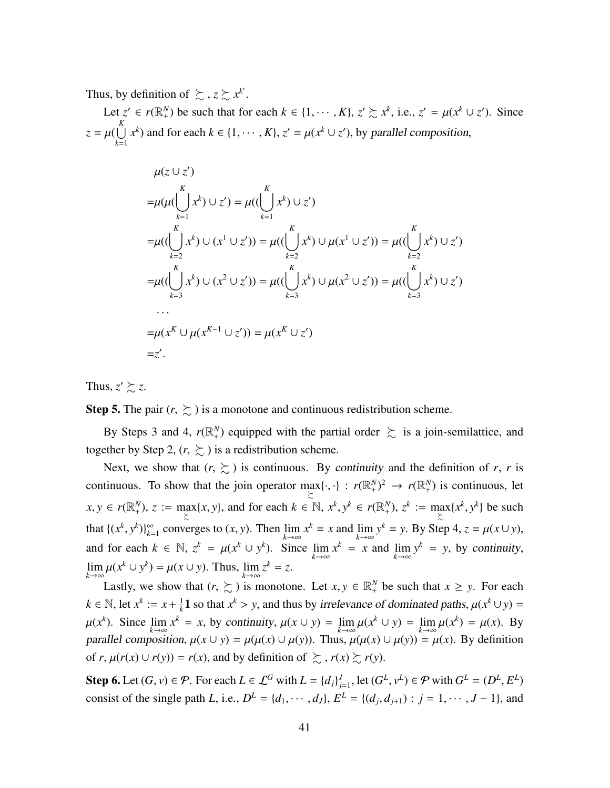Thus, by definition of  $\sum z \sum x^{k'}$ .

Let  $z' \in r(\mathbb{R}^N_+)$  be such that for each  $k \in \{1, \dots, K\}$ ,  $z' \succsim x^k$ , i.e.,  $z' = \mu(x^k \cup z')$ . Since  $z = \mu(\bigcup_{k=1}^K$ *k*=1  $(x^k)$  and for each  $k \in \{1, \dots, K\}$ ,  $z' = \mu(x^k \cup z')$ , by parallel composition,

$$
\mu(z \cup z')\n= \mu(\mu(\bigcup_{k=1}^K x^k) \cup z') = \mu((\bigcup_{k=1}^K x^k) \cup z')
$$
\n
$$
= \mu((\bigcup_{k=2}^K x^k) \cup (x^1 \cup z')) = \mu((\bigcup_{k=2}^K x^k) \cup \mu(x^1 \cup z')) = \mu((\bigcup_{k=2}^K x^k) \cup z')
$$
\n
$$
= \mu((\bigcup_{k=3}^K x^k) \cup (x^2 \cup z')) = \mu((\bigcup_{k=3}^K x^k) \cup \mu(x^2 \cup z')) = \mu((\bigcup_{k=3}^K x^k) \cup z')
$$
\n
$$
= \mu(x^K \cup \mu(x^{K-1} \cup z')) = \mu(x^K \cup z')
$$
\n
$$
= z'.
$$

Thus,  $z' \gtrsim z$ .

**Step 5.** The pair  $(r, \geq)$  is a monotone and continuous redistribution scheme.

By Steps 3 and 4,  $r(\mathbb{R}^N_+)$  equipped with the partial order  $\geq$  is a join-semilattice, and together by Step 2,  $(r, \geq)$  is a redistribution scheme.

Next, we show that  $(r, \geq)$  is continuous. By continuity and the definition of *r*, *r* is continuous. To show that the join operator  $\max_{\Sigma} \{\cdot, \cdot\} : r(\mathbb{R}^N_+)^2 \to r(\mathbb{R}^N_+)$  is continuous, let  $x, y \in r(\mathbb{R}^N_+), z := \max_{\substack{k}} \{x, y\}$ , and for each  $k \in \mathbb{N}, x^k, y^k \in r(\mathbb{R}^N_+), z^k := \max_{\substack{k}} \{x^k, y^k\}$  be such that  $\{(x^k, y^k)\}_{k=0}^{\infty}$  $\sum_{k=1}^{\infty}$  converges to  $(x, y)$ . Then  $\lim_{k \to \infty} x^k = x$  and  $\lim_{k \to \infty} y^k = y$ . By Step 4,  $z = \mu(x \cup y)$ , and for each  $k \in \mathbb{N}$ ,  $z^k = \mu(x^k \cup y^k)$ . Since  $\lim_{k \to \infty} x^k = x$  and  $\lim_{k \to \infty} y^k = y$ , by continuity,  $\lim_{k \to \infty} \mu(x^k \cup y^k) = \mu(x \cup y)$ . Thus,  $\lim_{k \to \infty} z^k = z$ .

Lastly, we show that  $(r, \geq)$  is monotone. Let  $x, y \in \mathbb{R}^N_+$  be such that  $x \geq y$ . For each  $k \in \mathbb{N}$ , let  $x^k := x + \frac{1}{k}$  $\frac{1}{k}$  **1** so that  $x^k > y$ , and thus by irrelevance of dominated paths,  $\mu(x^k \cup y) =$  $\mu(x^k)$ . Since  $\lim_{k \to \infty} x^k = x$ , by continuity,  $\mu(x \cup y) = \lim_{k \to \infty} \mu(x^k \cup y) = \lim_{k \to \infty} \mu(x^k) = \mu(x)$ . By parallel composition,  $\mu(x \cup y) = \mu(\mu(x) \cup \mu(y))$ . Thus,  $\mu(\mu(x) \cup \mu(y)) = \mu(x)$ . By definition of *r*,  $\mu(r(x) \cup r(y)) = r(x)$ , and by definition of  $\geq r(x) \geq r(y)$ .

Step 6. Let  $(G, v) \in \mathcal{P}$ . For each  $L \in \mathcal{L}^G$  with  $L = \{d_j\}^J$ *J*<sub> $j=1$ </sub>, let  $(G^L, v^L) \in \mathcal{P}$  with  $G^L = (D^L, E^L)$ consist of the single path *L*, i.e.,  $D^L = \{d_1, \dots, d_J\}$ ,  $E^L = \{(d_j, d_{j+1}) : j = 1, \dots, J - 1\}$ , and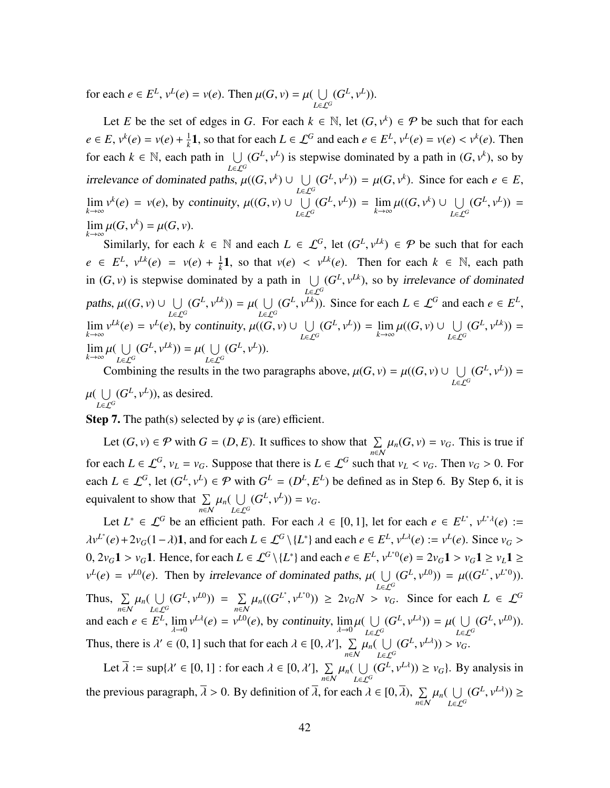for each  $e \in E^L$ ,  $v^L(e) = v(e)$ . Then  $\mu(G, v) = \mu(\bigcup_{L \in \mathcal{L}}$ *L*∈L*<sup>G</sup>*  $(G^L, v^L)$ .

Let *E* be the set of edges in *G*. For each  $k \in \mathbb{N}$ , let  $(G, v^k) \in \mathcal{P}$  be such that for each  $e \in E$ ,  $v^k(e) = v(e) + \frac{1}{k}$ *k* **1**, so that for each *L* ∈  $\mathcal{L}^G$  and each *e* ∈  $E^L$ ,  $v^L(e) = v(e) < v^k(e)$ . Then for each  $k \in \mathbb{N}$ , each path in  $\bigcup$ *L*∈L*<sup>G</sup>*  $(G^L, v^L)$  is stepwise dominated by a path in  $(G, v^k)$ , so by irrelevance of dominated paths,  $\mu((G, v^k) \cup \bigcup_{L \in \mathcal{L}}$ *L*∈L*<sup>G</sup>*  $((G^L, v^L)) = \mu(G, v^k)$ . Since for each  $e \in E$ , lim  $v^k(e) = v(e)$ , by continuity,  $\mu((G, v) \cup \bigcup_{L \in \mathcal{L}}$ *L*∈L*<sup>G</sup>*  $(G^L, v^L)$  =  $\lim_{k \to \infty} \mu((G, v^k) \cup \bigcup_{L \in \mathcal{L}}$ *L*∈L*<sup>G</sup>*  $(G^L, v^L)$  =  $\lim_{k \to \infty} \mu(G, v^k) = \mu(G, v).$ 

Similarly, for each  $k \in \mathbb{N}$  and each  $L \in \mathcal{L}^G$ , let  $(G^L, v^{Lk}) \in \mathcal{P}$  be such that for each  $e \in E^L$ ,  $v^{Lk}(e) = v(e) + \frac{1}{k}$  $\frac{1}{k}$ **1**, so that  $v(e) < v^{Lk}(e)$ . Then for each  $k \in \mathbb{N}$ , each path in  $(G, v)$  is stepwise dominated by a path in  $\bigcup_{L \in \mathcal{L}^G}$  $(G^L, v^{Lk})$ , so by irrelevance of dominated paths,  $\mu((G, v) \cup \bigcup_{L \in \mathcal{L}}$ *L*∈L*<sup>G</sup>*  $(G^L, v^{Lk})) = \mu(\bigcup_{L \in \mathcal{L}}$ *L*∈L*<sup>G</sup>* ( $G^L$ ,  $v^{Lk}$ )). Since for each  $L \in \mathcal{L}^G$  and each  $e \in E^L$ , lim  $v^{Lk}(e) = v^{L}(e)$ , by continuity,  $\mu((G, v) \cup \bigcup_{L \in \mathcal{L}}$ *L*∈L*<sup>G</sup>*  $(G^L, v^L)$  =  $\lim_{k \to \infty} \mu((G, v) \cup \bigcup_{L \in \mathcal{L}}$ *L*∈L*<sup>G</sup>*  $(G^L, v^{Lk})) =$  $\lim_{k\to\infty}\mu(\bigcup_{L\in\mathcal{L}}$ *L*∈L*<sup>G</sup>*  $(G^L, v^{Lk})) = \mu(\bigcup_{L \in \mathcal{L}}$ *L*∈L*<sup>G</sup>*  $(G^L, v^L)$ .

Combining the results in the two paragraphs above,  $\mu(G, v) = \mu((G, v) \cup \bigcup_{L \in \mathcal{L}}$ *L*∈L*<sup>G</sup>*  $(G^L, v^L)$  =  $\mu ( \bigcup_{L \in \mathcal{L}}$ *L*∈L*<sup>G</sup>*  $(G^L, v^L)$ , as desired.

**Step 7.** The path(s) selected by  $\varphi$  is (are) efficient.

Let  $(G, v) \in \mathcal{P}$  with  $G = (D, E)$ . It suffices to show that  $\sum_{n \in \mathcal{N}} \mu_n(G, v) = v_G$ . This is true if for each  $L \in \mathcal{L}^G$ ,  $v_L = v_G$ . Suppose that there is  $L \in \mathcal{L}^G$  such that  $v_L < v_G$ . Then  $v_G > 0$ . For each  $L \in \mathcal{L}^G$ , let  $(G^L, v^L) \in \mathcal{P}$  with  $G^L = (D^L, E^L)$  be defined as in Step 6. By Step 6, it is equivalent to show that  $\Sigma$  $\sum_{n \in \mathcal{N}} \mu_n(\bigcup_{L \in \mathcal{L}}$ *L*∈L*<sup>G</sup>*  $(G^{L}, v^{L})) = v_{G}.$ 

Let  $L^* \in \mathcal{L}^G$  be an efficient path. For each  $\lambda \in [0, 1]$ , let for each  $e \in E^{L^*}, v^{L^* \lambda}(e) :=$  $\lambda v^{L^*}(e) + 2v_G(1 - \lambda)\mathbf{1}$ , and for each  $L \in \mathcal{L}^G \setminus \{L^*\}$  and each  $e \in E^L$ ,  $v^{L\lambda}(e) := v^L(e)$ . Since  $v_G > 0$  $0, 2v_G 1 > v_G 1$ . Hence, for each  $L \in \mathcal{L}^G \setminus \{L^*\}$  and each  $e \in E^L$ ,  $v^{L^*0}(e) = 2v_G 1 > v_G 1 \ge v_L 1 \ge$  $v^L(e) = v^{L0}(e)$ . Then by irrelevance of dominated paths,  $\mu(\bigcup_{L \in \mathcal{L}}$ *L*∈L*<sup>G</sup>*  $(G^L, v^{L0})) = \mu((G^{L^*}, v^{L^*0})).$ Thus,  $\Sigma$  $\sum_{n \in \mathcal{N}} \mu_n(\bigcup_{L \in \mathcal{L}^G} (G^L, v^{L0})) = \sum_{n \in \mathcal{N}}$ *L*∈L*<sup>G</sup>*  $\sum_{n \in \mathbb{N}} \mu_n((G^{\mathcal{L}^*}, v^{\mathcal{L}^*0})) \geq 2v_G N > v_G$ . Since for each  $L \in \mathcal{L}^G$ and each  $e \in E^L$ , lim  $\lambda \rightarrow 0$  $v^{L\lambda}(e) = v^{L0}(e)$ , by continuity,  $\lim_{h \to 0}$  $\lim_{\lambda \to 0} \mu(\bigcup_{L \in \mathcal{L}}$ *L*∈L*<sup>G</sup>*  $(G^L, v^{L\lambda})) = \mu(\bigcup_{L \in \mathcal{L}}$ *L*∈L*<sup>G</sup>*  $(G^L, v^{L0})$ ). Thus, there is  $\lambda' \in (0, 1]$  such that for each  $\lambda \in [0, \lambda']$ ,  $\sum_{n \in \Lambda}$  $\sum_{n \in \mathcal{N}} \mu_n(\bigcup_{L \in \mathcal{L}}$ *L*∈L*<sup>G</sup>*  $(G^L, v^{L\lambda})) > v_G.$ 

Let  $\overline{\lambda} := \sup\{\lambda' \in [0, 1] : \text{for each } \lambda \in [0, \lambda'], \sum_{n \in \Lambda} \lambda\}$  $\sum_{n \in \mathcal{N}} \mu_n(\bigcup_{L \in \mathcal{L}}$ *L*∈L*<sup>G</sup>*  $(G^L, v^{L\lambda})) \ge v_G$ . By analysis in the previous paragraph,  $\overline{\lambda} > 0$ . By definition of  $\overline{\lambda}$ , for each  $\lambda \in [0, \overline{\lambda})$ ,  $\sum_{n \in \mathcal{N}} \mu_n(\bigcup_{L \in \mathcal{L}}$ *L*∈L*<sup>G</sup>*  $(G^L, v^{L\lambda})) \ge$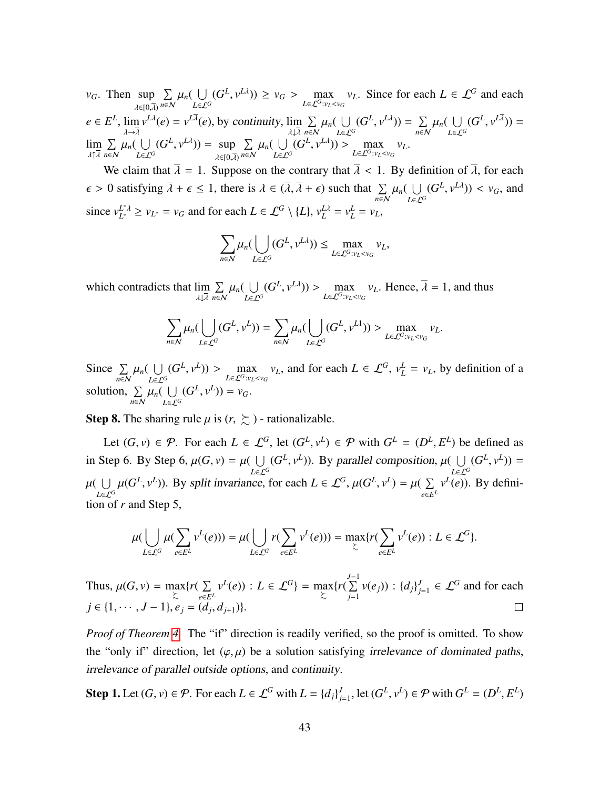$v_G$ . Then sup  $\Sigma$  $\lambda \in [0,\overline{\lambda})$  $\sum_{n \in \mathcal{N}} \mu_n(\bigcup_{L \in \mathcal{L}}$ *L*∈L*<sup>G</sup>*  $(G^L, v^{L\lambda})) \geq v_G > \max_{L \in \mathcal{L}^G: v_L < v_G}$ *v*<sub>*L*</sub>. Since for each  $L \in \mathcal{L}^G$  and each  $e \in E^L$ , lim  $\lambda \rightarrow \lambda$  $v^{L\lambda}(e) = v^{L\lambda}(e)$ , by continuity, lim λ↓λ  $\overline{\Sigma}$  $\sum_{n \in \mathcal{N}} \mu_n(\bigcup_{L \in \mathcal{L}}$ *L*∈L*<sup>G</sup>*  $(G^L, v^{L\lambda})) = \sum_{n \in \mathcal{N}}$  $\sum_{n \in \mathcal{N}} \mu_n(\bigcup_{L \in \mathcal{L}}$ *L*∈L*<sup>G</sup>*  $(G^L, v^{L\lambda})) =$ lim  $\lambda$ 1 $\overline{\lambda}$  $\overline{\Sigma}$  $\sum_{n \in \mathcal{N}} \mu_n(\bigcup_{L \in \mathcal{L}}$ *L*∈L*<sup>G</sup>*  $(G^L, v^{L\lambda})) = \sup_{\lambda \in [0, \overline{\lambda}]}$ λ∈[0, $\overline{\lambda}$ )  $\overline{\Sigma}$  $\sum_{n \in \mathcal{N}} \mu_n(\bigcup_{L \in \mathcal{L}}$ *L*∈L*<sup>G</sup>*  $(G^L, v^{L\lambda})) > \max_{L \in \mathcal{L}^G: v_L < v_G}$ *vL*.

We claim that  $\overline{\lambda} = 1$ . Suppose on the contrary that  $\overline{\lambda} < 1$ . By definition of  $\overline{\lambda}$ , for each  $\epsilon > 0$  satisfying  $\lambda + \epsilon \leq 1$ , there is  $\lambda \in (\lambda, \lambda + \epsilon)$  such that  $\sum_{n \in \mathcal{N}} \mu_n(\bigcup_{L \in \mathcal{L}}$ *L*∈L*<sup>G</sup>*  $(G^L, v^{L\lambda})) < v_G$ , and since  $v_{L^*}^{L^* \lambda} \ge v_{L^*} = v_G$  and for each  $L \in \mathcal{L}^G \setminus \{L\}, v_L^{L \lambda} = v_L^L = v_L$ ,

$$
\sum_{n\in\mathcal{N}}\mu_n(\bigcup_{L\in\mathcal{L}^G}(G^L,\nu^{L\lambda}))\leq \max_{L\in\mathcal{L}^G:v_L
$$

which contradicts that lim  $\lambda\downarrow\overline{\lambda}$  $\overline{\Sigma}$  $\sum_{n \in \mathcal{N}} \mu_n(\bigcup_{L \in \mathcal{L}}$ *L*∈L*<sup>G</sup>*  $(G^L, v^{L\lambda}))$  >  $\max_{L \in \mathcal{L}^G: v_L < v_G} v_L$ . Hence,  $\overline{\lambda} = 1$ , and thus

$$
\sum_{n\in\mathcal{N}}\mu_n(\bigcup_{L\in\mathcal{L}^G}(G^L,\nu^L))=\sum_{n\in\mathcal{N}}\mu_n(\bigcup_{L\in\mathcal{L}^G}(G^L,\nu^{L1}))>\max_{L\in\mathcal{L}^G:v_L
$$

Since  $\Sigma$  $\sum_{n \in \mathcal{N}} \mu_n(\bigcup_{L \in \mathcal{L}}$ *L*∈L*<sup>G</sup>*  $(G^L, v^L)$  > max<br>*L*<sub>E</sub>C<sup>G</sup>: $v_L$ < $v_G$ *v*<sub>*L*</sub>, and for each  $L \in \mathcal{L}^G$ ,  $v_L^L = v_L$ , by definition of a solution,  $\Sigma$  $\sum_{n \in \mathcal{N}} \mu_n(\bigcup_{L \in \mathcal{L}}$ *L*∈L*<sup>G</sup>*  $(G^{L}, v^{L})) = v_{G}.$ 

**Step 8.** The sharing rule  $\mu$  is  $(r, \geq)$  - rationalizable.

Let  $(G, v) \in \mathcal{P}$ . For each  $L \in \mathcal{L}^G$ , let  $(G^L, v^L) \in \mathcal{P}$  with  $G^L = (D^L, E^L)$  be defined as in Step 6. By Step 6,  $\mu(G, v) = \mu(\bigcup_{L \in \mathcal{L}}$ *L*∈L*<sup>G</sup>* ( $G^L$ ,  $v^L$ )). By parallel composition,  $\mu$ ( $\bigcup_{L \in \mathcal{L}}$ *L*∈L*<sup>G</sup>*  $(G^L, v^L)$  =  $\mu(\bigcup\limits_{L\in\mathcal{L}}%{\color[rgb]{0.8,0.3,0} (\Delta_l)}\mu(M))=\mu(M)$ *L*∈*L<sup>G</sup>* µ(*G*<sup>*L*</sup>, *v*<sup>*L*</sup>)). By split invariance, for each *L* ∈ *L*<sup>G</sup>, µ(*G*<sup>*L*</sup>, *v*<sup>*L*</sup>) = µ( $\sum_{e \in E}$ *e*∈*E<sup>L</sup>*  $v^L(e)$ ). By definition of *r* and Step 5,

$$
\mu(\bigcup_{L\in\mathcal{L}^G}\mu(\sum_{e\in E^L}\nu^L(e)))=\mu(\bigcup_{L\in\mathcal{L}^G}r(\sum_{e\in E^L}\nu^L(e)))=\max_{\stackrel{\succeq}{\sim}}\{r(\sum_{e\in E^L}\nu^L(e)):L\in\mathcal{L}^G\}.
$$

Thus,  $\mu(G, v) = \max_{\substack{\sim \\ \sim}} \{r(\sum_{e \in E}$ *e*∈*E<sup>L</sup>*  $v^L(e)$ ) :  $L \in \mathcal{L}^G$  = max{ $r(\sum_{i=1}^{J-1}$  $\sum_{j=1}^{\infty} v(e_j)$ ) : { $d_j$ }<sup>*j*</sup></sup>  $J$ <sub>*j*=1</sub> ∈  $\mathcal{L}^G$  and for each  $j \in \{1, \cdots, J-1\}, e_j = (d_j, d_{j+1})\}.$ 

*Proof of Theorem [4.](#page-28-0)* The "if" direction is readily verified, so the proof is omitted. To show the "only if" direction, let  $(\varphi, \mu)$  be a solution satisfying irrelevance of dominated paths, irrelevance of parallel outside options, and continuity.

Step 1. Let  $(G, v) \in \mathcal{P}$ . For each  $L \in \mathcal{L}^G$  with  $L = \{d_j\}_{j=1}^J$ *J*<sub> $j=1$ </sub>, let  $(G^L, v^L) \in \mathcal{P}$  with  $G^L = (D^L, E^L)$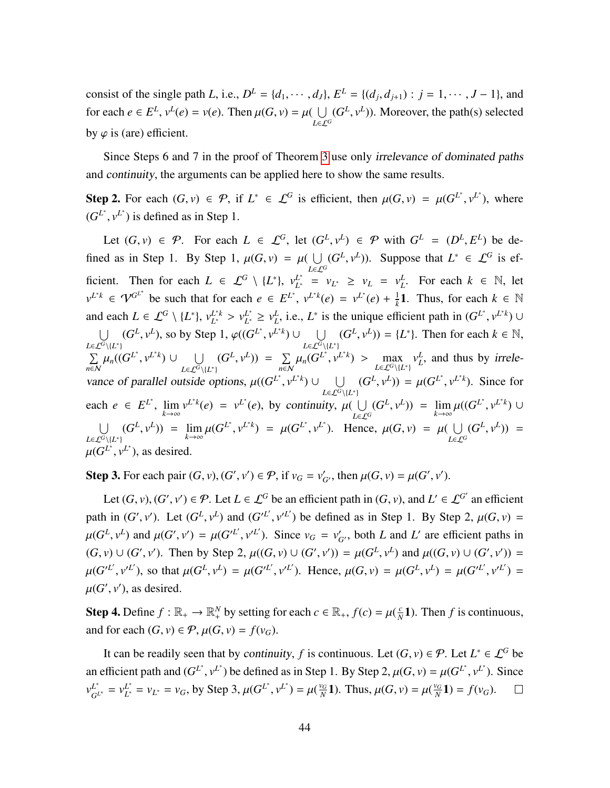consist of the single path *L*, i.e.,  $D^L = \{d_1, \dots, d_J\}$ ,  $E^L = \{(d_j, d_{j+1}) : j = 1, \dots, J - 1\}$ , and for each  $e \in E^L$ ,  $v^L(e) = v(e)$ . Then  $\mu(G, v) = \mu(\bigcup_{L \in \mathcal{L}}$ *L*∈L*<sup>G</sup>*  $(G^L, v^L)$ ). Moreover, the path(s) selected by  $\varphi$  is (are) efficient.

Since Steps 6 and 7 in the proof of Theorem [3](#page-27-0) use only irrelevance of dominated paths and continuity, the arguments can be applied here to show the same results.

Step 2. For each  $(G, v) \in \mathcal{P}$ , if  $L^* \in \mathcal{L}^G$  is efficient, then  $\mu(G, v) = \mu(G^{L^*}, v^{L^*})$ , where  $(G^{L^*}, v^{L^*})$  is defined as in Step 1.

Let  $(G, v) \in \mathcal{P}$ . For each  $L \in \mathcal{L}^G$ , let  $(G^L, v^L) \in \mathcal{P}$  with  $G^L = (D^L, E^L)$  be defined as in Step 1. By Step 1,  $\mu(G, v) = \mu(\bigcup_{L \in \mathcal{L}}$ *L*∈L*<sup>G</sup>*  $(G^L, v^L)$ ). Suppose that  $L^* \in \mathcal{L}^G$  is efficient. Then for each  $L \in \mathcal{L}^G \setminus \{L^*\}, v_{L^*}^{L^*}$  $L^*$  =  $v_{L^*}$  ≥  $v_L$  =  $v_L^L$ . For each  $k \in \mathbb{N}$ , let  $v^{L^*k} \in \mathcal{V}^{G^{L^*}}$  be such that for each  $e \in E^{L^*}$ ,  $v^{L^*k}(e) = v^{L^*}(e) + \frac{1}{k}$  $\frac{1}{k}$ **1**. Thus, for each *k* ∈ N and each  $L \in \mathcal{L}^G \setminus \{L^*\}, v_{L^*}^{L^*k} > v_{L^*}^{L^*}$  $L^* \geq v_L^L$ , i.e.,  $L^*$  is the unique efficient path in  $(G^L^*, v^{L^*k}) \cup$  $\bigcup$  $L$ ∈ $\mathcal{L}^{G}\backslash\{L^{*}\}$ ( $G^L$ ,  $v^L$ ), so by Step 1,  $\varphi((G^{L^*}, v^{L^*k}) \cup \bigcup_{L \in \mathcal{L}^G\setminus}$ *L*∈L*G*\{*L* ∗ }  $(G^L, v^L)$  = { $L^*$ }. Then for each  $k \in \mathbb{N}$ ,  $\overline{\Sigma}$  $\sum_{n \in \mathcal{N}} \mu_n((G^{\mathcal{L}^*}, v^{\mathcal{L}^*k}) \cup \bigcup_{\mathcal{L} \in \mathcal{L}^G\setminus \mathcal{L}^*}$ *L*∈L*G*\{*L* ∗ }  $(G^L, v^L)$  =  $\sum_{n \in \mathcal{N}}$  $\sum_{L \in \mathcal{L}^G \setminus \{L^*\}} \mu_n(G^{L^*}, v^{L^*k})$  >  $\max_{L \in \mathcal{L}^G \setminus \{L^*\}} v_L^L$ , and thus by irrelevance of parallel outside options,  $\mu((G^{L^*}, v^{L^*k}) \cup \bigcup_{L \in \mathcal{L}^G} \bigcup_{L \in \mathcal{L}^G}$ *L*∈L*G*\{*L* ∗ }  $(G^L, v^L)$  =  $\mu(G^{L^*}, v^{L^*k})$ . Since for each  $e \in E^{L^*}$ ,  $\lim_{k \to \infty} v^{L^*k}(e) = v^{L^*}(e)$ , by continuity,  $\mu(\bigcup_{L \in \mathcal{L}}$ *L*∈L*<sup>G</sup>*  $(G^L, v^L)$  =  $\lim_{k \to \infty} \mu((G^{L^*}, v^{L^*k}) \cup$  $\bigcup$  $L$ ∈ $\mathcal{L}^{G}\backslash\{L^{*}\}$  $(G^L, v^L)$  =  $\lim_{k \to \infty} \mu(G^{L^*}, v^{L^*k}) = \mu(G^{L^*}, v^{L^*})$ . Hence,  $\mu(G, v) = \mu(\bigcup_{L \in \mathcal{L}}$ *L*∈L*<sup>G</sup>*  $(G^L, v^L)$  =  $\mu(G^{\overrightarrow{L^*}}, v^{\overrightarrow{L^*}})$ , as desired.

Step 3. For each pair  $(G, v), (G', v') \in \mathcal{P}$ , if  $v_G = v'_{G'}$ , then  $\mu(G, v) = \mu(G', v')$ .

Let  $(G, v), (G', v') \in \mathcal{P}$ . Let  $L \in \mathcal{L}^G$  be an efficient path in  $(G, v)$ , and  $L' \in \mathcal{L}^{G'}$  an efficient path in  $(G', v')$ . Let  $(G^L, v^L)$  and  $(G'^{L'}, v'^{L'})$  be defined as in Step 1. By Step 2,  $\mu(G, v) =$  $\mu(G^L, v^L)$  and  $\mu(G', v') = \mu(G'^{L'}, v'^{L'})$ . Since  $v_G = v'_{G'}$ , both *L* and *L*' are efficient paths in  $(\mathbf{G}, v) \cup (\mathbf{G}', v')$ . Then by Step 2,  $\mu((\mathbf{G}, v) \cup (\mathbf{G}', v')) = \mu(\mathbf{G}^L, v^L)$  and  $\mu((\mathbf{G}, v) \cup (\mathbf{G}', v')) =$  $\mu(G'^{L'}, v'^{L'})$ , so that  $\mu(G^L, v^L) = \mu(G'^{L'}, v'^{L'})$ . Hence,  $\mu(G, v) = \mu(G^L, v^L) = \mu(G'^{L'}, v'^{L'}) =$  $\mu(G', v')$ , as desired.

Step 4. Define  $f : \mathbb{R}_+ \to \mathbb{R}_+^N$  by setting for each  $c \in \mathbb{R}_+$ ,  $f(c) = \mu(\frac{c}{N})$  $\frac{c}{N}$ **1**). Then *f* is continuous, and for each  $(G, v) \in \mathcal{P}$ ,  $\mu(G, v) = f(v_G)$ .

It can be readily seen that by continuity, *f* is continuous. Let  $(G, v) \in \mathcal{P}$ . Let  $L^* \in \mathcal{L}^G$  be an efficient path and  $(G^{L^*}, v^{L^*})$  be defined as in Step 1. By Step 2,  $\mu(G, v) = \mu(G^{L^*}, v^{L^*})$ . Since  $v_{cl}^{L^*}$  $L^*$ <sub>*GL*<sup>\*</sup></sup> =  $v_{L^*}^{L^*}$ </sub>  $L^* = v_{L^*} = v_G$ , by Step 3,  $\mu(G^{L^*}, v^{L^*}) = \mu(\frac{v_G}{N})$  $\frac{\partial \mathcal{G}}{\partial N}$ **1**). Thus,  $\mu(G, v) = \mu(\frac{v_G}{N})$  $\frac{\nu_G}{N}$ **1**) =  $f(\nu_G)$ .  $\Box$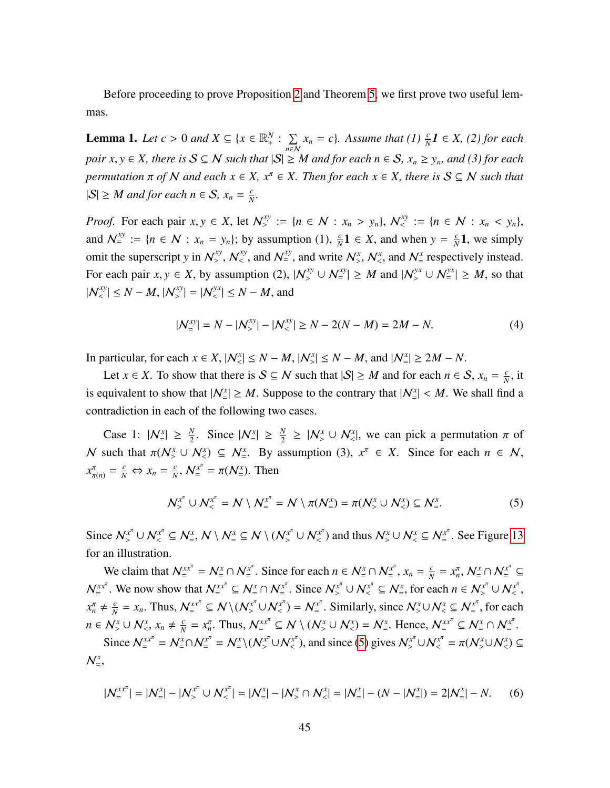Before proceeding to prove Proposition [2](#page-33-1) and Theorem [5,](#page-33-2) we first prove two useful lemmas.

<span id="page-46-3"></span>**Lemma 1.** *Let*  $c > 0$  *and*  $X \subseteq \{x \in \mathbb{R}^N_+ : \sum_{n \in \mathbb{N}} \sum_{n \in \mathbb{N}} a_n x^n\}$  $\sum_{n \in \mathbb{N}} x_n = c$ }*.* Assume that (1)  $\frac{c}{N}$ **I** ∈ *X,* (2*)* for each *pair*  $x, y \in X$ *, there is*  $S \subseteq N$  *such that*  $|S| \geq M$  *and for each*  $n \in S$ *,*  $x_n \geq y_n$ *, and* (3) *for each permutation*  $\pi$  *of*  $N$  *and each*  $x \in X$ ,  $x^{\pi} \in X$ . Then for each  $x \in X$ , there is  $S \subseteq N$  *such that*  $|S| \geq M$  and for each  $n \in S$ ,  $x_n = \frac{c}{N}$  $\frac{c}{N}$ .

*Proof.* For each pair  $x, y \in X$ , let  $\mathcal{N}_>^{xy} := \{n \in \mathcal{N} : x_n > y_n\}$ ,  $\mathcal{N}_<^{xy} := \{n \in \mathcal{N} : x_n < y_n\}$ , and  $\mathcal{N}^{\text{xy}} = \{n \in \mathcal{N} : x_n = y_n\}$ ; by assumption (1),  $\frac{c}{N} \mathbf{1} \in X$ , and when  $y = \frac{c}{N}$  $\frac{c}{N}$ **1**, we simply omit the superscript *y* in  $\mathcal{N}_>^{xy}, \mathcal{N}_<^{xy}$ , and  $\mathcal{N}_=^{xy}$ , and write  $\mathcal{N}_>^{x}, \mathcal{N}_<^{x}$ , and  $\mathcal{N}_=^{x}$  respectively instead. For each pair  $x, y \in X$ , by assumption (2),  $|N_0^{xy} \cup N_2^{xy}| \ge M$  and  $|N_2^{yx} \cup N_2^{xy}| \ge M$ , so that  $|N_{\leq}^{xy}| \leq N - M$ ,  $|N_{\geq}^{xy}| = |N_{\leq}^{yx}| \leq N - M$ , and

<span id="page-46-2"></span>
$$
|N_{\pm}^{xy}| = N - |N_{>}^{xy}| - |N_{<}^{xy}| \ge N - 2(N - M) = 2M - N.
$$
 (4)

In particular, for each  $x \in X$ ,  $|\mathcal{N}_\le^x| \le N - M$ ,  $|\mathcal{N}_\le^x| \le N - M$ , and  $|\mathcal{N}_\le^x| \ge 2M - N$ .

Let *x* ∈ *X*. To show that there is  $S \subseteq N$  such that  $|S| \ge M$  and for each  $n \in S$ ,  $x_n = \frac{c}{N}$  $\frac{c}{N}$ , it is equivalent to show that  $|N_{\pm}^x| \ge M$ . Suppose to the contrary that  $|N_{\pm}^x| < M$ . We shall find a contradiction in each of the following two cases.

Case 1:  $|N_{\pm}^x| \ge \frac{N}{2}$ . Since  $|N_{\pm}^x| \ge \frac{N}{2} \ge |N_{\pm}^x \cup N_{\pm}^x|$ , we can pick a permutation  $\pi$  of *N* such that  $\pi(N^x > \cup N^x) \subseteq N^x = N^x$ . By assumption (3),  $x^{\pi} \in X$ . Since for each *n* ∈ N,  $x_{\pi(n)}^{\pi} = \frac{c}{N} \Leftrightarrow x_n = \frac{c}{N}, \mathcal{N}_{\pi}^{x^{\pi}}$  $\frac{c}{N}$ ,  $\mathcal{N}_{=}^{x^{\pi}} = \pi(\mathcal{N}_{=}^{x})$ . Then

<span id="page-46-1"></span><span id="page-46-0"></span>
$$
\mathcal{N}_{>}^{x^{\pi}} \cup \mathcal{N}_{<}^{x^{\pi}} = \mathcal{N} \setminus \mathcal{N}_{=}^{x^{\pi}} = \mathcal{N} \setminus \pi(\mathcal{N}_{=}^{x}) = \pi(\mathcal{N}_{>}^{x} \cup \mathcal{N}_{<}^{x}) \subseteq \mathcal{N}_{=}^{x}.
$$
 (5)

Since  $\mathcal{N}_{\leq}^{x^{\pi}} \cup \mathcal{N}_{\leq}^{x^{\pi}} \subseteq \mathcal{N} \setminus \mathcal{N}_{\leq}^{x} \subseteq \mathcal{N} \setminus (\mathcal{N}_{\leq}^{x^{\pi}} \cup \mathcal{N}_{\leq}^{x^{\pi}})$  and thus  $\mathcal{N}_{\leq}^{x} \cup \mathcal{N}_{\leq}^{x} \subseteq \mathcal{N}_{\leq}^{x^{\pi}}$ . See Figure [13](#page-47-0) for an illustration.

We claim that  $\mathcal{N}^{xx^{\pi}} = \mathcal{N}^{x}_{=} \cap \mathcal{N}^{x^{\pi}}_{=}$ . Since for each  $n \in \mathcal{N}^{x}_{=} \cap \mathcal{N}^{x^{\pi}}_{=}$ ,  $x_n = \frac{c}{N}$  $\frac{c}{N} = x_n^{\pi}, \, \mathcal{N}_{\!=}^{\scriptscriptstyle \mathcal{X}} \cap \mathcal{N}_{\!=}^{\scriptscriptstyle \mathcal{X}^{\pi}} \subseteq$  $N_{\pm}^{xx}$ . We now show that  $N_{\pm}^{xx} \subseteq N_{\pm}^{x} \cap N_{\pm}^{x^{\pi}}$ . Since  $N_{\infty}^{x^{\pi}} \cup N_{\leq}^{x^{\pi}} \subseteq N_{\pm}^{x}$ , for each  $n \in N_{\infty}^{x^{\pi}} \cup N_{\leq}^{x^{\pi}}$ ,  $x_n^{\pi} \neq \frac{c}{N} = x_n$ . Thus,  $\mathcal{N}_{\pm}^{xx^{\pi}} \subseteq \mathcal{N} \setminus (\mathcal{N}_{\geq}^{x^{\pi}} \cup \mathcal{N}_{\leq}^{x^{\pi}}) = \mathcal{N}_{\pm}^{x^{\pi}}$ . Similarly, since  $\mathcal{N}_{\geq}^{x} \cup \mathcal{N}_{\leq}^{x} \subseteq \mathcal{N}_{\pm}^{x^{\pi}}$ , for each  $\frac{c}{N} = x_n$ . Thus,  $\mathcal{N}^{\mathbf{x}^{\pi}} \subseteq \mathcal{N} \setminus (\mathcal{N}^{\mathbf{x}^{\pi}} \cup \mathcal{N}^{\mathbf{x}^{\pi}}) = \mathcal{N}^{\mathbf{x}^{\pi}} \subseteq \mathcal{N}$ . Similarly, since  $\mathcal{N}^{\mathbf{x}} \cup \mathcal{N}^{\mathbf{x}} \subseteq \mathcal{N}^{\mathbf{x}^{\pi}} \subseteq \mathcal{N}^{\mathbf{x}^{\pi}}$ , for each  $n \in \mathcal{N}_{\leq}^x \cup \mathcal{N}_{\leq}^x$ ,  $x_n \neq \frac{c}{N} = x_n^{\pi}$ . Thus,  $\mathcal{N}_{\leq}^{xx^{\pi}} \subseteq$  $\frac{c}{N} = x_n^{\pi}$ . Thus,  $\mathcal{N}_{\pm}^{xx^{T}} \subseteq \mathcal{N} \setminus (\mathcal{N}_{\geq}^{x} \cup \mathcal{N}_{\leq}^{x}) = \mathcal{N}_{\pm}^{x}$ . Hence,  $\mathcal{N}_{\pm}^{xx^{T}} \subseteq \mathcal{N}_{\pm}^{x} \cap \mathcal{N}_{\pm}^{x^{T}}$ .

Since  $N_{\pm}^{xx^{\pi}} = N_{\pm}^{x} \cap N_{\pm}^{x^{\pi}} = N_{\pm}^{x} \setminus (N_{\pm}^{x^{\pi}} \cup N_{\pm}^{x^{\pi}})$ , and since [\(5\)](#page-46-0) gives  $N_{\pm}^{x^{\pi}} \cup N_{\pm}^{x^{\pi}} = \pi(N_{\pm}^{x} \cup N_{\pm}^{x}) \subseteq$  $\mathcal{N}_{=}^{x},$ 

$$
|\mathcal{N}^{xx}_{=}|\ = |\mathcal{N}^{x}_{=}|\ - |\mathcal{N}^{x}_{>}|\ \cup \ \mathcal{N}^{x}_{<}| = |\mathcal{N}^{x}_{=}|\ - |\mathcal{N}^{x}_{>}|\ \cap \ \mathcal{N}^{x}_{<}| = |\mathcal{N}^{x}_{=}|\ - (N - |\mathcal{N}^{x}_{=}|\ ) = 2|\mathcal{N}^{x}_{=}|\ - N. \tag{6}
$$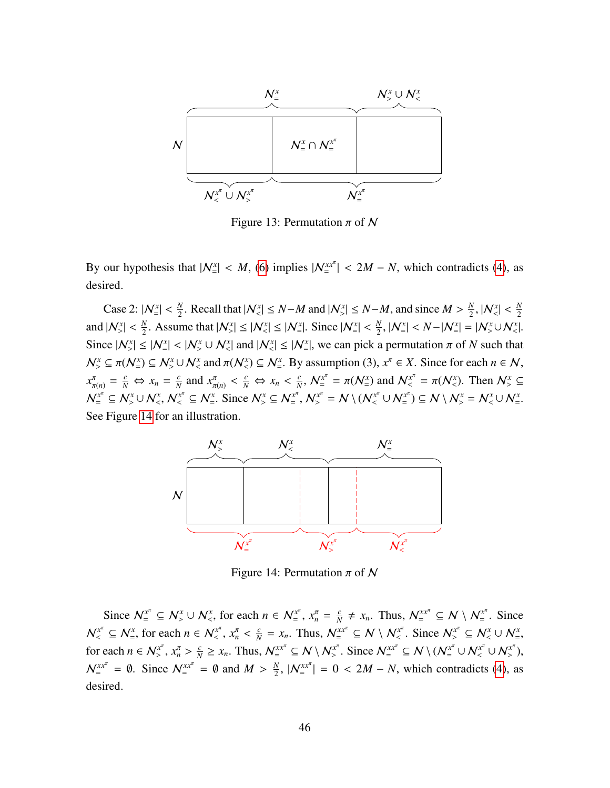<span id="page-47-0"></span>

Figure 13: Permutation  $\pi$  of N

By our hypothesis that  $|N_{=}^x| < M$ , [\(6\)](#page-46-1) implies  $|N_{=}^{xx^{\pi}}| < 2M - N$ , which contradicts [\(4\)](#page-46-2), as desired.

Case 2:  $|N_{=}^x| < \frac{N}{2}$ 2. Recall that  $|\mathcal{N}_\le| \le N-M$  and  $|\mathcal{N}_>^x| \le N-M$ , and since  $M > \frac{N}{2}$ and  $|N_{>}^x| < \frac{N}{2}$ . Assume that  $|N_{>}^x| \le |N_{<}^x| \le |N_{=}^x|$ . Since  $|N_{=}^x| < \frac{N}{2}$ ,  $|N_{=}^x| < N - |N_{=}^x| = |N_{>}^x|$  $\frac{N}{2}$ ,  $|\mathcal{N}^x_{\leq}| < \frac{N}{2}$ 2 Since  $|N_z^x| \le |N_z^x| < |N_z^x| \cup N_z^x|$  and  $|N_z^x| \le |N_z^x|$ , we can pick a permutation  $\pi$  of *N* such that *N*<sub>2</sub>. Assume that  $|N_{>}^x| \le |N_{<}^x| \le |N_{=}^x|$ . Since  $|N_{=}^x| < \frac{N}{2}$  $\frac{N}{2}$ ,  $|\mathcal{N}_{=}^x|$  <  $N-|\mathcal{N}_{=}^x|$  =  $|\mathcal{N}_{>}^x \cup \mathcal{N}_{<}^x|$ .  $N^x > \subseteq \pi(N^x) \subseteq N^x > \cup N^x   
\infty$  and  $\pi(N^x) \subseteq N^x = \mathbb{R}$ . By assumption (3),  $x^{\pi} \in X$ . Since for each  $n \in \mathbb{N}$ ,  $x_{\pi(n)}^{\pi} = \frac{c}{N} \Leftrightarrow x_n = \frac{c}{N}$  and  $x_{\pi(n)}^{\pi} < \frac{c}{N}$  $\frac{c}{N}$  and  $x_{\pi(n)}^{\pi}$  <  $\frac{c}{N}$ ⇔ *x<sub>n</sub>* <  $\frac{c}{N}$  $\frac{c}{N}$ ,  $N_{\pm}^{x^{\pi}} = \pi(N_{\pm}^{x})$  and  $N_{\lt}^{x^{\pi}} = \pi(N_{\lt}^{x})$ ). Then  $N_>^x$  ⊆  $N_{\pm}^{x^{\pi}} \subseteq N_{\geq}^{x} \cup N_{\leq}^{x}, N_{\leq}^{x^{\pi}} \subseteq N_{\pm}^{x}.$  Since  $N_{\geq}^{x} \subseteq N_{\pm}^{x^{\pi}}, N_{\geq}^{x^{\pi}} = N \setminus (N_{\leq}^{x^{\pi}} \cup N_{\pm}^{x^{\pi}}) \subseteq N \setminus N_{\geq}^{x} = N_{\leq}^{x} \cup N_{\pm}^{x}.$ < See Figure [14](#page-47-1) for an illustration.

<span id="page-47-1"></span>

Figure 14: Permutation  $\pi$  of N

Since  $\mathcal{N}_{\pm}^{x^{\pi}} \subseteq \mathcal{N}_{\geq}^{x} \cup \mathcal{N}_{<}^{x}$ , for each  $n \in \mathcal{N}_{\pm}^{x^{\pi}}$ ,  $x_{n}^{\pi} = \frac{c}{N}$  $N_c^{\chi^{\pi}} \subseteq N_{\pm}^{\chi}$ , for each  $n \in N_c^{\chi^{\pi}}$ ,  $x_n^{\pi} < \frac{c}{N}$  $\frac{c}{N} \neq x_n$ . Thus,  $\mathcal{N}^{xx^{\pi}} \subseteq \mathcal{N} \setminus \mathcal{N}^{x^{\pi}} \subseteq \mathcal{N}$ . Since  $N_{\leq} \subseteq N_{\leq}$ , for each  $n \in N_{\leq}^{x^{\pi}}$ ,  $x_n^{\pi} > \frac{c}{N} \geq x_n$ . Thus,  $N_{\leq}^{x^{\pi}} \subseteq N \setminus N_{\leq}^{x^{\pi}}$ . Since  $N_{\leq}^{x^{\pi}}$ <br>for each  $n \in N_{\leq}^{x^{\pi}}$ ,  $x_n^{\pi} > \frac{c}{N} \geq x_n$ . Thus,  $N_{\leq}^{x^{\pi}} \subseteq N \setminus N_{\leq}^{x^{\pi}}$ .  $\frac{c}{N} = x_n$ . Thus,  $\mathcal{N}^{\mathfrak{X}^{\pi}} \subseteq \mathcal{N} \setminus \mathcal{N}^{\mathfrak{X}^{\pi}}_{\leq}$ . Since  $\mathcal{N}^{\mathfrak{X}^{\pi}}_{>} \subseteq \mathcal{N}^{\mathfrak{X}}_{\leq} \cup \mathcal{N}^{\mathfrak{X}}_{=}$ ,  $N_{\pm}^{x x^{\pi}} = \emptyset$ . Since  $N_{\pm}^{x x^{\pi}} = \emptyset$  and  $M > \frac{N}{2}$ ,  $|N_{\pm}^{x x^{\pi}}| = 0 < 2M - N$ , which contradicts (4),  $\frac{c}{N} \geq x_n$ . Thus,  $\mathcal{N}_{\equiv}^{xx^{\pi}} \subseteq \mathcal{N} \setminus \mathcal{N}_{\geq}^{x^{\pi}}$ . Since  $\mathcal{N}_{\equiv}^{xx^{\pi}} \subseteq \mathcal{N} \setminus (\mathcal{N}_{\equiv}^{x^{\pi}} \cup \mathcal{N}_{\leq}^{x^{\pi}} \cup \mathcal{N}_{\geq}^{x^{\pi}})$ ,  $\left|\sum_{n=1}^{N} |N^{\text{xx}}_{n}| \right| = 0 < 2M - N$ , which contradicts [\(4\)](#page-46-2), as desired.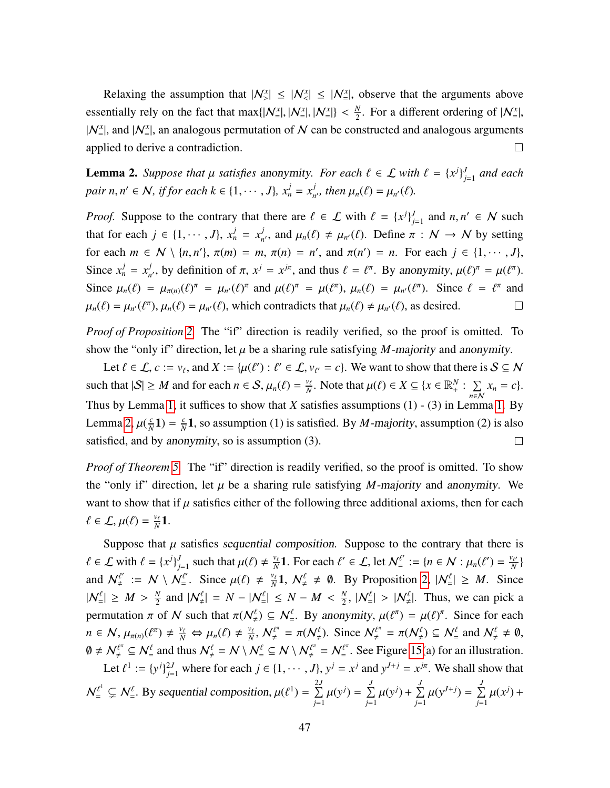Relaxing the assumption that  $|N_z^x| \leq |N_z^x| \leq |N_z^x|$ , observe that the arguments above essentially rely on the fact that max $\{|N_{\pm}^x|, |N_{\pm}^x|, |N_{\pm}^x|\} < \frac{N}{2}$  $\frac{N}{2}$ . For a different ordering of  $|\mathcal{N}_{=}^x|$ ,  $|N_{=}^x|$ , and  $|N_{=}^x|$ , an analogous permutation of N can be constructed and analogous arguments applied to derive a contradiction.  $\Box$ 

<span id="page-48-0"></span>**Lemma 2.** *Suppose that*  $\mu$  *satisfies* anonymity. For each  $\ell \in \mathcal{L}$  *with*  $\ell = \{x^j\}_{j=1}^J$ *j*=1 *and each pair*  $n, n' \in \mathbb{N}$ *, if for each*  $k \in \{1, \cdots, J\}$ *,*  $x_n^j = x_n^j$  $\mu_{n'}$ , then  $\mu_n(\ell) = \mu_{n'}(\ell)$ .

*Proof.* Suppose to the contrary that there are  $\ell \in \mathcal{L}$  with  $\ell = \{x^j\}^J_j$ *j*<sub>=1</sub> and *n*, *n'*  $\in$  *N* such that for each  $j \in \{1, \dots, J\}$ ,  $x_n^j = x_n^j$  $\mu_n$ , and  $\mu_n(\ell) \neq \mu_{n'}(\ell)$ . Define  $\pi : \mathcal{N} \to \mathcal{N}$  by setting for each  $m \in \mathcal{N} \setminus \{n, n'\}, \pi(m) = m, \pi(n) = n'$ , and  $\pi(n') = n$ . For each  $j \in \{1, \dots, J\},\$ Since  $x_n^j = x_n^j$ *n*<sup>*n*</sup>, by definition of  $\pi$ ,  $x^j = x^{j\pi}$ , and thus  $\ell = \ell^{\pi}$ . By anonymity,  $\mu(\ell)^{\pi} = \mu(\ell^{\pi})$ . Since  $\mu_n(\ell) = \mu_{\pi(n)}(\ell)^{\pi} = \mu_{n'}(\ell)^{\pi}$  and  $\mu(\ell)^{\pi} = \mu(\ell^{\pi}), \mu_n(\ell) = \mu_{n'}(\ell^{\pi}).$  Since  $\ell = \ell^{\pi}$  and  $\mu_n(\ell) = \mu_{n'}(\ell^n), \mu_n(\ell) = \mu_{n'}(\ell)$ , which contradicts that  $\mu_n(\ell) \neq \mu_{n'}(\ell)$ , as desired.  $\Box$ 

*Proof of Proposition [2.](#page-33-1)* The "if" direction is readily verified, so the proof is omitted. To show the "only if" direction, let  $\mu$  be a sharing rule satisfying *M*-majority and anonymity.

Let  $\ell \in \mathcal{L}$ ,  $c := v_{\ell}$ , and  $X := \{\mu(\ell') : \ell' \in \mathcal{L}, v_{\ell'} = c\}$ . We want to show that there is  $S \subseteq N$ such that  $|S| \ge M$  and for each  $n \in S$ ,  $\mu_n(\ell) = \frac{v_\ell}{N}$ . Note that  $\mu(\ell) \in X \subseteq \{x \in \mathbb{R}^N_+ : \sum_{n \in \mathbb{N}} \ell_n \le \ell \}$  $\sum_{n \in \mathcal{N}} x_n = c$  }. Thus by Lemma [1,](#page-46-3) it suffices to show that *X* satisfies assumptions (1) - (3) in Lemma [1.](#page-46-3) By Lemma [2,](#page-48-0)  $\mu(\frac{c}{N})$  $\frac{c}{N}$ **1**) =  $\frac{c}{N}$  $\frac{c}{N}$ **1**, so assumption (1) is satisfied. By *M*-majority, assumption (2) is also  $\Box$ satisfied, and by anonymity, so is assumption (3).

*Proof of Theorem [5.](#page-33-2)* The "if" direction is readily verified, so the proof is omitted. To show the "only if" direction, let  $\mu$  be a sharing rule satisfying *M*-majority and anonymity. We want to show that if  $\mu$  satisfies either of the following three additional axioms, then for each  $\ell \in \mathcal{L}, \mu(\ell) = \frac{v_{\ell}}{N} \mathbf{1}.$ 

Suppose that  $\mu$  satisfies sequential composition. Suppose to the contrary that there is  $\ell \in \mathcal{L}$  with  $\ell = \{x^j\}^J_j$ *j*=1 such that  $\mu(\ell) \neq \frac{v_{\ell}}{N}$ **1**. For each  $\ell' \in \mathcal{L}$ , let  $\mathcal{N}_{\ell}^{\ell'}$  $\frac{e^{t}}{n} := \{ n \in \mathcal{N} : \mu_n(\ell') = \frac{\nu_{\ell'}}{N} \}$  $\frac{\gamma_{\ell'}}{N}$ and  $\mathcal{N}_{\neq}^{\ell'} := \mathcal{N} \setminus \mathcal{N}_{\neq}^{\ell'}$  $\frac{f''}{\pi}$ . Since  $\mu(\ell) \neq \frac{\nu_{\ell}}{N}$ **1**,  $\mathcal{N}_{\neq}^{\ell} \neq \emptyset$ . By Proposition [2,](#page-33-1)  $|\mathcal{N}_{\neq}^{\ell}| \geq M$ . Since  $|N_{=}^{\ell}| \geq M > \frac{N}{2}$  $\frac{N}{2}$  and  $|\mathcal{N}_{\neq}^{\ell}| = N - |\mathcal{N}_{\neq}^{\ell}| \leq N - M < \frac{N}{2}$  $\frac{N}{2}$ ,  $|\mathcal{N}_{\pm}^{\ell}| > |\mathcal{N}_{\pm}^{\ell}|$ . Thus, we can pick a permutation  $\pi$  of N such that  $\pi(N^{\ell}_{\neq}) \subseteq N^{\ell}_{\neq}$ . By anonymity,  $\mu(\ell^{\pi}) = \mu(\ell)^{\pi}$ . Since for each  $n \in \mathcal{N}, \mu_{\pi(n)}(\ell^{\pi}) \neq \frac{\nu_{\ell}}{N} \Leftrightarrow \mu_n(\ell) \neq \frac{\nu_{\ell}}{N}, \mathcal{N}_{\neq}^{\ell^{\pi}} = \pi(\mathcal{N}_{\neq}^{\ell})$ . Since  $\mathcal{N}_{\neq}^{\ell^{\pi}} = \pi(\mathcal{N}_{\neq}^{\ell}) \subseteq \mathcal{N}_{\neq}^{\ell}$  and  $\mathcal{N}_{\neq}^{\ell} \neq \emptyset$ ,  $\emptyset \neq \mathcal{N}_{\neq}^{\ell^{\pi}} \subseteq \mathcal{N}_{\neq}^{\ell}$  and thus  $\mathcal{N}_{\neq}^{\ell} = \mathcal{N} \setminus \mathcal{N}_{\neq}^{\ell^{\pi}} \subseteq \mathcal{N} \setminus \mathcal{N}_{\neq}^{\ell^{\pi}} = \mathcal{N}_{\neq}^{\ell^{\pi}}$ . See Figure [15\(](#page-49-0)a) for an illustration. Let  $\ell^1 := \{y^j\}_{j=1}^{2J}$  where for each  $j \in \{1, \dots, J\}$ ,  $y^j = x^j$  and  $y^{J+j} = x^{j\pi}$ . We shall show that  $\mathcal{N}_{=}^{\ell} \subsetneq \mathcal{N}_{=}^{\ell}$ . By sequential composition,  $\mu(\ell^1) = \sum_{j=1}^{2J}$  $\sum_{j=1}^{2J} \mu(y^j) = \sum_{j=1}^{J}$  $\sum_{j=1}^{J} \mu(y^{j}) + \sum_{j=1}^{J}$  $\sum_{j=1}^{J} \mu(y^{J+j}) = \sum_{j=1}^{J}$  $\sum_{j=1}^{n} \mu(x^{j}) +$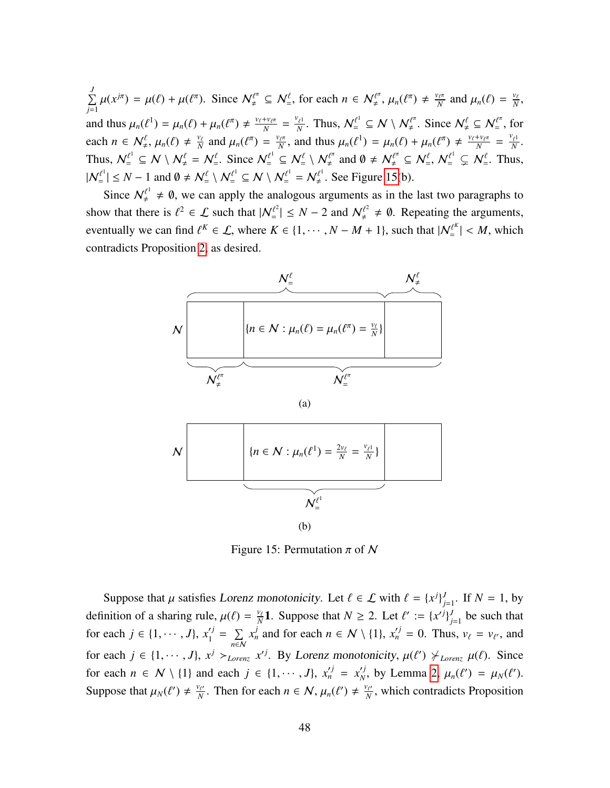P *J*  $\sum_{j=1}^{3} \mu(x^{j\pi}) = \mu(\ell) + \mu(\ell^{\pi})$ . Since  $\mathcal{N}_{\neq}^{\ell^{\pi}} \subseteq \mathcal{N}_{\neq}^{\ell}$ , for each  $n \in \mathcal{N}_{\neq}^{\ell^{\pi}}$ ,  $\mu_n(\ell^{\pi}) \neq \frac{\nu_{\ell^{\pi}}}{N}$  and  $\mu_n(\ell) = \frac{\nu_{\ell}}{N}$ , and thus  $\mu_n(\ell^1) = \mu_n(\ell) + \mu_n(\ell^{\pi}) \neq \frac{\nu_{\ell} + \nu_{\ell^{\pi}}}{N} = \frac{\nu_{\ell^1}}{N}$  $\frac{N_{\ell}!}{N}$ . Thus,  $\mathcal{N}_{\pm}^{\ell^1} \subseteq \mathcal{N} \setminus \mathcal{N}_{\pm}^{\ell^{\pi}}$ . Since  $\mathcal{N}_{\pm}^{\ell} \subseteq \mathcal{N}_{\pm}^{\ell^{\pi}}$ , for each  $n \in \mathcal{N}_{\neq}^{\ell}$ ,  $\mu_n(\ell) \neq \frac{\nu_{\ell}}{N}$  and  $\mu_n(\ell^{\pi}) = \frac{\nu_{\ell^{\pi}}}{N}$ , and thus  $\mu_n(\ell^1) = \mu_n(\ell) + \mu_n(\ell^{\pi}) \neq \frac{\nu_{\ell} + \nu_{\ell^{\pi}}}{N} = \frac{\nu_{\ell^1}}{N}$  $\frac{\ell^1}{N}$ . Thus,  $\mathcal{N}_{\pm}^{\ell^1} \subseteq \mathcal{N} \setminus \mathcal{N}_{\pm}^{\ell} = \mathcal{N}_{\pm}^{\ell}$ . Since  $\mathcal{N}_{\pm}^{\ell^1} \subseteq \mathcal{N}_{\pm}^{\ell} \setminus \mathcal{N}_{\pm}^{\ell^{\pi}}$  and  $\emptyset \neq \mathcal{N}_{\pm}^{\ell^{\pi}} \subseteq \mathcal{N}_{\pm}^{\ell}$ ,  $\mathcal{N}_{\pm}^{\ell^1} \subseteq \mathcal{N}_{\pm}^{\ell}$ . Thus,  $|{\mathcal N}_{{}_{=}}^{\ell^1}$  $|\mathcal{L}^{\ell}| \leq N - 1$  and  $\emptyset \neq \mathcal{N}_{\preceq}^{\ell} \setminus \mathcal{N}_{\preceq}^{\ell^1} \subseteq \mathcal{N} \setminus \mathcal{N}_{\preceq}^{\ell^1} = \mathcal{N}_{\neq}^{\ell^1}$ . See Figure [15\(](#page-49-0)b).

Since  $\mathcal{N}_{\neq}^{\ell^1} \neq \emptyset$ , we can apply the analogous arguments as in the last two paragraphs to show that there is  $\ell^2 \in \mathcal{L}$  such that  $|N_{\perp}^{\ell^2}|$  $\vert \frac{\ell^2}{\epsilon} \vert$  ≤ *N* − 2 and  $\mathcal{N}^{\ell^2}$  ≠ 0. Repeating the arguments, eventually we can find  $\ell^K \in \mathcal{L}$ , where  $K \in \{1, \dots, N - M + 1\}$ , such that  $|\mathcal{N}_\pm^{\ell^K}$  $\vert \ell^{\ell^{\kappa}} \vert < M$ , which contradicts Proposition [2,](#page-33-1) as desired.

<span id="page-49-0"></span>

Figure 15: Permutation  $\pi$  of N

Suppose that  $\mu$  satisfies Lorenz monotonicity. Let  $\ell \in \mathcal{L}$  with  $\ell = \{x^j\}_{j=1}^J$  $J_{j=1}$ . If  $N = 1$ , by definition of a sharing rule,  $\mu(\ell) = \frac{v_{\ell}}{N}$ **1**. Suppose that  $N \ge 2$ . Let  $\ell' := \{x^{j}\}_{j=1}^{N}$  $\int_{j=1}^{j}$  be such that for each  $j \in \{1, \dots, J\}$ ,  $x_1^{j} = \sum_{n \in \mathcal{N}}$ *n*∈N *x*<sup>*j*</sup> and for each *n* ∈ *N* \ {1},  $x_n^j = 0$ . Thus,  $v_\ell = v_{\ell'}$ , and for each  $j \in \{1, \dots, J\}$ ,  $x^j >_{Lorenz} x'^j$ . By Lorenz monotonicity,  $\mu(\ell') \nsucc_{Lorenz} \mu(\ell)$ . Since for each  $n \in \mathcal{N} \setminus \{1\}$  and each  $j \in \{1, \dots, J\}$ ,  $x_n^{j} = x_N^{j}$  $\mu_N^{(j)}$ , by Lemma [2,](#page-48-0)  $\mu_n(\ell') = \mu_N(\ell').$ Suppose that  $\mu_N(\ell') \neq \frac{\nu_{\ell'}}{N}$ *N*  $\frac{\partial v}{\partial N}$ . Then for each  $n \in \mathcal{N}$ ,  $\mu_n(\ell') \neq \frac{\nu_{\ell'}}{N}$  $\frac{\partial \ell}{\partial N}$ , which contradicts Proposition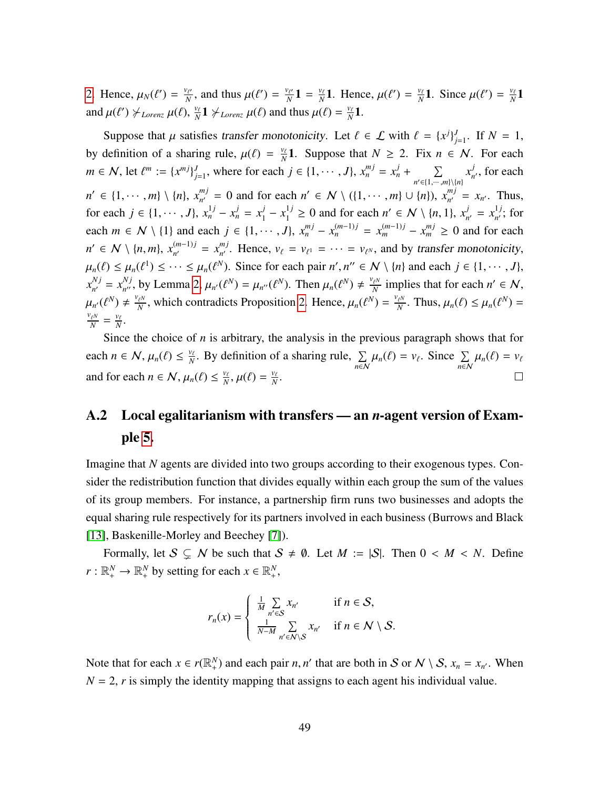[2.](#page-33-1) Hence,  $\mu_N(\ell') = \frac{\nu_{\ell'}}{N}$  $\frac{\partial \ell}{\partial N}$ , and thus  $\mu(\ell') = \frac{\nu_{\ell'}}{N}$  $\frac{\gamma_{\ell}}{N}$ **1** =  $\frac{v_{\ell}}{N}$ **1**. Hence,  $\mu(\ell') = \frac{v_{\ell}}{N}$ **1**. Since  $\mu(\ell') = \frac{v_{\ell}}{N}$ **1** and  $\mu(\ell') \nsucc_{Lorenz} \mu(\ell), \frac{v_{\ell}}{N} \mathbf{1} \nsucc_{Lorenz} \mu(\ell)$  and thus  $\mu(\ell) = \frac{v_{\ell}}{N} \mathbf{1}$ .

Suppose that  $\mu$  satisfies transfer monotonicity. Let  $\ell \in \mathcal{L}$  with  $\ell = \{x^j\}_{j=1}^J$  $'_{j=1}$ . If  $N = 1$ , by definition of a sharing rule,  $\mu(\ell) = \frac{v_{\ell}}{N}$ **1**. Suppose that  $N \ge 2$ . Fix  $n \in \mathbb{N}$ . For each  $m \in \mathcal{N}$ , let  $\ell^m := \{x^{mj}\}_{j=1}^J$ *j*<sub>=1</sub>, where for each  $j \in \{1, \dots, J\}$ ,  $x_n^{mj} = x_n^j + \sum_{n' \in \{1, \dots, j\}}$ *n*  $C\in\{1,\cdots,m\}\setminus\{n\}$  $x_n^j$  $\frac{J}{n'}$ , for each  $n' \in \{1, \dots, m\} \setminus \{n\}, x_{n'}^{mj}$  $\begin{cases} m_j = 0 \text{ and for each } n' \in \mathcal{N} \setminus (\{1, \dots, m\} \cup \{n\}), x_{n'}^{mj} \text{ is a function of } j' \in \mathcal{N} \setminus \{1, \dots, n\} \end{cases}$  $\frac{m_j}{n'} = x_{n'}$ . Thus, for each  $j \in \{1, \dots, J\}$ ,  $x_n^{1j} - x_n^j = x_1^j - x_1^{1j} \ge 0$  and for each  $n' \in \mathcal{N} \setminus \{n, 1\}$ ,  $x_n^j$  $\frac{d}{n'} = x_{n'}^{1j}$  $n'$ <sup>1</sup>, for each  $m \in \mathcal{N} \setminus \{1\}$  and each  $j \in \{1, \dots, J\}$ ,  $x_n^{mj} - x_n^{(m-1)j} = x_m^{(m-1)j} - x_m^{mj} \ge 0$  and for each  $n' \in \mathcal{N} \setminus \{n, m\}, x_{n'}^{(m-1)j}$  $\binom{(m-1)j}{n'} = x_{n'}^{mj}$  $n_j^{m_j}$ . Hence,  $v_\ell = v_{\ell^1} = \cdots = v_{\ell^N}$ , and by *transfer monotonicity*,  $\mu_n(\ell) \leq \mu_n(\ell^1) \leq \cdots \leq \mu_n(\ell^N)$ . Since for each pair  $n', n'' \in \mathcal{N} \setminus \{n\}$  and each  $j \in \{1, \cdots, J\}$ ,  $N! \leq N! \leq \cdots \leq N$  $x_{n'}^{Nj}$  $N_j = x_{n'}^{N}$  $\mu_n^{N,j}$ , by Lemma [2,](#page-48-0)  $\mu_{n'}(\ell^N) = \mu_{n''}(\ell^N)$ . Then  $\mu_n(\ell^N) \neq \frac{\nu_{\ell^N}}{N}$  implies that for each  $n' \in \mathcal{N}$ ,  $\mu_n(\ell^N) \neq \frac{\nu_{\ell^N}}{N}$ , which contradicts Proposition [2.](#page-33-1) Hence,  $\mu_n(\ell^N) = \frac{\nu_{\ell^N}}{N}$ . Thus,  $\mu_n(\ell) \leq \mu_n(\ell^N) =$  $\frac{v_{\ell}N}{N} = \frac{v_{\ell}}{N}$ .

Since the choice of *n* is arbitrary, the analysis in the previous paragraph shows that for each *n*  $\in$  *N*,  $\mu_n(\ell) \leq \frac{v_\ell}{N}$ . By definition of a sharing rule,  $\sum_{n \in \mathcal{N}}$  $\sum_{n \in \mathcal{N}} \mu_n(\ell) = v_\ell$ . Since  $\sum_{n \in \mathcal{N}}$  $\sum_{n \in \mathcal{N}} \mu_n(\ell) = v_\ell$ and for each  $n \in \mathcal{N}$ ,  $\mu_n(\ell) \leq \frac{v_\ell}{N}$ ,  $\mu(\ell) = \frac{v_\ell}{N}$ .

## <span id="page-50-0"></span>A.2 Local egalitarianism with transfers — an *n*-agent version of Example [5.](#page-24-0)

Imagine that *N* agents are divided into two groups according to their exogenous types. Consider the redistribution function that divides equally within each group the sum of the values of its group members. For instance, a partnership firm runs two businesses and adopts the equal sharing rule respectively for its partners involved in each business (Burrows and Black [\[13\]](#page-57-8), Baskenille-Morley and Beechey [\[7\]](#page-57-9)).

Formally, let  $S \subsetneq N$  be such that  $S \neq \emptyset$ . Let  $M := |S|$ . Then  $0 < M < N$ . Define  $r : \mathbb{R}^N_+ \to \mathbb{R}^N_+$  by setting for each  $x \in \mathbb{R}^N_+$ ,

$$
r_n(x) = \begin{cases} \frac{1}{M} \sum_{n' \in S} x_{n'} & \text{if } n \in S, \\ \frac{1}{N-M} \sum_{n' \in \mathcal{N} \setminus S} x_{n'} & \text{if } n \in \mathcal{N} \setminus S. \end{cases}
$$

Note that for each  $x \in r(\mathbb{R}^N_+)$  and each pair *n*, *n'* that are both in S or  $N \setminus S$ ,  $x_n = x_{n'}$ . When  $N = 2$ , *r* is simply the identity mapping that assigns to each agent his individual value.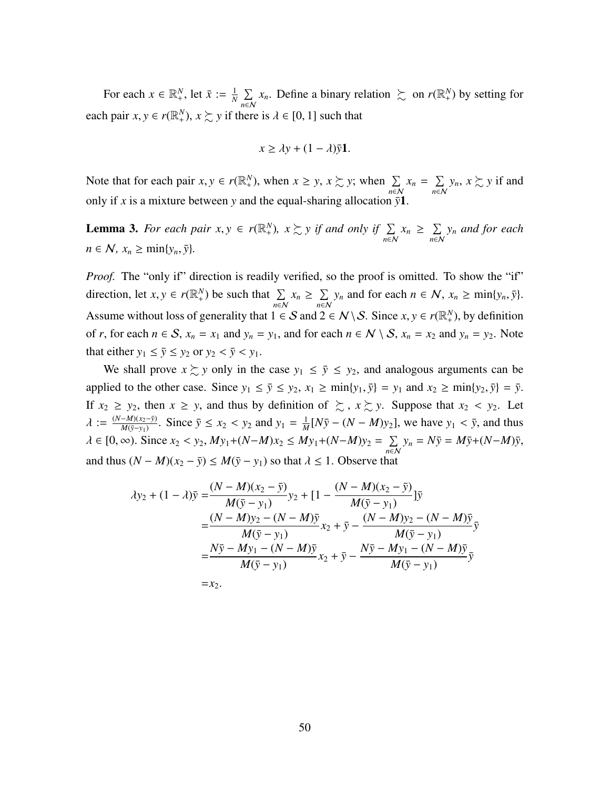For each  $x \in \mathbb{R}^N_+$ , let  $\bar{x} := \frac{1}{N}$  $\frac{1}{N}$   $\sum$  $\sum_{n \in \mathbb{N}} x_n$ . Define a binary relation  $\succeq$  on *r*( $\mathbb{R}^N_+$ ) by setting for each pair  $x, y \in r(\mathbb{R}^N_+), x \succsim y$  if there is  $\lambda \in [0, 1]$  such that

$$
x \ge \lambda y + (1 - \lambda)\bar{y}\mathbf{1}.
$$

Note that for each pair  $x, y \in r(\mathbb{R}^N_+)$ , when  $x \ge y$ ,  $x \succsim y$ ; when  $\sum_{n \in \mathbb{N}}$  $\sum_{n \in \mathcal{N}} x_n = \sum_{n \in \mathcal{N}}$  $\sum_{n \in \mathcal{N}}$  *y<sub>n</sub>*, *x*  $\succeq$  *y* if and only if *x* is a mixture between *y* and the equal-sharing allocation  $\bar{y}$ **1**.

<span id="page-51-0"></span>**Lemma 3.** *For each pair*  $x, y \in r(\mathbb{R}^N_+)$ ,  $x \succsim y$  *if and only if*  $\sum_{n \in \mathbb{N}}$  $\sum_{n \in \mathcal{N}} x_n \geq \sum_{n \in \mathcal{N}}$  $\sum_{n \in \mathcal{N}} y_n$  *and for each*  $n \in \mathcal{N}, x_n \ge \min\{y_n, \bar{y}\}.$ 

*Proof.* The "only if" direction is readily verified, so the proof is omitted. To show the "if" direction, let  $x, y \in r(\mathbb{R}^N_+)$  be such that  $\sum_{n \in \Lambda}$  $\sum_{n \in \mathcal{N}} x_n \geq \sum_{n \in \mathcal{N}}$  $\sum_{n \in \mathbb{N}} y_n$  and for each  $n \in \mathbb{N}$ ,  $x_n \ge \min\{y_n, \bar{y}\}.$ Assume without loss of generality that  $1 \in S$  and  $2 \in N \setminus S$ . Since  $x, y \in r(\mathbb{R}^N_+)$ , by definition of *r*, for each  $n \in S$ ,  $x_n = x_1$  and  $y_n = y_1$ , and for each  $n \in N \setminus S$ ,  $x_n = x_2$  and  $y_n = y_2$ . Note that either  $y_1 \leq \bar{y} \leq y_2$  or  $y_2 < \bar{y} < y_1$ .

We shall prove  $x \succeq y$  only in the case  $y_1 \leq \bar{y} \leq y_2$ , and analogous arguments can be applied to the other case. Since  $y_1 \leq \bar{y} \leq y_2$ ,  $x_1 \geq \min\{y_1, \bar{y}\} = y_1$  and  $x_2 \geq \min\{y_2, \bar{y}\} = \bar{y}$ . If  $x_2 \geq y_2$ , then  $x \geq y$ , and thus by definition of  $\succsim$ ,  $x \succsim y$ . Suppose that  $x_2 < y_2$ . Let  $\lambda := \frac{(N-M)(x_2-\bar{y})}{M(\bar{y}-y_1)}$  $\frac{M(x-y_1)}{M(\bar{y}-y_1)}$ . Since  $\bar{y} \leq x_2 < y_2$  and  $y_1 = \frac{1}{M}$  $\frac{1}{M} [N\bar{y} - (N - M)y_2]$ , we have  $y_1 < \bar{y}$ , and thus  $\lambda \in [0, \infty)$ . Since  $x_2 < y_2$ ,  $My_1 + (N-M)x_2 \le My_1 + (N-M)y_2 = \sum_{n \in \mathbb{N}}$  $\sum_{n \in \mathcal{N}} y_n = N\bar{y} = M\bar{y} + (N-M)\bar{y}$ , and thus  $(N - M)(x_2 - \bar{y}) \le M(\bar{y} - y_1)$  so that  $\lambda \le 1$ . Observe that

$$
\lambda y_2 + (1 - \lambda)\bar{y} = \frac{(N - M)(x_2 - \bar{y})}{M(\bar{y} - y_1)}y_2 + [1 - \frac{(N - M)(x_2 - \bar{y})}{M(\bar{y} - y_1)}]\bar{y}
$$
  
= 
$$
\frac{(N - M)y_2 - (N - M)\bar{y}}{M(\bar{y} - y_1)}x_2 + \bar{y} - \frac{(N - M)y_2 - (N - M)\bar{y}}{M(\bar{y} - y_1)}\bar{y}
$$
  
= 
$$
\frac{N\bar{y} - My_1 - (N - M)\bar{y}}{M(\bar{y} - y_1)}x_2 + \bar{y} - \frac{N\bar{y} - My_1 - (N - M)\bar{y}}{M(\bar{y} - y_1)}\bar{y}
$$
  
= 
$$
x_2.
$$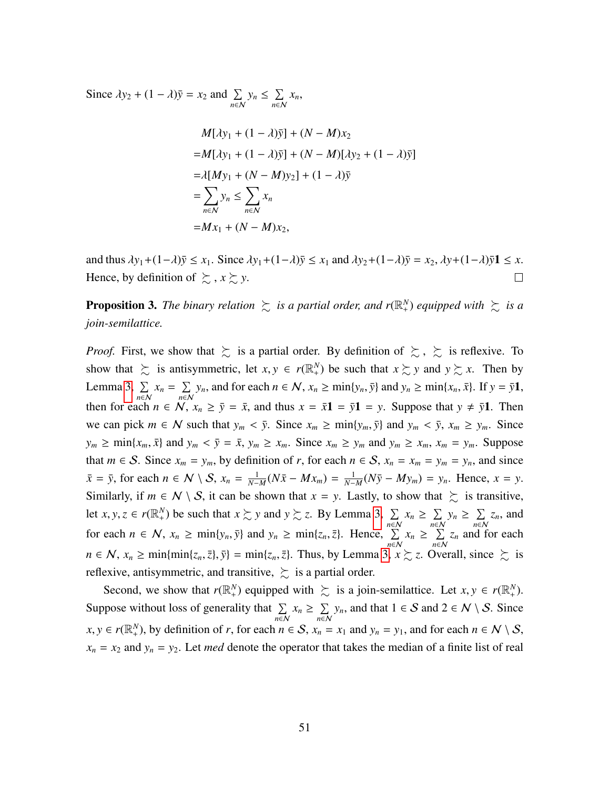Since  $\lambda y_2 + (1 - \lambda)\bar{y} = x_2$  and  $\sum_{n \in \mathcal{N}} y_n \le \sum_{n \in \mathcal{N}} y_n$  $\sum_{n \in \mathcal{N}} x_n$  $M[\lambda y_1 + (1 - \lambda)\bar{y}] + (N - M)x_2$  $=M[\lambda y_1 + (1 - \lambda)\bar{y}] + (N - M)[\lambda y_2 + (1 - \lambda)\bar{y}]$  $= \lambda [Mv_1 + (N - M)v_2] + (1 - \lambda)\bar{v}$  $=\sum$ *n*∈N  $y_n \leq \sum$ *n*∈N *xn*  $=Mx_1 + (N - M)x_2$ 

and thus  $\lambda y_1 + (1 - \lambda)\bar{y} \le x_1$ . Since  $\lambda y_1 + (1 - \lambda)\bar{y} \le x_1$  and  $\lambda y_2 + (1 - \lambda)\bar{y} = x_2$ ,  $\lambda y + (1 - \lambda)\bar{y}1 \le x$ .<br>Hence, by definition of  $\succeq$ ,  $x \succeq y$ . Hence, by definition of  $\succsim$  ,  $x \succsim y$ .

<span id="page-52-0"></span>**Proposition 3.** The binary relation  $\sum$  is a partial order, and  $r(\mathbb{R}^N_+)$  equipped with  $\sum$  is a *join-semilattice.*

*Proof.* First, we show that  $\geq$  is a partial order. By definition of  $\geq$ ,  $\geq$  is reflexive. To show that  $\geq$  is antisymmetric, let  $x, y \in r(\mathbb{R}^N_+)$  be such that  $x \geq y$  and  $y \geq x$ . Then by Lemma [3,](#page-51-0)  $\Sigma$  $\sum_{n \in \mathcal{N}} x_n = \sum_{n \in \mathcal{N}}$  $\sum_{n \in \mathbb{N}} y_n$ , and for each  $n \in \mathbb{N}$ ,  $x_n \ge \min\{y_n, \bar{y}\}\$ and  $y_n \ge \min\{x_n, \bar{x}\}\$ . If  $y = \bar{y}\mathbf{1}$ , then for each  $n \in \mathbb{N}$ ,  $x_n \geq \bar{y} = \bar{x}$ , and thus  $x = \bar{x}$ **1** =  $\bar{y}$ **1** = *y*. Suppose that  $y \neq \bar{y}$ **1**. Then we can pick  $m \in \mathcal{N}$  such that  $y_m < \bar{y}$ . Since  $x_m \ge \min\{y_m, \bar{y}\}\$  and  $y_m < \bar{y}$ ,  $x_m \ge y_m$ . Since  $y_m \ge \min\{x_m, \bar{x}\}\$ and  $y_m < \bar{y} = \bar{x}, y_m \ge x_m$ . Since  $x_m \ge y_m$  and  $y_m \ge x_m$ ,  $x_m = y_m$ . Suppose that  $m \in S$ . Since  $x_m = y_m$ , by definition of *r*, for each  $n \in S$ ,  $x_n = x_m = y_m = y_n$ , and since  $\bar{x} = \bar{y}$ , for each  $n \in \mathcal{N} \setminus \mathcal{S}$ ,  $x_n = \frac{1}{N-1}$  $\frac{1}{N-M}(N\bar{x} - Mx_m) = \frac{1}{N-M}$  $\frac{1}{N-M}(N\bar{y} - My_m) = y_n$ . Hence,  $x = y$ . Similarly, if  $m \in \mathcal{N} \setminus \mathcal{S}$ , it can be shown that  $x = y$ . Lastly, to show that  $\succeq$  is transitive, let *x*, *y*,  $z \in r(\mathbb{R}^N_+)$  be such that  $x \succsim y$  and  $y \succsim z$ . By Lemma [3,](#page-51-0)  $\sum_{n \in \mathbb{N}}$  $\sum_{n \in \mathcal{N}} x_n \geq \sum_{n \in \mathcal{N}}$  $\sum_{n \in \mathcal{N}} y_n \geq \sum_{n \in \mathcal{N}}$  $\sum_{n \in \mathcal{N}} z_n$ , and for each  $n \in \mathcal{N}$ ,  $x_n \ge \min\{y_n, \bar{y}\}\$  and  $y_n \ge \min\{z_n, \bar{z}\}\$ . Hence,  $\sum_{n \in \mathcal{N}} x_n \ge \sum_{n \in \mathcal{N}} x_n$  $\sum_{n \in \mathcal{N}} z_n$  and for each  $n \in \mathcal{N}, x_n \ge \min\{\min\{z_n, \bar{z}\}, \bar{y}\} = \min\{z_n, \bar{z}\}\$ . Thus, by Lemma [3,](#page-51-0)  $x \gtrsim z$ . Overall, since  $\gtrsim$  is reflexive, antisymmetric, and transitive,  $\gtrsim$  is a partial order.

Second, we show that  $r(\mathbb{R}^N_+)$  equipped with  $\gtrsim$  is a join-semilattice. Let  $x, y \in r(\mathbb{R}^N_+)$ . Suppose without loss of generality that  $\Sigma$  $\sum_{n \in \mathcal{N}} x_n \geq \sum_{n \in \mathcal{N}}$  $\sum_{n \in \mathcal{N}} y_n$ , and that 1 ∈ *S* and 2 ∈ *N* \ *S*. Since  $f(x, y) \in r(\mathbb{R}^N_+)$ , by definition of *r*, for each  $n \in S$ ,  $x_n = x_1$  and  $y_n = y_1$ , and for each  $n \in N \setminus S$ ,  $x_n = x_2$  and  $y_n = y_2$ . Let *med* denote the operator that takes the median of a finite list of real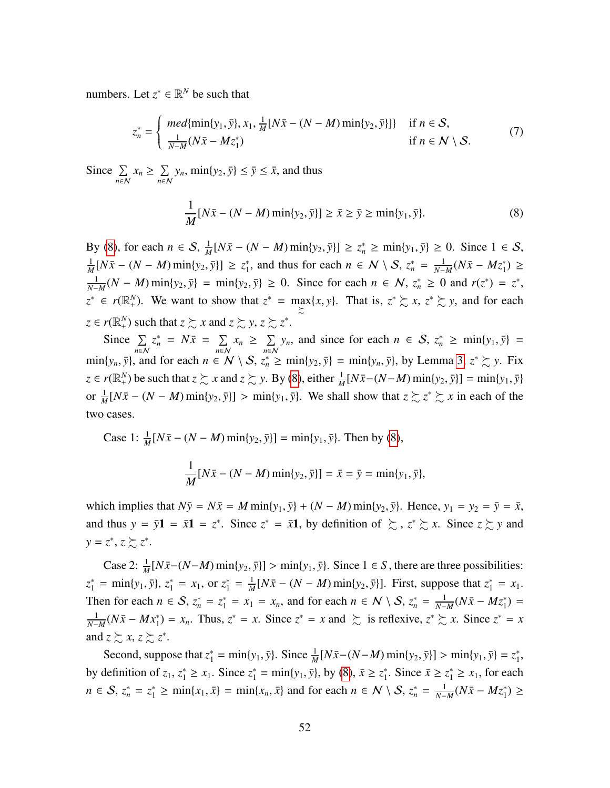numbers. Let  $z^* \in \mathbb{R}^N$  be such that

$$
z_n^* = \begin{cases} \text{med{min{y_1, \bar{y}, x_1, \frac{1}{M}[N\bar{x} - (N - M)\min{y_2, \bar{y}}] } } & \text{if } n \in S, \\ \frac{1}{N-M}(N\bar{x} - Mz_1^*) & \text{if } n \in \mathcal{N} \setminus S. \end{cases}
$$
(7)

Since  $\Sigma$  $\sum_{n \in \mathcal{N}} x_n \geq \sum_{n \in \mathcal{N}}$  $\sum_{n \in \mathcal{N}} y_n$ ,  $\min\{y_2, \bar{y}\} \le \bar{y} \le \bar{x}$ , and thus

<span id="page-53-1"></span><span id="page-53-0"></span>
$$
\frac{1}{M}[N\bar{x} - (N - M)\min\{y_2, \bar{y}\}] \ge \bar{x} \ge \bar{y} \ge \min\{y_1, \bar{y}\}.
$$
 (8)

By [\(8\)](#page-53-0), for each  $n \in \mathcal{S}$ ,  $\frac{1}{M}$  $\frac{1}{M}[N\bar{x} - (N - M)\min\{y_2, \bar{y}\}] \ge z_n^* \ge \min\{y_1, \bar{y}\} \ge 0$ . Since  $1 \in S$ , 1  $\frac{1}{M}[N\bar{x} - (N - M)\min\{y_2, \bar{y}\}] \ge z_1^*$ <sup>\*</sup><sub>1</sub>, and thus for each  $n \in \mathcal{N} \setminus \mathcal{S}$ ,  $z_n^* = \frac{1}{N-1}$  $\frac{1}{N-M}(N\bar{x} - Mz_1^*)$  ≥ 1  $\frac{1}{N-M}(N-M)\min\{y_2, \bar{y}\} = \min\{y_2, \bar{y}\} \ge 0$ . Since for each  $n \in \mathcal{N}$ ,  $z_n^* \ge 0$  and  $r(z^*) = z^*$ ,  $z^* \in r(\mathbb{R}^N_+)$ . We want to show that  $z^* = \max_{\substack{\sim \\ \sim}} \{x, y\}$ . That is,  $z^* \succsim x$ ,  $z^* \succsim y$ , and for each  $z \in r(\mathbb{R}^N_+)$  such that  $z \succsim x$  and  $z \succsim y$ ,  $z \succsim z^*$ .

Since  $\Sigma$ *n*∈N  $z_n^* = N\bar{x} = \sum_i$  $\sum_{n \in \mathcal{N}} x_n \geq \sum_{n \in \mathcal{N}}$  $\sum_{n \in \mathbb{N}} y_n$ , and since for each  $n \in \mathcal{S}$ ,  $z_n^* \ge \min\{y_1, \bar{y}\}$  =  $\min\{y_n, \bar{y}\}\$ , and for each  $n \in \mathcal{N} \setminus \mathcal{S}$ ,  $z_n^* \geq \min\{y_2, \bar{y}\} = \min\{y_n, \bar{y}\}\$ , by Lemma [3,](#page-51-0)  $z^* \succsim y$ . Fix  $z \in r(\mathbb{R}^N_+)$  be such that  $z \succsim x$  and  $z \succsim y$ . By [\(8\)](#page-53-0), either  $\frac{1}{M}[N\bar{x}-(N-M)\min\{y_2, \bar{y}\}] = \min\{y_1, \bar{y}\}\$ or  $\frac{1}{M}[N\bar{x} - (N - M)\min\{y_2, \bar{y}\}] > \min\{y_1, \bar{y}\}$ . We shall show that  $z \gtrsim z^* \gtrsim x$  in each of the two cases.

Case 1: 
$$
\frac{1}{M}[N\bar{x} - (N - M)\min\{y_2, \bar{y}\}] = \min\{y_1, \bar{y}\}
$$
. Then by (8),  

$$
\frac{1}{M}[N\bar{x} - (N - M)\min\{y_2, \bar{y}\}] = \bar{x} = \bar{y} = \min\{y_1, \bar{y}\},
$$

which implies that  $N\bar{y} = N\bar{x} = M \min\{y_1, \bar{y}\} + (N - M) \min\{y_2, \bar{y}\}\$ . Hence,  $y_1 = y_2 = \bar{y} = \bar{x}$ , and thus  $y = \bar{y}$ **1** =  $\bar{x}$ **1** =  $z^*$ . Since  $z^* = \bar{x}$ **1**, by definition of  $\succsim$  ,  $z^* \succsim x$ . Since  $z \succsim y$  and  $y = z^*, z \succsim z^*.$ 

Case 2:  $\frac{1}{M}[N\bar{x}-(N-M)\min\{y_2, \bar{y}\}] > \min\{y_1, \bar{y}\}\$ . Since 1 ∈ *S*, there are three possibilities:  $z_1^* = \min\{y_1, \bar{y}\}, z_1^* = x_1, \text{ or } z_1^* = \frac{1}{M}$  $\frac{1}{M}[N\bar{x} - (N - M)\min\{y_2, \bar{y}\}]$ . First, suppose that  $z_1^* = x_1$ . Then for each  $n \in S$ ,  $z_n^* = z_1^* = x_1 = x_n$ , and for each  $n \in \mathcal{N} \setminus S$ ,  $z_n^* = \frac{1}{N-1}$  $\frac{1}{N-M}(N\bar{x} - Mz_1^*) =$ 1  $\frac{1}{N-M}(N\bar{x} - Mx_1^*) = x_n$ . Thus,  $z^* = x$ . Since  $z^* = x$  and  $\succeq$  is reflexive,  $z^* \succeq x$ . Since  $z^* = x$ and  $z \succsim x, z \succsim z^*$ .

Second, suppose that  $z_1^* = \min\{y_1, \bar{y}\}\$ . Since  $\frac{1}{M}[N\bar{x}-(N-M)\min\{y_2, \bar{y}\}] > \min\{y_1, \bar{y}\} = z_1^*$  $_{1}^{\ast}$ , by definition of  $z_1, z_1^* \ge x_1$ . Since  $z_1^* = \min\{y_1, \bar{y}\}\)$ , by [\(8\)](#page-53-0),  $\bar{x} \ge z_1^*$ <sup>\*</sup><sub>1</sub>. Since  $\bar{x} \ge z_1^* \ge x_1$ , for each  $n \in S$ ,  $z_n^* = z_1^* \ge \min\{x_1, \bar{x}\} = \min\{x_n, \bar{x}\}\$  and for each  $n \in N \setminus S$ ,  $z_n^* = \frac{1}{N-1}$  $\frac{1}{N-M}(N\bar{x} - Mz_1^*)$  ≥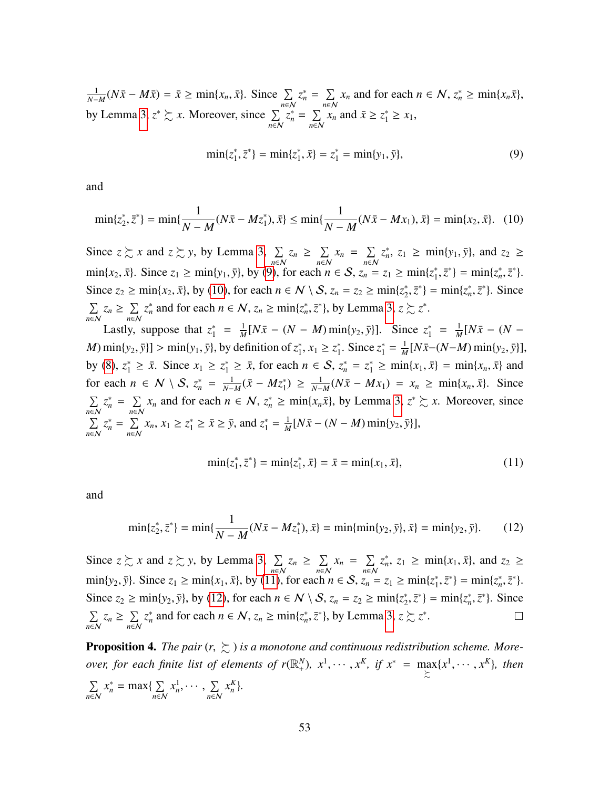1  $\frac{1}{N-M}(N\bar{x} - M\bar{x}) = \bar{x} \ge \min\{x_n, \bar{x}\}.$  Since  $\sum_{n \in \mathcal{N}}$  $z_n^* = \sum$  $\sum_{n \in \mathbb{N}} x_n$  and for each  $n \in \mathbb{N}$ ,  $z_n^* \ge \min\{x_n \bar{x}\},$ by Lemma [3,](#page-51-0)  $z^* \succsim x$ . Moreover, since  $\Sigma$ *n*∈N  $z_n^* = \sum$  $\sum_{n \in \mathcal{N}} x_n$  and  $\bar{x} \ge z_1^* \ge x_1$ ,

<span id="page-54-1"></span><span id="page-54-0"></span>
$$
\min\{z_1^*, \bar{z}^*\} = \min\{z_1^*, \bar{x}\} = z_1^* = \min\{y_1, \bar{y}\},\tag{9}
$$

and

$$
\min\{z_2^*, \bar{z}^*\} = \min\{\frac{1}{N-M}(N\bar{x} - Mz_1^*), \bar{x}\} \le \min\{\frac{1}{N-M}(N\bar{x} - Mx_1), \bar{x}\} = \min\{x_2, \bar{x}\}. \tag{10}
$$

Since  $z \gtrsim x$  and  $z \gtrsim y$ , by Lemma [3,](#page-51-0)  $\Sigma$  $\sum_{n \in \mathcal{N}} z_n \geq \sum_{n \in \mathcal{N}}$  $\sum_{n \in \mathcal{N}} x_n = \sum_{n \in \mathcal{N}}$ *n*∈N  $z_n^*$ ,  $z_1 \ge \min\{y_1, \bar{y}\}$ , and  $z_2 \ge$  $\min\{x_2, \bar{x}\}.$  Since  $z_1 \ge \min\{y_1, \bar{y}\},$  by [\(9\)](#page-54-0), for each  $n \in S$ ,  $z_n = z_1 \ge \min\{z_1^*\}$  $\{\bar{z}^*\} = \min\{z_n^*, \bar{z}^*\}.$ <br> $\vdots$   $\vdots$   $\vdots$   $\vdots$ Since *z*<sub>2</sub> ≥ min{*x*<sub>2</sub>, *x*<sup>}</sup>, by [\(10\)](#page-54-1), for each *n* ∈ *N* \ *S*, *z<sub>n</sub>* = *z*<sub>2</sub> ≥ min{*z*<sup>\*</sup><sub>2</sub><sup>\*</sup>  $\{z_2^*, \bar{z}^*\} = \min\{z_n^*, \bar{z}^*\}.$  Since  $\overline{\Sigma}$  $\sum_{n \in \mathcal{N}} z_n \geq \sum_{n \in \mathcal{N}}$ *n*∈N  $z_n^*$  and for each  $n \in \mathcal{N}$ ,  $z_n \ge \min\{z_n^*, \bar{z}^*\}$ , by Lemma [3,](#page-51-0)  $z \succsim z^*$ .

Lastly, suppose that  $z_1^* = \frac{1}{M}$  $\frac{1}{M}[N\bar{x} - (N - M)\min\{y_2, \bar{y}\}]$ . Since  $z_1^* = \frac{1}{M}$  $\frac{1}{M}$ [ $N\bar{x}$  – ( $N$  – *M*)  $\min\{y_2, \bar{y}\}\}\n> \min\{y_1, \bar{y}\}\n, by definition of  $z_1^*$$ <sup>\*</sup><sub>1</sub>, *x*<sub>1</sub> ≥  $z_1^*$ <sup>\*</sup><sub>1</sub>. Since  $z_1^* = \frac{1}{M}$  $\frac{1}{M}[N\bar{x}-(N-M)\min\{y_2,\bar{y}\}],$ by [\(8\)](#page-53-0),  $z_1^* \geq \bar{x}$ . Since  $x_1 \geq z_1^* \geq \bar{x}$ , for each  $n \in \mathcal{S}$ ,  $z_n^* = z_1^* \geq \min\{x_1, \bar{x}\} = \min\{x_n, \bar{x}\}\$  and for each  $n \in \mathcal{N} \setminus \mathcal{S}$ ,  $z_n^* = \frac{1}{N-1}$  $\frac{1}{N-M}$ ( $\bar{x}$  −  $Mz_1^*$ ) ≥  $\frac{1}{N-M}$  $\frac{1}{N-M}(N\bar{x} - Mx_1) = x_n \ge \min\{x_n, \bar{x}\}.$  Since  $\overline{\Sigma}$ *n*∈N  $z_n^* = \sum_i$  $\sum_{n \in \mathbb{N}} x_n$  and for each *n* ∈ *N*,  $z_n^*$  ≥ min{ $x_n \bar{x}$ }, by Lemma [3,](#page-51-0)  $z^*$   $\succeq x$ . Moreover, since  $\overline{\Sigma}$ *n*∈N  $z_n^* = \sum$  $\sum_{n \in \mathcal{N}} x_n, x_1 \ge z_1^* \ge \bar{x} \ge \bar{y}$ , and  $z_1^* = \frac{1}{M}$  $\frac{1}{M}[N\bar{x} - (N - M) \min\{y_2, \bar{y}\}],$ 

<span id="page-54-3"></span><span id="page-54-2"></span>
$$
\min\{z_1^*, \bar{z}^*\} = \min\{z_1^*, \bar{x}\} = \bar{x} = \min\{x_1, \bar{x}\},\tag{11}
$$

and

$$
\min\{z_2^*, \bar{z}^*\} = \min\{\frac{1}{N-M}(N\bar{x} - Mz_1^*), \bar{x}\} = \min\{\min\{y_2, \bar{y}\}, \bar{x}\} = \min\{y_2, \bar{y}\}.
$$
 (12)

Since  $z \succeq x$  and  $z \succeq y$ , by Lemma [3,](#page-51-0)  $\Sigma$  $\sum_{n \in \mathcal{N}} z_n \geq \sum_{n \in \mathcal{N}}$  $z_n^*$ ,  $z_1 \ge \min\{x_1, \bar{x}\}$ , and  $z_2 \ge$  $\sum_{n \in \mathcal{N}} x_n = \sum_{n \in \mathcal{N}}$ *n*∈N min{*y*<sub>2</sub>, *y*}. Since  $z_1 \ge \min\{x_1, \bar{x}\}$ , by [\(11\)](#page-54-2), for each  $n \in S$ ,  $z_n = z_1 \ge \min\{z_1^* \}$  $\{\bar{z}^*\} = \min\{z_n^*, \bar{z}^*\}.$ <br> $\vdots$   $\vdots$   $\vdots$   $\vdots$ Since  $z_2 \ge \min\{y_2, \bar{y}\}\)$ , by [\(12\)](#page-54-3), for each  $n \in \mathcal{N} \setminus \mathcal{S}$ ,  $z_n = z_2 \ge \min\{z_2^*\}$  $\{z_n^*, \bar{z}^*\} = \min\{z_n^*, \bar{z}^*\}.$  Since  $z_n^*$  and for each  $n \in \mathcal{N}$ ,  $z_n \ge \min\{z_n^*, \bar{z}^*\}$ , by Lemma [3,](#page-51-0)  $z \succsim z^*$ .  $\sum_{n \in \mathcal{N}} z_n \geq \sum_{n \in \mathcal{N}}$  $\overline{\Sigma}$  $\Box$ *n*∈N

<span id="page-54-4"></span>**Proposition 4.** The pair  $(r, \succeq)$  is a monotone and continuous redistribution scheme. More*over, for each finite list of elements of*  $r(\mathbb{R}^N_+), x^1, \dots, x^K, if x^* = \max_{\succ \sim} \{x^1, \dots, x^K\}$ *, then* 

 $\overline{\Sigma}$ *n*∈N  $x_n^* = \max\left\{\sum n} \right\}$ *n*∈N  $x_n^1, \cdots, \sum_{n \in \mathcal{N}}$ *n*∈N *x K n* }*.*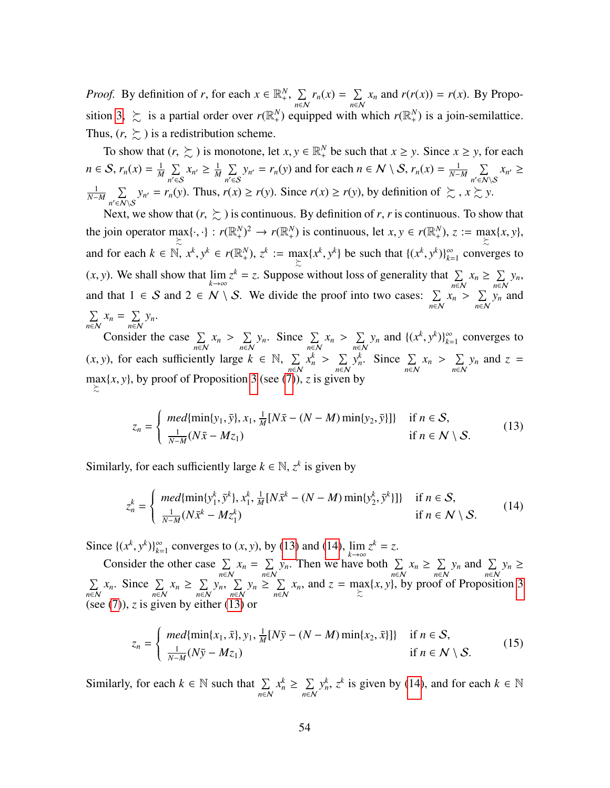*Proof.* By definition of *r*, for each  $x \in \mathbb{R}^N_+$ ,  $\sum$  $\sum_{n \in \mathcal{N}} r_n(x) = \sum_{n \in \mathcal{N}}$  $\sum_{n \in \mathbb{N}} x_n$  and  $r(r(x)) = r(x)$ . By Propo-sition [3,](#page-52-0)  $\geq$  is a partial order over  $r(\mathbb{R}^N_+)$  equipped with which  $r(\mathbb{R}^N_+)$  is a join-semilattice. Thus,  $(r, \geq)$  is a redistribution scheme.

To show that  $(r, \geq)$  is monotone, let  $x, y \in \mathbb{R}^N_+$  be such that  $x \geq y$ . Since  $x \geq y$ , for each  $n \in \mathcal{S}$ ,  $r_n(x) = \frac{1}{M}$  $\frac{1}{M}$   $\sum$  $\sum_{n' \in S} x_{n'} \geq \frac{1}{M}$  $\frac{1}{M}$   $\sum$  $\sum_{n' \in S} y_{n'} = r_n(y)$  and for each  $n \in \mathcal{N} \setminus \mathcal{S}$ ,  $r_n(x) = \frac{1}{N-1}$  $\frac{1}{N-M}$   $\sum_{i=1}^{N}$  $\sum_{n' \in \mathcal{N} \setminus \mathcal{S}} x_{n'} \geq$ 1  $\frac{1}{N-M}$   $\sum_{i=1}^{N}$  $\sum_{n' \in \mathcal{N} \setminus \mathcal{S}} y_{n'} = r_n(y)$ . Thus,  $r(x) \ge r(y)$ . Since  $r(x) \ge r(y)$ , by definition of  $\succsim x \succsim y$ .

Next, we show that  $(r, \geq)$  is continuous. By definition of *r*, *r* is continuous. To show that the join operator  $\max_{\Sigma} \{\cdot, \cdot\} : r(\mathbb{R}^N_+)^2 \to r(\mathbb{R}^N_+)$  is continuous, let  $x, y \in r(\mathbb{R}^N_+), z := \max_{\Sigma} \{x, y\}$ , and for each  $k \in \mathbb{N}$ ,  $x^k, y^k \in r(\mathbb{R}^N_+), z^k := \max_{\substack{\sim \\ \sim}} \{x^k, y^k\}$  be such that  $\{(x^k, y^k)\}_{k=1}^\infty$  $\sum_{k=1}^{\infty}$  converges to (*x*, *y*). We shall show that  $\lim_{k \to \infty} z^k = z$ . Suppose without loss of generality that  $\sum_{n \in \mathbb{N}}$  $\sum_{n \in \mathcal{N}} x_n \geq \sum_{n \in \mathcal{N}}$  $\sum_{n \in \mathcal{N}} y_n$ and that  $1 \in S$  and  $2 \in N \setminus S$ . We divide the proof into two cases:  $\sum$  $\sum_{n \in \mathcal{N}} x_n > \sum_{n \in \mathcal{N}}$  $\sum_{n \in \mathcal{N}} y_n$  and  $\overline{\Sigma}$  $\sum_{n \in \mathcal{N}} x_n = \sum_{n \in \mathcal{N}}$  $\sum_{n \in \mathcal{N}} y_n$ .

Consider the case  $\Sigma$  $\sum_{n \in \mathcal{N}} x_n > \sum_{n \in \mathcal{N}}$  $\sum_{n \in \mathbb{N}} y_n$ . Since  $\sum_{n \in \mathbb{N}} x_n > \sum_{n \in \mathbb{N}}$  $\sum_{n \in \mathcal{N}} y_n$  and  $\{(x^k, y^k)\}_{k=1}^{\infty}$  $\sum_{k=1}^{\infty}$  converges to  $(x, y)$ , for each sufficiently large  $k \in \mathbb{N}$ ,  $\sum_{n \in \mathbb{N}}$ *n*∈N  $x_n^k$  >  $\sum_{n \in \mathcal{N}}$ *n*∈N  $y_n^k$ . Since  $\Sigma$  $\sum_{n \in \mathcal{N}} x_n$  >  $\sum_{n \in \mathcal{N}}$  $\sum_{n \in \mathcal{N}} y_n$  and  $z =$  $\max_{\substack{\sim \\ \sim}}$  {*x*, *y*}, by proof of Proposition [3](#page-52-0) (see [\(7\)](#page-53-1)), *z* is given by

<span id="page-55-0"></span>
$$
z_n = \begin{cases} \text{med{min{y_1, \bar{y}, x_1, \frac{1}{M}[N\bar{x} - (N - M)\min{y_2, \bar{y}}] } } & \text{if } n \in S, \\ \frac{1}{N-M}(N\bar{x} - Mz_1) & \text{if } n \in \mathcal{N} \setminus S. \end{cases}
$$
(13)

Similarly, for each sufficiently large  $k \in \mathbb{N}$ ,  $z^k$  is given by

<span id="page-55-1"></span>
$$
z_n^k = \begin{cases} med\{\min\{y_1^k, \bar{y}^k\}, x_1^k, \frac{1}{M}[N\bar{x}^k - (N-M)\min\{y_2^k, \bar{y}^k\}]\} & \text{if } n \in S, \\ \frac{1}{N-M}(N\bar{x}^k - Mz_1^k) & \text{if } n \in \mathcal{N} \setminus S. \end{cases}
$$
(14)

Since  $\{(x^k, y^k)\}_{k=0}^{\infty}$  $\sum_{k=1}^{\infty}$  converges to  $(x, y)$ , by [\(13\)](#page-55-0) and [\(14\)](#page-55-1),  $\lim_{k \to \infty} z^k = z$ .

Consider the other case  $\Sigma$  $\sum_{n \in \mathcal{N}} x_n = \sum_{n \in \mathcal{N}}$  $\sum_{n \in \mathbb{N}} y_n$ . Then we have both  $\sum_{n \in \mathbb{N}} x_n \geq \sum_{n \in \mathbb{N}}$  $\sum_{n \in \mathcal{N}} y_n$  and  $\sum_{n \in \mathcal{N}} y_n \ge$  $\overline{\Sigma}$  $\sum_{n \in \mathbb{N}} x_n$ . Since  $\sum_{n \in \mathbb{N}} x_n \geq \sum_{n \in \mathbb{N}}$  $\sum_{n \in \mathcal{N}} y_n, \sum_{n \in \mathcal{N}}$  $\sum_{n \in \mathcal{N}} y_n \geq \sum_{n \in \mathcal{N}}$  $\sum_{n \in \mathbb{N}} x_n$ , and  $z = \max_{\Sigma} \{x, y\}$ , by proof of Proposition [3](#page-52-0) (see  $(7)$ ), *z* is given by either  $(13)$  or

<span id="page-55-2"></span>
$$
z_n = \begin{cases} med\{\min\{x_1, \bar{x}\}, y_1, \frac{1}{M}[N\bar{y} - (N - M)\min\{x_2, \bar{x}\}]\} & \text{if } n \in \mathcal{S}, \\ \frac{1}{N-M}(N\bar{y} - Mz_1) & \text{if } n \in \mathcal{N} \setminus \mathcal{S}. \end{cases}
$$
(15)

Similarly, for each  $k \in \mathbb{N}$  such that  $\Sigma$ *n*∈N  $x_n^k \geq \sum$ *n*∈N  $y_n^k$ ,  $z^k$  is given by [\(14\)](#page-55-1), and for each  $k \in \mathbb{N}$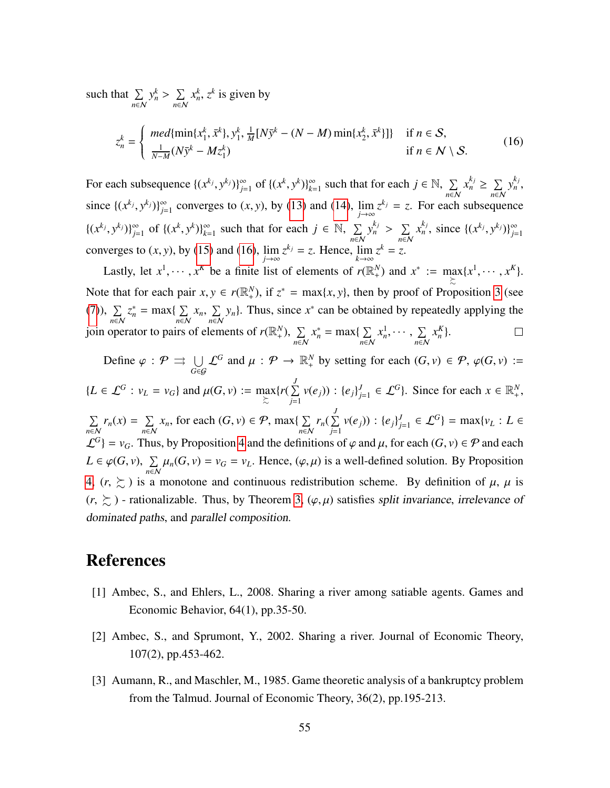such that  $\Sigma$ *n*∈N  $y_n^k$  >  $\sum_{n \in \mathcal{N}}$ *n*∈N  $x_n^k$ ,  $z^k$  is given by

<span id="page-56-3"></span>
$$
z_n^k = \begin{cases} med\{\min\{x_1^k, \bar{x}^k\}, y_1^k, \frac{1}{M}[N\bar{y}^k - (N - M)\min\{x_2^k, \bar{x}^k\}]\} & \text{if } n \in S, \\ \frac{1}{N - M}(N\bar{y}^k - Mz_1^k) & \text{if } n \in \mathcal{N} \setminus S. \end{cases}
$$
(16)

For each subsequence  $\{(x^{k_j}, y^{k_j})\}_{j=1}^{\infty}$  $\sum_{j=1}^{\infty}$  of  $\{(x^{k}, y^{k})\}_{k=1}^{\infty}$  $\sum_{k=1}^{\infty}$  such that for each *j*  $\in \mathbb{N}$ ,  $\sum_{k=1}^{\infty}$ *n*∈N  $x_n^{k_j} \geq \sum$ *n*∈N  $y_n^{k_j}$ , since  $\{(x^{k_j}, y^{k_j})\}_{j=1}^{\infty}$  $\sum_{j=1}^{\infty}$  converges to  $(x, y)$ , by [\(13\)](#page-55-0) and [\(14\)](#page-55-1),  $\lim_{j \to \infty} z^{k_j} = z$ . For each subsequence  $\{(x^{k_j}, y^{k_j})\}_{j=1}^{\infty}$  $\sum_{j=1}^{\infty}$  of  $\{(x^k, y^k)\}_{k=1}^{\infty}$  $\sum_{k=1}^{\infty}$  such that for each  $j \in \mathbb{N}$ ,  $\Sigma$ *n*∈N *y k j*  $\frac{\kappa_j}{n} > \sum_{n \in \mathcal{N}}$ *n*∈N  $x_n^{k_j}$ , since  $\{(x^{k_j}, y^{k_j})\}_{j=1}^{\infty}$ *j*=1 converges to  $(x, y)$ , by [\(15\)](#page-55-2) and [\(16\)](#page-56-3),  $\lim_{j \to \infty} z^{k_j} = z$ . Hence,  $\lim_{k \to \infty} z^k = z$ .

Lastly, let  $x^1, \dots, x^K$  be a finite list of elements of  $r(\mathbb{R}^N_+)$  and  $x^* := \max_{\substack{\sim \\ \sim}} \{x^1, \dots, x^K\}.$ Note that for each pair  $x, y \in r(\mathbb{R}^N_+)$ , if  $z^* = \max\{x, y\}$ , then by proof of Proposition [3](#page-52-0) (see  $(7)$ ),  $\Sigma$ *n*∈N  $z_n^* = \max\left\{\sum_{i=1}^n z_i^2\right\}$  $\sum_{n \in \mathcal{N}} x_n, \sum_{n \in \mathcal{N}}$  $\sum_{n \in \mathbb{N}} y_n$ . Thus, since *x*<sup>\*</sup> can be obtained by repeatedly applying the join operator to pairs of elements of  $r(\mathbb{R}^N_+), \Sigma$ *n*∈N  $x_n^* = \max\left\{\sum n} \right\}$ *n*∈N  $x_n^1, \cdots, \sum_{n \in \mathcal{N}}$ *n*∈N *x K n* }.

Define  $\varphi : \mathcal{P} \Rightarrow \bigcup_{G \in \mathcal{G}}$ *G*∈G  $\mathcal{L}^G$  and  $\mu : \mathcal{P} \to \mathbb{R}_+^N$  by setting for each  $(G, v) \in \mathcal{P}, \varphi(G, v) :=$ {*L* ∈  $\mathcal{L}^G$  :  $v_L = v_G$ } and  $\mu(G, v) := \max_{\substack{z \atop \sim}} \{ r(\sum_{j=1}^J v_j) \}$  $\sum_{j=1}^{n} v(e_j)$ ) : { $e_j$ }<sup>*J*</sup></sup>  $J_{j=1} \in \mathcal{L}^G$ . Since for each  $x \in \mathbb{R}^N_+$ ,  $\overline{\Sigma}$  $\sum_{n \in \mathcal{N}} r_n(x) = \sum_{n \in \mathcal{N}}$  $\sum_{n \in \mathbb{N}} x_n$ , for each  $(G, v) \in \mathcal{P}$ , max $\{\sum_{n \in \mathbb{N}} \sigma_n \leq \sum_{n \in \mathbb{N}} x_n\}$  $\sum_{n \in \mathcal{N}} r_n \Big( \sum_{j=1}^J$  $\sum_{j=1}^{n} v(e_j)$ ) : { $e_j$ }<sup>*J*</sup></sup> *J*<sub>*j*=1</sub> ∈  $\mathcal{L}^G$ } = max{*v*<sub>*L*</sub> : *L* ∈  $\mathcal{L}^G$  = *v<sub>G</sub>*. Thus, by Proposition [4](#page-54-4) and the definitions of  $\varphi$  and  $\mu$ , for each  $(G, v) \in \mathcal{P}$  and each  $L \in \varphi(G, v)$ ,  $\sum_{n \in \mathbb{N}} \mu_n(G, v) = v_G = v_L$ . Hence,  $(\varphi, \mu)$  is a well-defined solution. By Proposition [4,](#page-54-4)  $(r, \geq)$  is a monotone and continuous redistribution scheme. By definition of  $\mu$ ,  $\mu$  is  $(r, \geq)$  - rationalizable. Thus, by Theorem [3,](#page-27-0)  $(\varphi, \mu)$  satisfies split invariance, irrelevance of dominated paths, and parallel composition.

## References

- <span id="page-56-2"></span>[1] Ambec, S., and Ehlers, L., 2008. Sharing a river among satiable agents. Games and Economic Behavior, 64(1), pp.35-50.
- <span id="page-56-1"></span>[2] Ambec, S., and Sprumont, Y., 2002. Sharing a river. Journal of Economic Theory, 107(2), pp.453-462.
- <span id="page-56-0"></span>[3] Aumann, R., and Maschler, M., 1985. Game theoretic analysis of a bankruptcy problem from the Talmud. Journal of Economic Theory, 36(2), pp.195-213.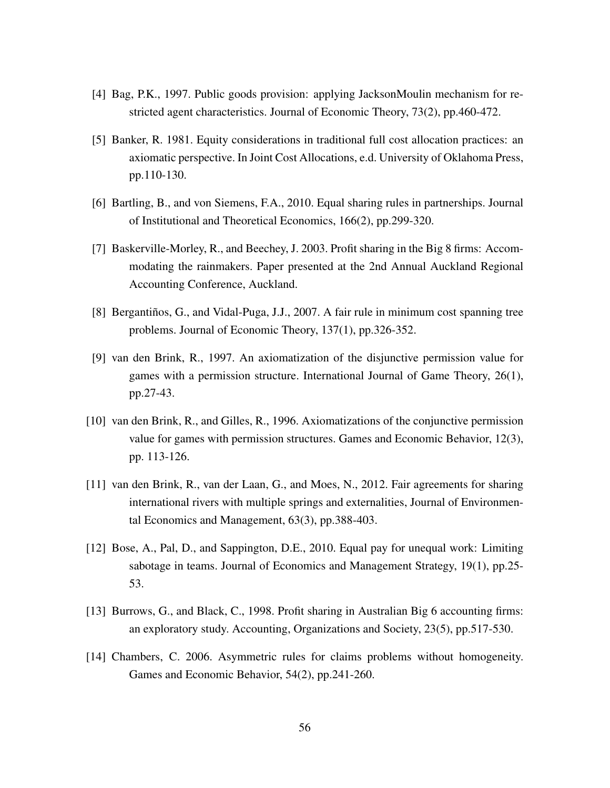- <span id="page-57-7"></span>[4] Bag, P.K., 1997. Public goods provision: applying JacksonMoulin mechanism for restricted agent characteristics. Journal of Economic Theory, 73(2), pp.460-472.
- <span id="page-57-6"></span>[5] Banker, R. 1981. Equity considerations in traditional full cost allocation practices: an axiomatic perspective. In Joint Cost Allocations, e.d. University of Oklahoma Press, pp.110-130.
- <span id="page-57-0"></span>[6] Bartling, B., and von Siemens, F.A., 2010. Equal sharing rules in partnerships. Journal of Institutional and Theoretical Economics, 166(2), pp.299-320.
- <span id="page-57-9"></span>[7] Baskerville-Morley, R., and Beechey, J. 2003. Profit sharing in the Big 8 firms: Accommodating the rainmakers. Paper presented at the 2nd Annual Auckland Regional Accounting Conference, Auckland.
- <span id="page-57-2"></span>[8] Bergantiños, G., and Vidal-Puga, J.J., 2007. A fair rule in minimum cost spanning tree problems. Journal of Economic Theory, 137(1), pp.326-352.
- <span id="page-57-4"></span>[9] van den Brink, R., 1997. An axiomatization of the disjunctive permission value for games with a permission structure. International Journal of Game Theory, 26(1), pp.27-43.
- <span id="page-57-5"></span>[10] van den Brink, R., and Gilles, R., 1996. Axiomatizations of the conjunctive permission value for games with permission structures. Games and Economic Behavior, 12(3), pp. 113-126.
- <span id="page-57-3"></span>[11] van den Brink, R., van der Laan, G., and Moes, N., 2012. Fair agreements for sharing international rivers with multiple springs and externalities, Journal of Environmental Economics and Management, 63(3), pp.388-403.
- <span id="page-57-1"></span>[12] Bose, A., Pal, D., and Sappington, D.E., 2010. Equal pay for unequal work: Limiting sabotage in teams. Journal of Economics and Management Strategy, 19(1), pp.25- 53.
- <span id="page-57-8"></span>[13] Burrows, G., and Black, C., 1998. Profit sharing in Australian Big 6 accounting firms: an exploratory study. Accounting, Organizations and Society, 23(5), pp.517-530.
- [14] Chambers, C. 2006. Asymmetric rules for claims problems without homogeneity. Games and Economic Behavior, 54(2), pp.241-260.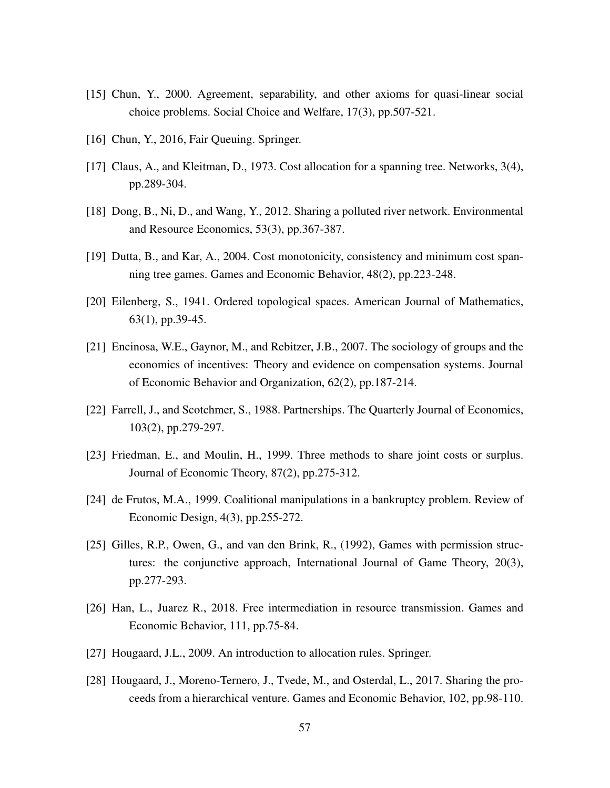- <span id="page-58-11"></span>[15] Chun, Y., 2000. Agreement, separability, and other axioms for quasi-linear social choice problems. Social Choice and Welfare, 17(3), pp.507-521.
- <span id="page-58-2"></span>[16] Chun, Y., 2016, Fair Queuing. Springer.
- <span id="page-58-6"></span>[17] Claus, A., and Kleitman, D., 1973. Cost allocation for a spanning tree. Networks, 3(4), pp.289-304.
- <span id="page-58-8"></span>[18] Dong, B., Ni, D., and Wang, Y., 2012. Sharing a polluted river network. Environmental and Resource Economics, 53(3), pp.367-387.
- <span id="page-58-5"></span>[19] Dutta, B., and Kar, A., 2004. Cost monotonicity, consistency and minimum cost spanning tree games. Games and Economic Behavior, 48(2), pp.223-248.
- [20] Eilenberg, S., 1941. Ordered topological spaces. American Journal of Mathematics, 63(1), pp.39-45.
- <span id="page-58-3"></span>[21] Encinosa, W.E., Gaynor, M., and Rebitzer, J.B., 2007. The sociology of groups and the economics of incentives: Theory and evidence on compensation systems. Journal of Economic Behavior and Organization, 62(2), pp.187-214.
- <span id="page-58-4"></span>[22] Farrell, J., and Scotchmer, S., 1988. Partnerships. The Quarterly Journal of Economics, 103(2), pp.279-297.
- <span id="page-58-1"></span>[23] Friedman, E., and Moulin, H., 1999. Three methods to share joint costs or surplus. Journal of Economic Theory, 87(2), pp.275-312.
- <span id="page-58-10"></span>[24] de Frutos, M.A., 1999. Coalitional manipulations in a bankruptcy problem. Review of Economic Design, 4(3), pp.255-272.
- <span id="page-58-9"></span>[25] Gilles, R.P., Owen, G., and van den Brink, R., (1992), Games with permission structures: the conjunctive approach, International Journal of Game Theory, 20(3), pp.277-293.
- <span id="page-58-7"></span>[26] Han, L., Juarez R., 2018. Free intermediation in resource transmission. Games and Economic Behavior, 111, pp.75-84.
- <span id="page-58-12"></span>[27] Hougaard, J.L., 2009. An introduction to allocation rules. Springer.
- <span id="page-58-0"></span>[28] Hougaard, J., Moreno-Ternero, J., Tvede, M., and Osterdal, L., 2017. Sharing the proceeds from a hierarchical venture. Games and Economic Behavior, 102, pp.98-110.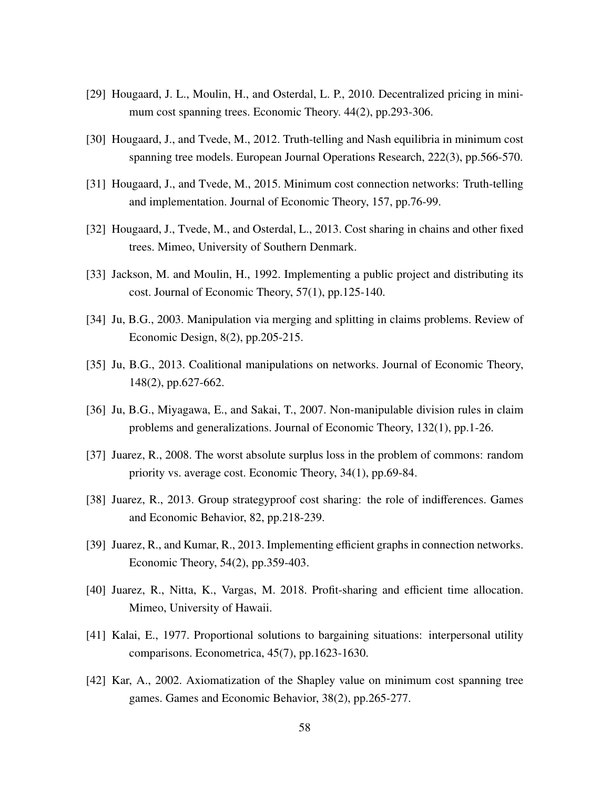- <span id="page-59-4"></span>[29] Hougaard, J. L., Moulin, H., and Osterdal, L. P., 2010. Decentralized pricing in minimum cost spanning trees. Economic Theory. 44(2), pp.293-306.
- <span id="page-59-6"></span>[30] Hougaard, J., and Tvede, M., 2012. Truth-telling and Nash equilibria in minimum cost spanning tree models. European Journal Operations Research, 222(3), pp.566-570.
- <span id="page-59-7"></span>[31] Hougaard, J., and Tvede, M., 2015. Minimum cost connection networks: Truth-telling and implementation. Journal of Economic Theory, 157, pp.76-99.
- [32] Hougaard, J., Tvede, M., and Osterdal, L., 2013. Cost sharing in chains and other fixed trees. Mimeo, University of Southern Denmark.
- <span id="page-59-11"></span>[33] Jackson, M. and Moulin, H., 1992. Implementing a public project and distributing its cost. Journal of Economic Theory, 57(1), pp.125-140.
- <span id="page-59-8"></span>[34] Ju, B.G., 2003. Manipulation via merging and splitting in claims problems. Review of Economic Design, 8(2), pp.205-215.
- [35] Ju, B.G., 2013. Coalitional manipulations on networks. Journal of Economic Theory, 148(2), pp.627-662.
- <span id="page-59-9"></span>[36] Ju, B.G., Miyagawa, E., and Sakai, T., 2007. Non-manipulable division rules in claim problems and generalizations. Journal of Economic Theory, 132(1), pp.1-26.
- <span id="page-59-2"></span>[37] Juarez, R., 2008. The worst absolute surplus loss in the problem of commons: random priority vs. average cost. Economic Theory, 34(1), pp.69-84.
- <span id="page-59-1"></span>[38] Juarez, R., 2013. Group strategyproof cost sharing: the role of indifferences. Games and Economic Behavior, 82, pp.218-239.
- <span id="page-59-5"></span>[39] Juarez, R., and Kumar, R., 2013. Implementing efficient graphs in connection networks. Economic Theory, 54(2), pp.359-403.
- <span id="page-59-0"></span>[40] Juarez, R., Nitta, K., Vargas, M. 2018. Profit-sharing and efficient time allocation. Mimeo, University of Hawaii.
- <span id="page-59-10"></span>[41] Kalai, E., 1977. Proportional solutions to bargaining situations: interpersonal utility comparisons. Econometrica, 45(7), pp.1623-1630.
- <span id="page-59-3"></span>[42] Kar, A., 2002. Axiomatization of the Shapley value on minimum cost spanning tree games. Games and Economic Behavior, 38(2), pp.265-277.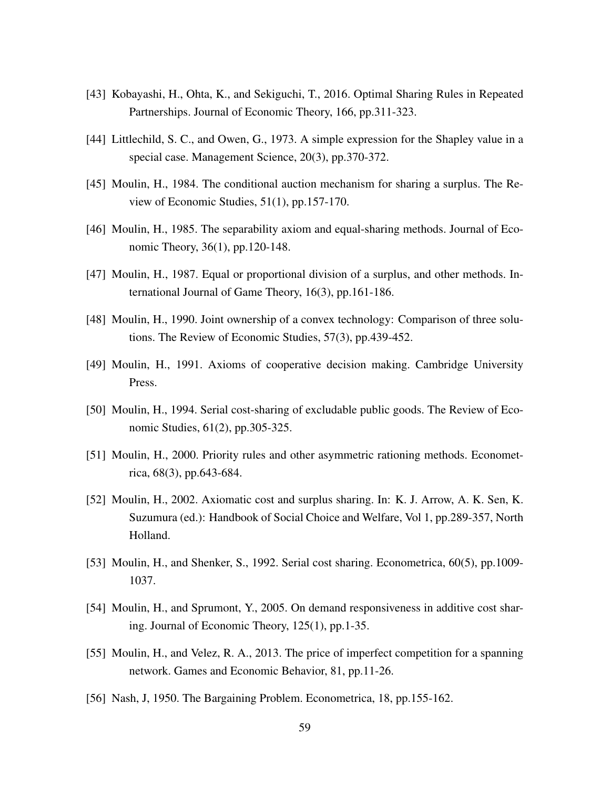- <span id="page-60-7"></span>[43] Kobayashi, H., Ohta, K., and Sekiguchi, T., 2016. Optimal Sharing Rules in Repeated Partnerships. Journal of Economic Theory, 166, pp.311-323.
- <span id="page-60-3"></span>[44] Littlechild, S. C., and Owen, G., 1973. A simple expression for the Shapley value in a special case. Management Science, 20(3), pp.370-372.
- [45] Moulin, H., 1984. The conditional auction mechanism for sharing a surplus. The Review of Economic Studies, 51(1), pp.157-170.
- [46] Moulin, H., 1985. The separability axiom and equal-sharing methods. Journal of Economic Theory, 36(1), pp.120-148.
- <span id="page-60-8"></span>[47] Moulin, H., 1987. Equal or proportional division of a surplus, and other methods. International Journal of Game Theory, 16(3), pp.161-186.
- [48] Moulin, H., 1990. Joint ownership of a convex technology: Comparison of three solutions. The Review of Economic Studies, 57(3), pp.439-452.
- <span id="page-60-9"></span>[49] Moulin, H., 1991. Axioms of cooperative decision making. Cambridge University Press.
- <span id="page-60-4"></span>[50] Moulin, H., 1994. Serial cost-sharing of excludable public goods. The Review of Economic Studies, 61(2), pp.305-325.
- <span id="page-60-1"></span>[51] Moulin, H., 2000. Priority rules and other asymmetric rationing methods. Econometrica, 68(3), pp.643-684.
- <span id="page-60-2"></span>[52] Moulin, H., 2002. Axiomatic cost and surplus sharing. In: K. J. Arrow, A. K. Sen, K. Suzumura (ed.): Handbook of Social Choice and Welfare, Vol 1, pp.289-357, North Holland.
- <span id="page-60-6"></span>[53] Moulin, H., and Shenker, S., 1992. Serial cost sharing. Econometrica,  $60(5)$ , pp.1009-1037.
- <span id="page-60-5"></span>[54] Moulin, H., and Sprumont, Y., 2005. On demand responsiveness in additive cost sharing. Journal of Economic Theory, 125(1), pp.1-35.
- [55] Moulin, H., and Velez, R. A., 2013. The price of imperfect competition for a spanning network. Games and Economic Behavior, 81, pp.11-26.
- <span id="page-60-0"></span>[56] Nash, J, 1950. The Bargaining Problem. Econometrica, 18, pp.155-162.